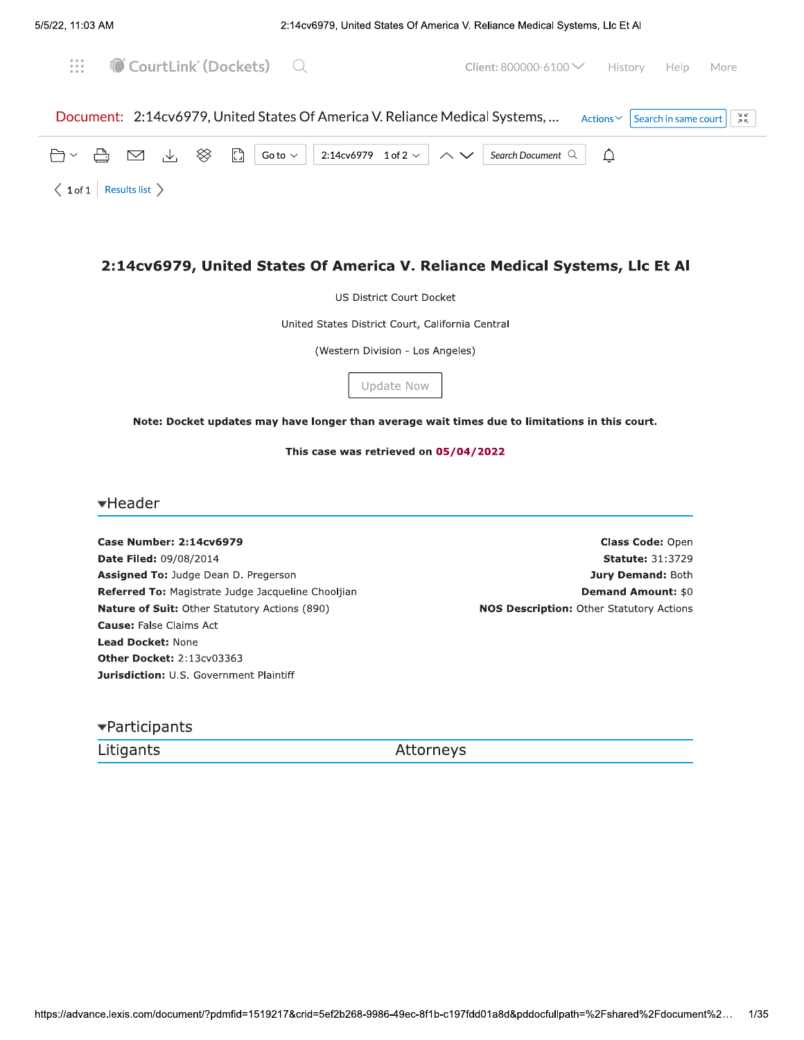

US District Court Docket

United States District Court, California Central

(Western Division - Los Angeles)

# Update Now

Note: Docket updates may have longer than average wait times due to limitations in this court.

This case was retrieved on 05/04/2022

<del>v</del>Header

**Case Number: 2:14cv6979** Date Filed: 09/08/2014 Assigned To: Judge Dean D. Pregerson Referred To: Magistrate Judge Jacqueline Chooljian Nature of Suit: Other Statutory Actions (890) **Cause: False Claims Act** Lead Docket: None Other Docket: 2:13cv03363 Jurisdiction: U.S. Government Plaintiff

Class Code: Open **Statute: 31:3729** Jury Demand: Both **Demand Amount: \$0 NOS Description: Other Statutory Actions** 

▼Participants

Litigants

Attorneys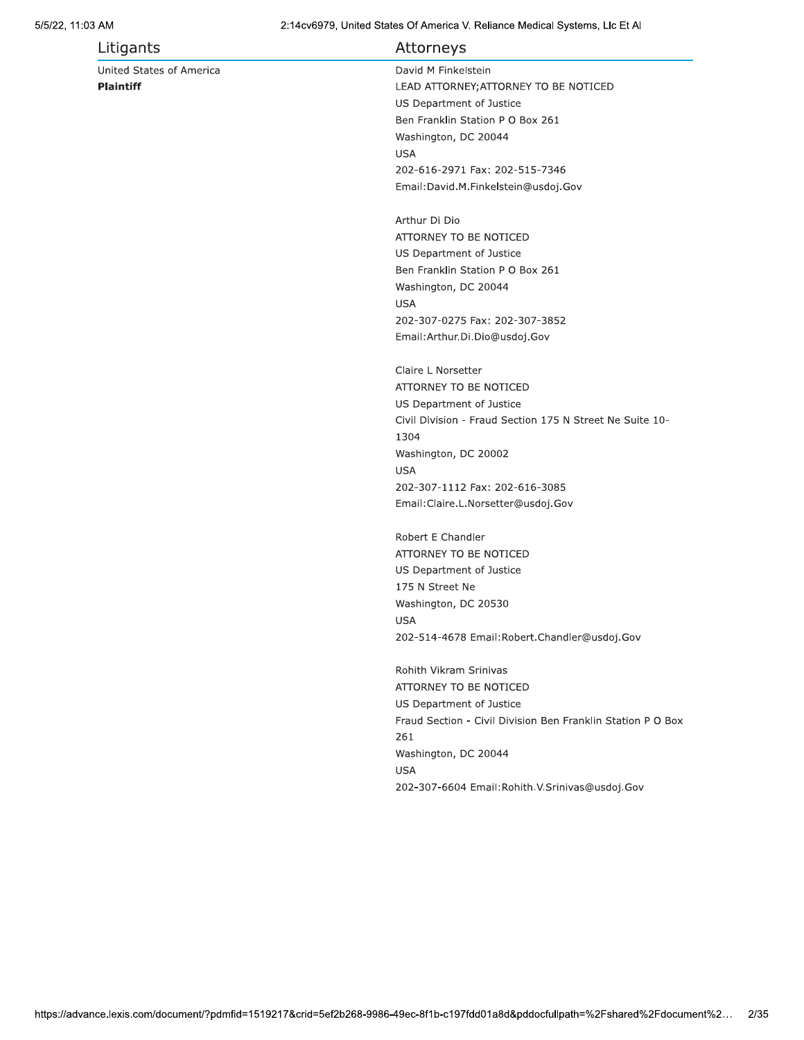| Litigants                | Attorneys                                                   |
|--------------------------|-------------------------------------------------------------|
| United States of America | David M Finkelstein                                         |
| <b>Plaintiff</b>         | LEAD ATTORNEY; ATTORNEY TO BE NOTICED                       |
|                          | US Department of Justice                                    |
|                          | Ben Franklin Station P O Box 261                            |
|                          | Washington, DC 20044                                        |
|                          | <b>USA</b>                                                  |
|                          | 202-616-2971 Fax: 202-515-7346                              |
|                          | Email: David.M.Finkelstein@usdoj.Gov                        |
|                          |                                                             |
|                          | Arthur Di Dio                                               |
|                          | ATTORNEY TO BE NOTICED                                      |
|                          | US Department of Justice                                    |
|                          | Ben Franklin Station P O Box 261                            |
|                          | Washington, DC 20044                                        |
|                          | <b>USA</b>                                                  |
|                          | 202-307-0275 Fax: 202-307-3852                              |
|                          | Email: Arthur. Di. Dio@usdoj. Gov                           |
|                          | Claire L Norsetter                                          |
|                          | ATTORNEY TO BE NOTICED                                      |
|                          | US Department of Justice                                    |
|                          | Civil Division - Fraud Section 175 N Street Ne Suite 10-    |
|                          | 1304                                                        |
|                          | Washington, DC 20002                                        |
|                          | <b>USA</b>                                                  |
|                          | 202-307-1112 Fax: 202-616-3085                              |
|                          | Email: Claire.L. Norsetter@usdoj. Gov                       |
|                          |                                                             |
|                          | Robert E Chandler                                           |
|                          | ATTORNEY TO BE NOTICED                                      |
|                          | US Department of Justice                                    |
|                          | 175 N Street Ne                                             |
|                          | Washington, DC 20530                                        |
|                          | <b>USA</b>                                                  |
|                          | 202-514-4678 Email: Robert. Chandler@usdoj. Gov             |
|                          | Rohith Vikram Srinivas                                      |
|                          | ATTORNEY TO BE NOTICED                                      |
|                          | US Department of Justice                                    |
|                          | Fraud Section - Civil Division Ben Franklin Station P O Box |
|                          | 261                                                         |
|                          | Washington, DC 20044                                        |
|                          | <b>USA</b>                                                  |
|                          | 202-307-6604 Email: Rohith. V. Srinivas@usdoj. Gov          |
|                          |                                                             |
|                          |                                                             |
|                          |                                                             |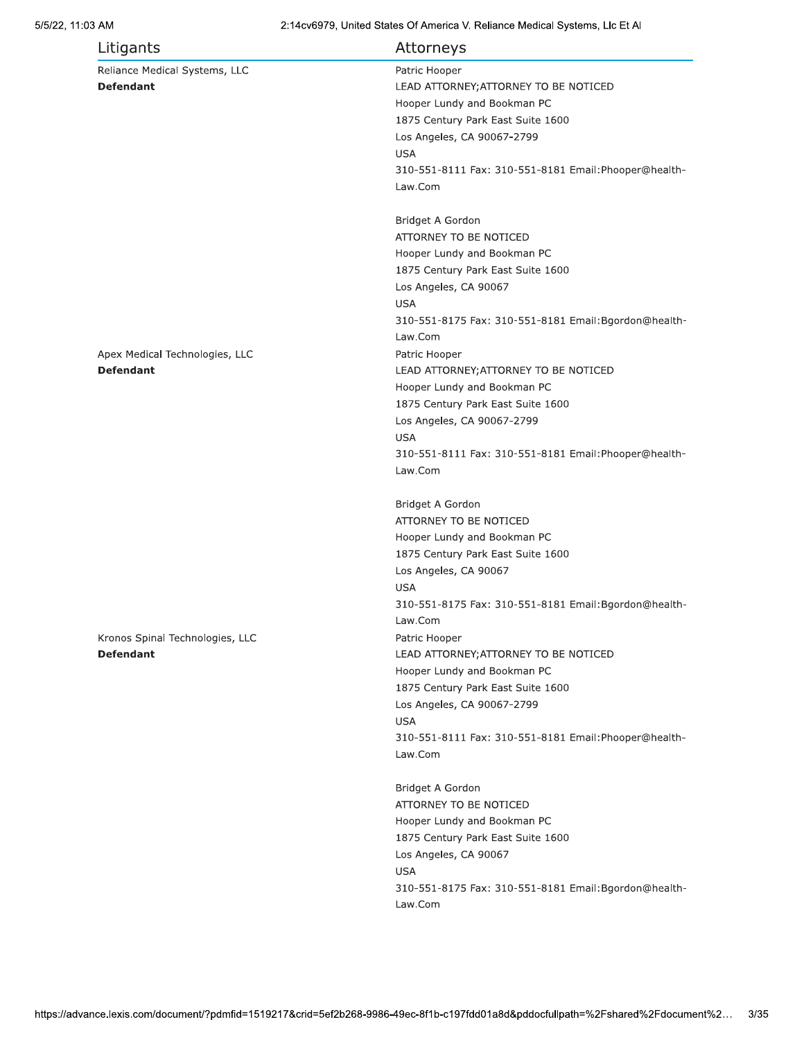## 5/5/22, 11:03 AM

| Litigants                                           | Attorneys                                                        |
|-----------------------------------------------------|------------------------------------------------------------------|
| Reliance Medical Systems, LLC                       | Patric Hooper                                                    |
| <b>Defendant</b>                                    | LEAD ATTORNEY; ATTORNEY TO BE NOTICED                            |
|                                                     | Hooper Lundy and Bookman PC                                      |
|                                                     | 1875 Century Park East Suite 1600                                |
|                                                     | Los Angeles, CA 90067-2799                                       |
|                                                     | <b>USA</b>                                                       |
|                                                     | 310-551-8111 Fax: 310-551-8181 Email: Phooper@health-            |
|                                                     | Law.Com                                                          |
|                                                     | Bridget A Gordon                                                 |
|                                                     | ATTORNEY TO BE NOTICED                                           |
|                                                     | Hooper Lundy and Bookman PC                                      |
|                                                     | 1875 Century Park East Suite 1600                                |
|                                                     | Los Angeles, CA 90067                                            |
|                                                     | <b>USA</b>                                                       |
|                                                     | 310-551-8175 Fax: 310-551-8181 Email: Bgordon@health-            |
|                                                     | Law.Com                                                          |
| Apex Medical Technologies, LLC                      | Patric Hooper                                                    |
| <b>Defendant</b>                                    | LEAD ATTORNEY; ATTORNEY TO BE NOTICED                            |
|                                                     | Hooper Lundy and Bookman PC                                      |
|                                                     | 1875 Century Park East Suite 1600                                |
|                                                     | Los Angeles, CA 90067-2799                                       |
|                                                     | <b>USA</b>                                                       |
|                                                     | 310-551-8111 Fax: 310-551-8181 Email: Phooper@health-            |
|                                                     | Law.Com                                                          |
|                                                     | Bridget A Gordon                                                 |
|                                                     | ATTORNEY TO BE NOTICED                                           |
|                                                     | Hooper Lundy and Bookman PC                                      |
|                                                     | 1875 Century Park East Suite 1600                                |
|                                                     | Los Angeles, CA 90067                                            |
|                                                     | <b>USA</b>                                                       |
|                                                     | 310-551-8175 Fax: 310-551-8181 Email: Bgordon@health-<br>Law.Com |
|                                                     |                                                                  |
| Kronos Spinal Technologies, LLC<br><b>Defendant</b> | Patric Hooper                                                    |
|                                                     | LEAD ATTORNEY; ATTORNEY TO BE NOTICED                            |
|                                                     | Hooper Lundy and Bookman PC                                      |
|                                                     | 1875 Century Park East Suite 1600                                |
|                                                     | Los Angeles, CA 90067-2799                                       |
|                                                     | <b>USA</b>                                                       |
|                                                     | 310-551-8111 Fax: 310-551-8181 Email: Phooper@health-            |
|                                                     | Law.Com                                                          |
|                                                     | Bridget A Gordon                                                 |
|                                                     | ATTORNEY TO BE NOTICED                                           |
|                                                     | Hooper Lundy and Bookman PC                                      |
|                                                     | 1875 Century Park East Suite 1600                                |
|                                                     | Los Angeles, CA 90067                                            |
|                                                     | <b>USA</b>                                                       |
|                                                     | 310-551-8175 Fax: 310-551-8181 Email: Bgordon@health-            |
|                                                     | Law.Com                                                          |
|                                                     |                                                                  |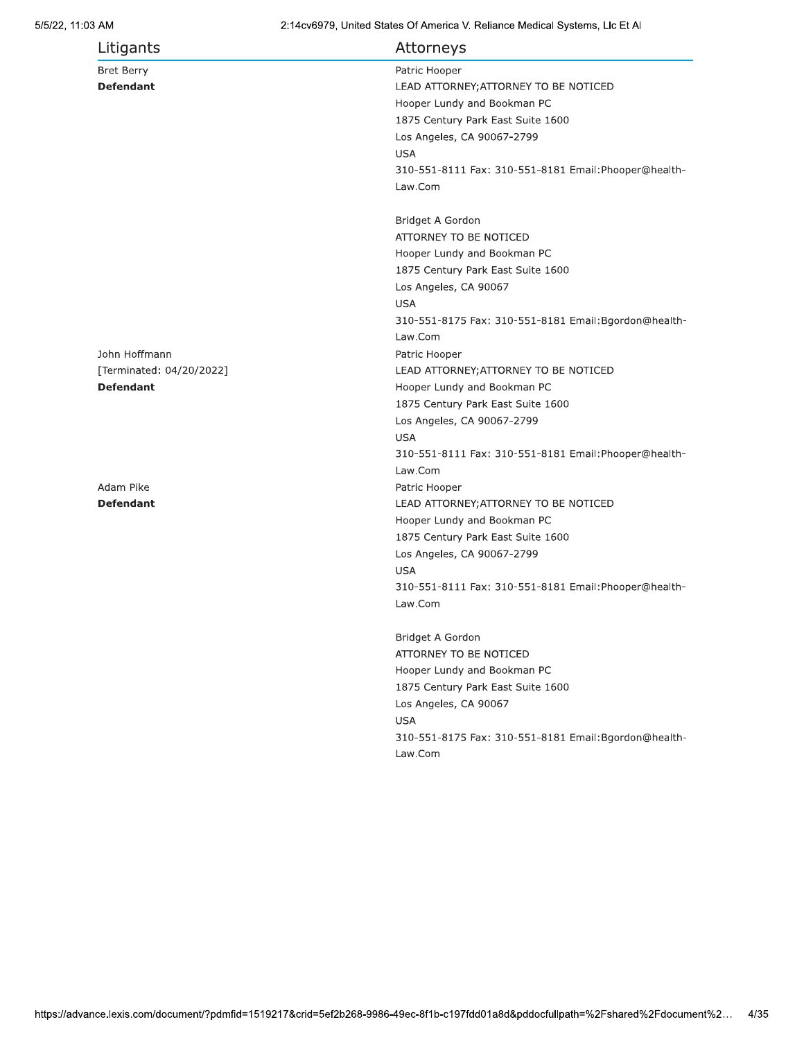| Litigants                | Attorneys                                             |
|--------------------------|-------------------------------------------------------|
| <b>Bret Berry</b>        | Patric Hooper                                         |
| <b>Defendant</b>         | LEAD ATTORNEY; ATTORNEY TO BE NOTICED                 |
|                          | Hooper Lundy and Bookman PC                           |
|                          | 1875 Century Park East Suite 1600                     |
|                          | Los Angeles, CA 90067-2799                            |
|                          | <b>USA</b>                                            |
|                          | 310-551-8111 Fax: 310-551-8181 Email: Phooper@health- |
|                          | Law.Com                                               |
|                          | Bridget A Gordon                                      |
|                          | ATTORNEY TO BE NOTICED                                |
|                          | Hooper Lundy and Bookman PC                           |
|                          | 1875 Century Park East Suite 1600                     |
|                          | Los Angeles, CA 90067                                 |
|                          | <b>USA</b>                                            |
|                          | 310-551-8175 Fax: 310-551-8181 Email: Bgordon@health- |
|                          | Law.Com                                               |
| John Hoffmann            | Patric Hooper                                         |
| [Terminated: 04/20/2022] | LEAD ATTORNEY; ATTORNEY TO BE NOTICED                 |
| <b>Defendant</b>         | Hooper Lundy and Bookman PC                           |
|                          | 1875 Century Park East Suite 1600                     |
|                          | Los Angeles, CA 90067-2799                            |
|                          | <b>USA</b>                                            |
|                          | 310-551-8111 Fax: 310-551-8181 Email: Phooper@health- |
|                          | Law.Com                                               |
| Adam Pike                | Patric Hooper                                         |
| <b>Defendant</b>         | LEAD ATTORNEY; ATTORNEY TO BE NOTICED                 |
|                          | Hooper Lundy and Bookman PC                           |
|                          | 1875 Century Park East Suite 1600                     |
|                          | Los Angeles, CA 90067-2799                            |
|                          | <b>USA</b>                                            |
|                          | 310-551-8111 Fax: 310-551-8181 Email: Phooper@health- |
|                          | Law.Com                                               |
|                          | Bridget A Gordon                                      |
|                          | ATTORNEY TO BE NOTICED                                |
|                          | Hooper Lundy and Bookman PC                           |
|                          | 1875 Century Park East Suite 1600                     |
|                          | Los Angeles, CA 90067                                 |
|                          | <b>USA</b>                                            |
|                          | 310-551-8175 Fax: 310-551-8181 Email: Bgordon@health- |
|                          | Law.Com                                               |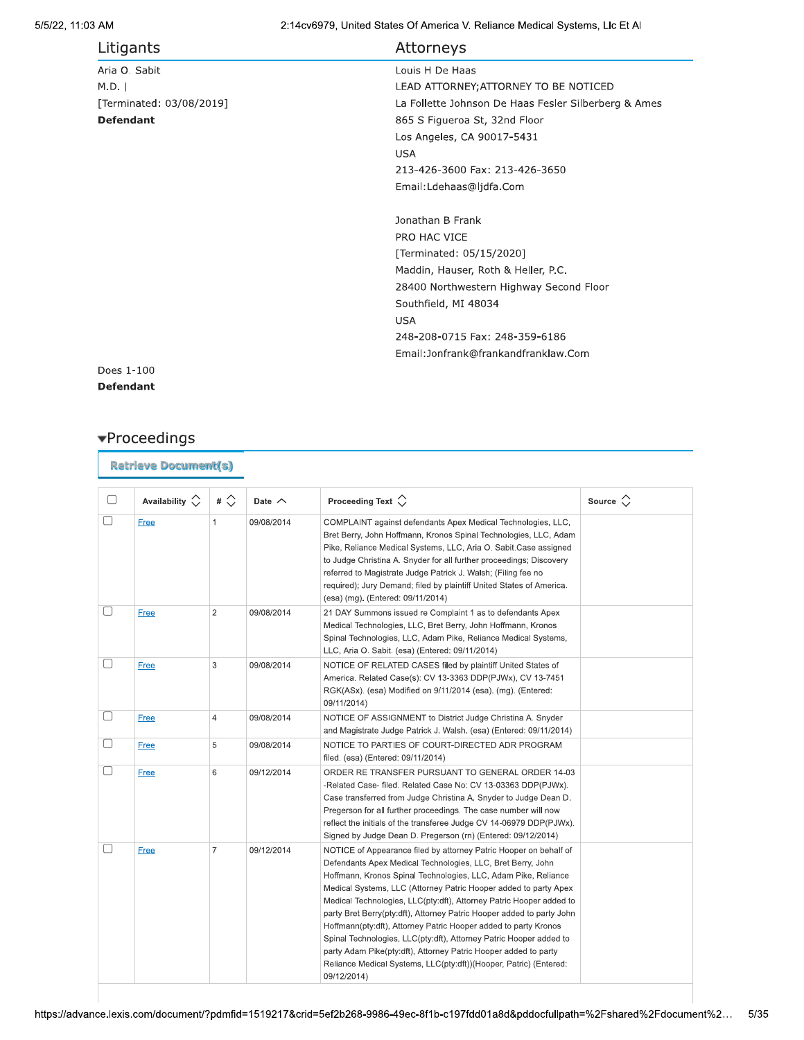| Litigants                | Attorneys                                            |
|--------------------------|------------------------------------------------------|
| Aria O. Sabit            | Louis H De Haas                                      |
| M.D.                     | LEAD ATTORNEY; ATTORNEY TO BE NOTICED                |
| [Terminated: 03/08/2019] | La Follette Johnson De Haas Fesler Silberberg & Ames |
| <b>Defendant</b>         | 865 S Figueroa St, 32nd Floor                        |
|                          | Los Angeles, CA 90017-5431                           |
|                          | <b>USA</b>                                           |
|                          | 213-426-3600 Fax: 213-426-3650                       |
|                          | Email:Ldehaas@ljdfa.Com                              |
|                          |                                                      |
|                          | Jonathan B Frank                                     |
|                          | PRO HAC VICE                                         |
|                          | [Terminated: 05/15/2020]                             |
|                          | Maddin, Hauser, Roth & Heller, P.C.                  |
|                          | 28400 Northwestern Highway Second Floor              |
|                          | Southfield, MI 48034                                 |
|                          | <b>USA</b>                                           |
|                          | 248-208-0715 Fax: 248-359-6186                       |
|                          | Email:Jonfrank@frankandfranklaw.Com                  |

Does 1-100 **Defendant** 

# $\blacktriangledown$ Proceedings

| <b>Retrieve Document(s)</b> |                         |                |               |                                                                                                                                                                                                                                                                                                                                                                                                                                                                                                                                                                                                                                                                                                                        |                   |
|-----------------------------|-------------------------|----------------|---------------|------------------------------------------------------------------------------------------------------------------------------------------------------------------------------------------------------------------------------------------------------------------------------------------------------------------------------------------------------------------------------------------------------------------------------------------------------------------------------------------------------------------------------------------------------------------------------------------------------------------------------------------------------------------------------------------------------------------------|-------------------|
| O                           | Availability $\Diamond$ | # $\Diamond$   | Date $\wedge$ | Proceeding Text $\Diamond$                                                                                                                                                                                                                                                                                                                                                                                                                                                                                                                                                                                                                                                                                             | Source $\Diamond$ |
| □                           | <b>Free</b>             | $\mathbf{1}$   | 09/08/2014    | COMPLAINT against defendants Apex Medical Technologies, LLC,<br>Bret Berry, John Hoffmann, Kronos Spinal Technologies, LLC, Adam<br>Pike, Reliance Medical Systems, LLC, Aria O. Sabit.Case assigned<br>to Judge Christina A. Snyder for all further proceedings; Discovery<br>referred to Magistrate Judge Patrick J. Walsh; (Filing fee no<br>required); Jury Demand; filed by plaintiff United States of America.<br>(esa) (mg). (Entered: 09/11/2014)                                                                                                                                                                                                                                                              |                   |
|                             | Free                    | $\overline{2}$ | 09/08/2014    | 21 DAY Summons issued re Complaint 1 as to defendants Apex<br>Medical Technologies, LLC, Bret Berry, John Hoffmann, Kronos<br>Spinal Technologies, LLC, Adam Pike, Reliance Medical Systems,<br>LLC, Aria O. Sabit. (esa) (Entered: 09/11/2014)                                                                                                                                                                                                                                                                                                                                                                                                                                                                        |                   |
|                             | Free                    | 3              | 09/08/2014    | NOTICE OF RELATED CASES filed by plaintiff United States of<br>America. Related Case(s): CV 13-3363 DDP(PJWx), CV 13-7451<br>RGK(ASx). (esa) Modified on 9/11/2014 (esa). (mg). (Entered:<br>09/11/2014)                                                                                                                                                                                                                                                                                                                                                                                                                                                                                                               |                   |
| □                           | Free                    | $\overline{4}$ | 09/08/2014    | NOTICE OF ASSIGNMENT to District Judge Christina A. Snyder<br>and Magistrate Judge Patrick J. Walsh. (esa) (Entered: 09/11/2014)                                                                                                                                                                                                                                                                                                                                                                                                                                                                                                                                                                                       |                   |
|                             | Free                    | 5              | 09/08/2014    | NOTICE TO PARTIES OF COURT-DIRECTED ADR PROGRAM<br>filed. (esa) (Entered: 09/11/2014)                                                                                                                                                                                                                                                                                                                                                                                                                                                                                                                                                                                                                                  |                   |
| $\Box$                      | Free                    | 6              | 09/12/2014    | ORDER RE TRANSFER PURSUANT TO GENERAL ORDER 14-03<br>-Related Case- filed. Related Case No: CV 13-03363 DDP(PJWx).<br>Case transferred from Judge Christina A. Snyder to Judge Dean D.<br>Pregerson for all further proceedings. The case number will now<br>reflect the initials of the transferee Judge CV 14-06979 DDP(PJWx).<br>Signed by Judge Dean D. Pregerson (rn) (Entered: 09/12/2014)                                                                                                                                                                                                                                                                                                                       |                   |
| П                           | <b>Free</b>             | $\overline{7}$ | 09/12/2014    | NOTICE of Appearance filed by attorney Patric Hooper on behalf of<br>Defendants Apex Medical Technologies, LLC, Bret Berry, John<br>Hoffmann, Kronos Spinal Technologies, LLC, Adam Pike, Reliance<br>Medical Systems, LLC (Attorney Patric Hooper added to party Apex<br>Medical Technologies, LLC(pty:dft), Attorney Patric Hooper added to<br>party Bret Berry(pty:dft), Attorney Patric Hooper added to party John<br>Hoffmann(pty:dft), Attorney Patric Hooper added to party Kronos<br>Spinal Technologies, LLC(pty:dft), Attorney Patric Hooper added to<br>party Adam Pike(pty:dft), Attorney Patric Hooper added to party<br>Reliance Medical Systems, LLC(pty:dft))(Hooper, Patric) (Entered:<br>09/12/2014) |                   |

https://advance.lexis.com/document/?pdmfid=1519217&crid=5ef2b268-9986-49ec-8f1b-c197fdd01a8d&pddocfullpath=%2Fshared%2Fdocument%2...  $5/35$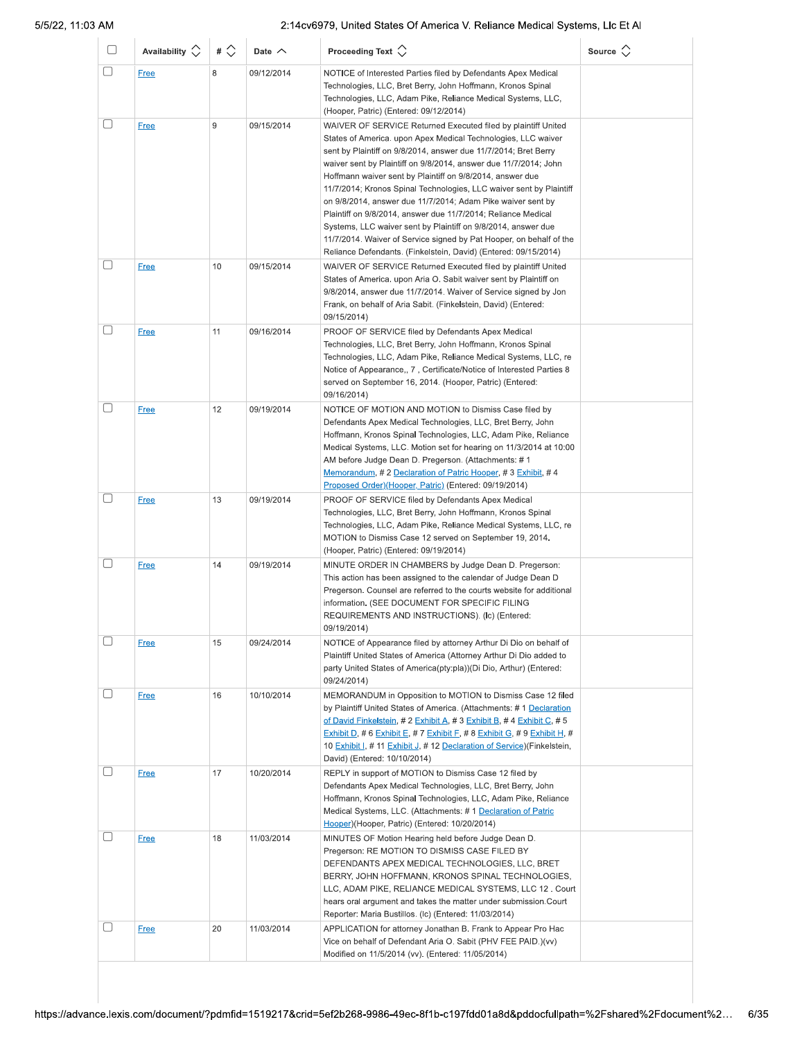| 0           | Availability $\Diamond$    | # $\Diamond$ | Date $\wedge$            | Proceeding Text $\left\langle \right\rangle$                                                                                                                                                                                                                                                                                                                                                                                                                                                                                                                                                                                                                                                                                                         | Source $\langle \rangle$ |
|-------------|----------------------------|--------------|--------------------------|------------------------------------------------------------------------------------------------------------------------------------------------------------------------------------------------------------------------------------------------------------------------------------------------------------------------------------------------------------------------------------------------------------------------------------------------------------------------------------------------------------------------------------------------------------------------------------------------------------------------------------------------------------------------------------------------------------------------------------------------------|--------------------------|
| ∩           | <b>Free</b>                | 8            | 09/12/2014               | NOTICE of Interested Parties filed by Defendants Apex Medical<br>Technologies, LLC, Bret Berry, John Hoffmann, Kronos Spinal<br>Technologies, LLC, Adam Pike, Reliance Medical Systems, LLC,<br>(Hooper, Patric) (Entered: 09/12/2014)                                                                                                                                                                                                                                                                                                                                                                                                                                                                                                               |                          |
|             | <b>Free</b>                | 9            | 09/15/2014               | WAIVER OF SERVICE Returned Executed filed by plaintiff United<br>States of America. upon Apex Medical Technologies, LLC waiver<br>sent by Plaintiff on 9/8/2014, answer due 11/7/2014; Bret Berry<br>waiver sent by Plaintiff on 9/8/2014, answer due 11/7/2014; John<br>Hoffmann waiver sent by Plaintiff on 9/8/2014, answer due<br>11/7/2014; Kronos Spinal Technologies, LLC waiver sent by Plaintiff<br>on 9/8/2014, answer due 11/7/2014; Adam Pike waiver sent by<br>Plaintiff on 9/8/2014, answer due 11/7/2014; Reliance Medical<br>Systems, LLC waiver sent by Plaintiff on 9/8/2014, answer due<br>11/7/2014. Waiver of Service signed by Pat Hooper, on behalf of the<br>Reliance Defendants. (Finkelstein, David) (Entered: 09/15/2014) |                          |
|             | Free                       | 10           | 09/15/2014               | WAIVER OF SERVICE Returned Executed filed by plaintiff United<br>States of America. upon Aria O. Sabit waiver sent by Plaintiff on<br>9/8/2014, answer due 11/7/2014. Waiver of Service signed by Jon<br>Frank, on behalf of Aria Sabit. (Finkelstein, David) (Entered:<br>09/15/2014)                                                                                                                                                                                                                                                                                                                                                                                                                                                               |                          |
| $\Box$      | <b>Free</b>                | 11           | 09/16/2014               | PROOF OF SERVICE filed by Defendants Apex Medical<br>Technologies, LLC, Bret Berry, John Hoffmann, Kronos Spinal<br>Technologies, LLC, Adam Pike, Reliance Medical Systems, LLC, re<br>Notice of Appearance,, 7, Certificate/Notice of Interested Parties 8<br>served on September 16, 2014. (Hooper, Patric) (Entered:<br>09/16/2014)                                                                                                                                                                                                                                                                                                                                                                                                               |                          |
|             | <b>Free</b>                | 12           | 09/19/2014               | NOTICE OF MOTION AND MOTION to Dismiss Case filed by<br>Defendants Apex Medical Technologies, LLC, Bret Berry, John<br>Hoffmann, Kronos Spinal Technologies, LLC, Adam Pike, Reliance<br>Medical Systems, LLC. Motion set for hearing on 11/3/2014 at 10:00<br>AM before Judge Dean D. Pregerson. (Attachments: #1<br>Memorandum, #2 Declaration of Patric Hooper, #3 Exhibit, #4<br>Proposed Order)(Hooper, Patric) (Entered: 09/19/2014)                                                                                                                                                                                                                                                                                                           |                          |
|             | <b>Free</b>                | 13           | 09/19/2014               | PROOF OF SERVICE filed by Defendants Apex Medical<br>Technologies, LLC, Bret Berry, John Hoffmann, Kronos Spinal<br>Technologies, LLC, Adam Pike, Reliance Medical Systems, LLC, re<br>MOTION to Dismiss Case 12 served on September 19, 2014.<br>(Hooper, Patric) (Entered: 09/19/2014)                                                                                                                                                                                                                                                                                                                                                                                                                                                             |                          |
| $\Box$      | <b>Free</b>                | 14           | 09/19/2014               | MINUTE ORDER IN CHAMBERS by Judge Dean D. Pregerson:<br>This action has been assigned to the calendar of Judge Dean D<br>Pregerson. Counsel are referred to the courts website for additional<br>information. (SEE DOCUMENT FOR SPECIFIC FILING<br>REQUIREMENTS AND INSTRUCTIONS). (Ic) (Entered:<br>09/19/2014)                                                                                                                                                                                                                                                                                                                                                                                                                                     |                          |
| $\Box$      | <b>Free</b>                | 15           | 09/24/2014               | NOTICE of Appearance filed by attorney Arthur Di Dio on behalf of<br>Plaintiff United States of America (Attorney Arthur Di Dio added to<br>party United States of America(pty:pla))(Di Dio, Arthur) (Entered:<br>09/24/2014)                                                                                                                                                                                                                                                                                                                                                                                                                                                                                                                        |                          |
| $\Box$      | <b>Free</b>                | 16           | 10/10/2014               | MEMORANDUM in Opposition to MOTION to Dismiss Case 12 filed<br>by Plaintiff United States of America. (Attachments: #1 Declaration<br>of David Finkelstein, # 2 Exhibit A, # 3 Exhibit B, # 4 Exhibit C, # 5<br>Exhibit D, # 6 Exhibit E, # 7 Exhibit F, # 8 Exhibit G, # 9 Exhibit H, #<br>10 Exhibit I, # 11 Exhibit J, # 12 Declaration of Service) (Finkelstein,<br>David) (Entered: 10/10/2014)                                                                                                                                                                                                                                                                                                                                                 |                          |
| $[ \quad ]$ | <b>Free</b><br><b>Free</b> | 17<br>18     | 10/20/2014<br>11/03/2014 | REPLY in support of MOTION to Dismiss Case 12 filed by<br>Defendants Apex Medical Technologies, LLC, Bret Berry, John<br>Hoffmann, Kronos Spinal Technologies, LLC, Adam Pike, Reliance<br>Medical Systems, LLC. (Attachments: #1 Declaration of Patric<br>Hooper)(Hooper, Patric) (Entered: 10/20/2014)<br>MINUTES OF Motion Hearing held before Judge Dean D.<br>Pregerson: RE MOTION TO DISMISS CASE FILED BY<br>DEFENDANTS APEX MEDICAL TECHNOLOGIES, LLC, BRET<br>BERRY, JOHN HOFFMANN, KRONOS SPINAL TECHNOLOGIES,<br>LLC, ADAM PIKE, RELIANCE MEDICAL SYSTEMS, LLC 12 . Court<br>hears oral argument and takes the matter under submission.Court                                                                                              |                          |
|             | <b>Free</b>                | 20           | 11/03/2014               | Reporter: Maria Bustillos. (Ic) (Entered: 11/03/2014)<br>APPLICATION for attorney Jonathan B. Frank to Appear Pro Hac<br>Vice on behalf of Defendant Aria O. Sabit (PHV FEE PAID.)(vv)<br>Modified on 11/5/2014 (vv). (Entered: 11/05/2014)                                                                                                                                                                                                                                                                                                                                                                                                                                                                                                          |                          |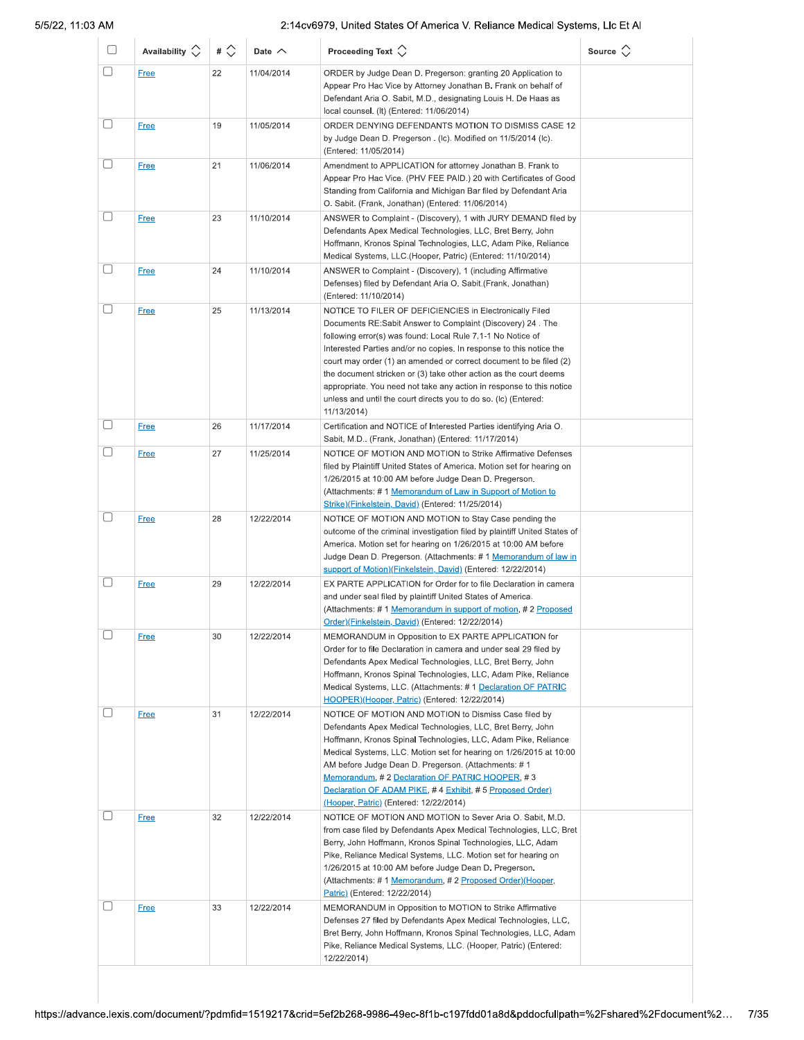| U      | Availability $\Diamond$ | # $\Diamond$ | Date $\wedge$ | Proceeding Text $\left\langle \right\rangle$                                                                                                                                                                                                                                                                                                                                                                                                                                                                                                                     | Source $\Diamond$ |
|--------|-------------------------|--------------|---------------|------------------------------------------------------------------------------------------------------------------------------------------------------------------------------------------------------------------------------------------------------------------------------------------------------------------------------------------------------------------------------------------------------------------------------------------------------------------------------------------------------------------------------------------------------------------|-------------------|
| O      | <b>Free</b>             | 22           | 11/04/2014    | ORDER by Judge Dean D. Pregerson: granting 20 Application to<br>Appear Pro Hac Vice by Attorney Jonathan B. Frank on behalf of<br>Defendant Aria O. Sabit, M.D., designating Louis H. De Haas as<br>local counsel. (It) (Entered: 11/06/2014)                                                                                                                                                                                                                                                                                                                    |                   |
| u      | Free                    | 19           | 11/05/2014    | ORDER DENYING DEFENDANTS MOTION TO DISMISS CASE 12<br>by Judge Dean D. Pregerson. (Ic). Modified on 11/5/2014 (Ic).<br>(Entered: 11/05/2014)                                                                                                                                                                                                                                                                                                                                                                                                                     |                   |
|        | <b>Free</b>             | 21           | 11/06/2014    | Amendment to APPLICATION for attorney Jonathan B. Frank to<br>Appear Pro Hac Vice. (PHV FEE PAID.) 20 with Certificates of Good<br>Standing from California and Michigan Bar filed by Defendant Aria<br>O. Sabit. (Frank, Jonathan) (Entered: 11/06/2014)                                                                                                                                                                                                                                                                                                        |                   |
| u      | <b>Free</b>             | 23           | 11/10/2014    | ANSWER to Complaint - (Discovery), 1 with JURY DEMAND filed by<br>Defendants Apex Medical Technologies, LLC, Bret Berry, John<br>Hoffmann, Kronos Spinal Technologies, LLC, Adam Pike, Reliance<br>Medical Systems, LLC.(Hooper, Patric) (Entered: 11/10/2014)                                                                                                                                                                                                                                                                                                   |                   |
| U      | <b>Free</b>             | 24           | 11/10/2014    | ANSWER to Complaint - (Discovery), 1 (including Affirmative<br>Defenses) filed by Defendant Aria O. Sabit. (Frank, Jonathan)<br>(Entered: 11/10/2014)                                                                                                                                                                                                                                                                                                                                                                                                            |                   |
| U      | <b>Free</b>             | 25           | 11/13/2014    | NOTICE TO FILER OF DEFICIENCIES in Electronically Filed<br>Documents RE:Sabit Answer to Complaint (Discovery) 24. The<br>following error(s) was found: Local Rule 7.1-1 No Notice of<br>Interested Parties and/or no copies. In response to this notice the<br>court may order (1) an amended or correct document to be filed (2)<br>the document stricken or (3) take other action as the court deems<br>appropriate. You need not take any action in response to this notice<br>unless and until the court directs you to do so. (Ic) (Entered:<br>11/13/2014) |                   |
| U      | <b>Free</b>             | 26           | 11/17/2014    | Certification and NOTICE of Interested Parties identifying Aria O.<br>Sabit, M.D (Frank, Jonathan) (Entered: 11/17/2014)                                                                                                                                                                                                                                                                                                                                                                                                                                         |                   |
|        | <b>Free</b>             | 27           | 11/25/2014    | NOTICE OF MOTION AND MOTION to Strike Affirmative Defenses<br>filed by Plaintiff United States of America. Motion set for hearing on<br>1/26/2015 at 10:00 AM before Judge Dean D. Pregerson.<br>(Attachments: #1 Memorandum of Law in Support of Motion to<br>Strike)(Finkelstein, David) (Entered: 11/25/2014)                                                                                                                                                                                                                                                 |                   |
| $\Box$ | <b>Free</b>             | 28           | 12/22/2014    | NOTICE OF MOTION AND MOTION to Stay Case pending the<br>outcome of the criminal investigation filed by plaintiff United States of<br>America. Motion set for hearing on 1/26/2015 at 10:00 AM before<br>Judge Dean D. Pregerson. (Attachments: # 1 Memorandum of law in<br>support of Motion)(Finkelstein, David) (Entered: 12/22/2014)                                                                                                                                                                                                                          |                   |
|        | <b>Free</b>             | 29           | 12/22/2014    | EX PARTE APPLICATION for Order for to file Declaration in camera<br>and under seal filed by plaintiff United States of America.<br>(Attachments: #1 Memorandum in support of motion, #2 Proposed<br>Order)(Finkelstein, David) (Entered: 12/22/2014)                                                                                                                                                                                                                                                                                                             |                   |
| □      | <b>Free</b>             | 30           | 12/22/2014    | MEMORANDUM in Opposition to EX PARTE APPLICATION for<br>Order for to file Declaration in camera and under seal 29 filed by<br>Defendants Apex Medical Technologies, LLC, Bret Berry, John<br>Hoffmann, Kronos Spinal Technologies, LLC, Adam Pike, Reliance<br>Medical Systems, LLC. (Attachments: #1 Declaration OF PATRIC<br>HOOPER)(Hooper, Patric) (Entered: 12/22/2014)                                                                                                                                                                                     |                   |
| $\Box$ | <b>Free</b>             | 31           | 12/22/2014    | NOTICE OF MOTION AND MOTION to Dismiss Case filed by<br>Defendants Apex Medical Technologies, LLC, Bret Berry, John<br>Hoffmann, Kronos Spinal Technologies, LLC, Adam Pike, Reliance<br>Medical Systems, LLC. Motion set for hearing on 1/26/2015 at 10:00<br>AM before Judge Dean D. Pregerson. (Attachments: #1<br>Memorandum, #2 Declaration OF PATRIC HOOPER, #3<br>Declaration OF ADAM PIKE, #4 Exhibit, #5 Proposed Order)<br>(Hooper, Patric) (Entered: 12/22/2014)                                                                                      |                   |
| U      | <b>Free</b>             | 32           | 12/22/2014    | NOTICE OF MOTION AND MOTION to Sever Aria O. Sabit, M.D.<br>from case filed by Defendants Apex Medical Technologies, LLC, Bret<br>Berry, John Hoffmann, Kronos Spinal Technologies, LLC, Adam<br>Pike, Reliance Medical Systems, LLC. Motion set for hearing on<br>1/26/2015 at 10:00 AM before Judge Dean D. Pregerson.<br>(Attachments: #1 Memorandum, #2 Proposed Order) (Hooper,<br>Patric) (Entered: 12/22/2014)                                                                                                                                            |                   |
| $\Box$ | <b>Free</b>             | 33           | 12/22/2014    | MEMORANDUM in Opposition to MOTION to Strike Affirmative<br>Defenses 27 filed by Defendants Apex Medical Technologies, LLC,<br>Bret Berry, John Hoffmann, Kronos Spinal Technologies, LLC, Adam<br>Pike, Reliance Medical Systems, LLC. (Hooper, Patric) (Entered:<br>12/22/2014)                                                                                                                                                                                                                                                                                |                   |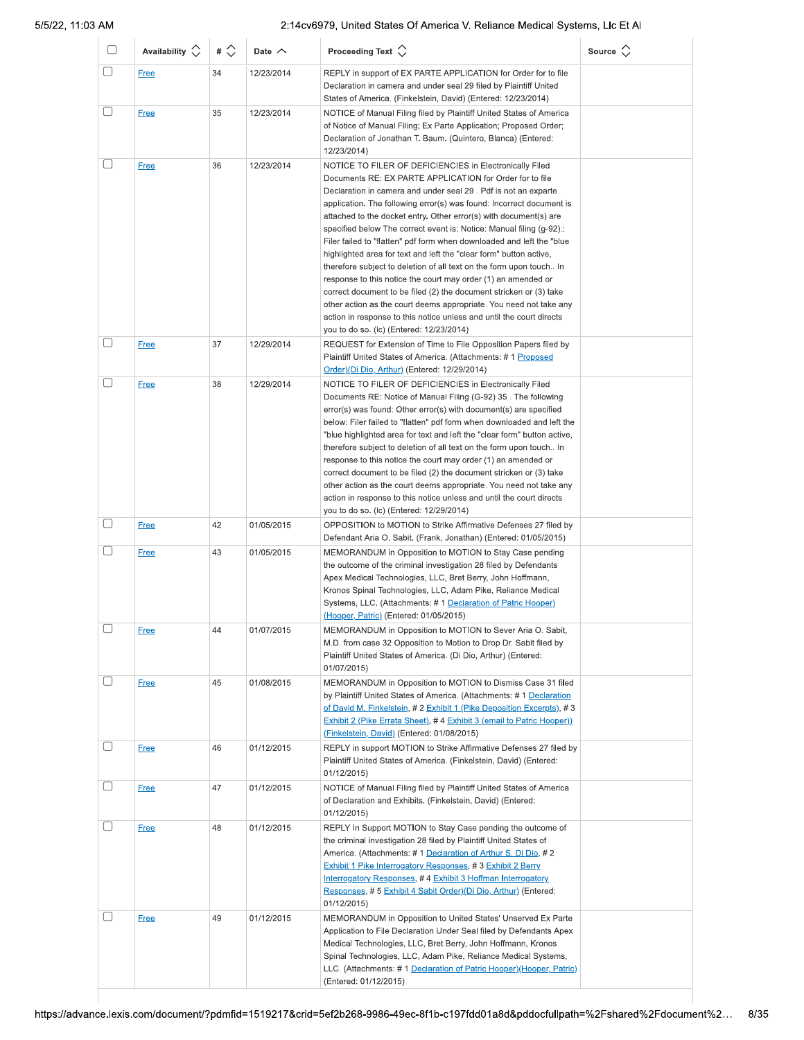| u      | Availability $\Diamond$    | # $\Diamond$ | Date $\wedge$            | Proceeding Text $\left\langle \right\rangle$                                                                                                                                                                                                                                                                                                                                                                                                                                                                                                                                                                                                                                                                                                                                                                                                                                                                                                                       | Source $\langle \rangle$ |
|--------|----------------------------|--------------|--------------------------|--------------------------------------------------------------------------------------------------------------------------------------------------------------------------------------------------------------------------------------------------------------------------------------------------------------------------------------------------------------------------------------------------------------------------------------------------------------------------------------------------------------------------------------------------------------------------------------------------------------------------------------------------------------------------------------------------------------------------------------------------------------------------------------------------------------------------------------------------------------------------------------------------------------------------------------------------------------------|--------------------------|
| □      | <b>Free</b>                | 34           | 12/23/2014               | REPLY in support of EX PARTE APPLICATION for Order for to file<br>Declaration in camera and under seal 29 filed by Plaintiff United<br>States of America. (Finkelstein, David) (Entered: 12/23/2014)                                                                                                                                                                                                                                                                                                                                                                                                                                                                                                                                                                                                                                                                                                                                                               |                          |
| $\Box$ | <b>Free</b>                | 35           | 12/23/2014               | NOTICE of Manual Filing filed by Plaintiff United States of America<br>of Notice of Manual Filing; Ex Parte Application; Proposed Order;<br>Declaration of Jonathan T. Baum. (Quintero, Blanca) (Entered:<br>12/23/2014)                                                                                                                                                                                                                                                                                                                                                                                                                                                                                                                                                                                                                                                                                                                                           |                          |
|        | <b>Free</b>                | 36           | 12/23/2014               | NOTICE TO FILER OF DEFICIENCIES in Electronically Filed<br>Documents RE: EX PARTE APPLICATION for Order for to file<br>Declaration in camera and under seal 29. Pdf is not an exparte<br>application. The following error(s) was found: Incorrect document is<br>attached to the docket entry. Other error(s) with document(s) are<br>specified below The correct event is: Notice: Manual filing (g-92).:<br>Filer failed to "flatten" pdf form when downloaded and left the "blue"<br>highlighted area for text and left the "clear form" button active,<br>therefore subject to deletion of all text on the form upon touch In<br>response to this notice the court may order (1) an amended or<br>correct document to be filed (2) the document stricken or (3) take<br>other action as the court deems appropriate. You need not take any<br>action in response to this notice unless and until the court directs<br>you to do so. (Ic) (Entered: 12/23/2014) |                          |
|        | <b>Free</b>                | 37           | 12/29/2014               | REQUEST for Extension of Time to File Opposition Papers filed by<br>Plaintiff United States of America. (Attachments: #1 Proposed<br>Order)(Di Dio, Arthur) (Entered: 12/29/2014)                                                                                                                                                                                                                                                                                                                                                                                                                                                                                                                                                                                                                                                                                                                                                                                  |                          |
| u      | <b>Free</b>                | 38           | 12/29/2014               | NOTICE TO FILER OF DEFICIENCIES in Electronically Filed<br>Documents RE: Notice of Manual Filing (G-92) 35. The following<br>error(s) was found: Other error(s) with document(s) are specified<br>below: Filer failed to "flatten" pdf form when downloaded and left the<br>"blue highlighted area for text and left the "clear form" button active,<br>therefore subject to deletion of all text on the form upon touch In<br>response to this notice the court may order (1) an amended or<br>correct document to be filed (2) the document stricken or (3) take<br>other action as the court deems appropriate. You need not take any<br>action in response to this notice unless and until the court directs<br>you to do so. (lc) (Entered: 12/29/2014)                                                                                                                                                                                                       |                          |
|        | <b>Free</b>                | 42           | 01/05/2015               | OPPOSITION to MOTION to Strike Affirmative Defenses 27 filed by<br>Defendant Aria O. Sabit. (Frank, Jonathan) (Entered: 01/05/2015)                                                                                                                                                                                                                                                                                                                                                                                                                                                                                                                                                                                                                                                                                                                                                                                                                                |                          |
|        | <b>Free</b>                | 43           | 01/05/2015               | MEMORANDUM in Opposition to MOTION to Stay Case pending<br>the outcome of the criminal investigation 28 filed by Defendants<br>Apex Medical Technologies, LLC, Bret Berry, John Hoffmann,<br>Kronos Spinal Technologies, LLC, Adam Pike, Reliance Medical<br>Systems, LLC. (Attachments: #1 Declaration of Patric Hooper)<br>(Hooper, Patric) (Entered: 01/05/2015)                                                                                                                                                                                                                                                                                                                                                                                                                                                                                                                                                                                                |                          |
| $\Box$ | <u>Free</u>                | 44           | 01/07/2015               | MEMORANDUM in Opposition to MOTION to Sever Aria O. Sabit,<br>M.D. from case 32 Opposition to Motion to Drop Dr. Sabit filed by<br>Plaintiff United States of America. (Di Dio, Arthur) (Entered:<br>01/07/2015)                                                                                                                                                                                                                                                                                                                                                                                                                                                                                                                                                                                                                                                                                                                                                   |                          |
| U      | <b>Free</b><br><b>Free</b> | 45<br>46     | 01/08/2015<br>01/12/2015 | MEMORANDUM in Opposition to MOTION to Dismiss Case 31 filed<br>by Plaintiff United States of America. (Attachments: #1 Declaration<br>of David M. Finkelstein, # 2 Exhibit 1 (Pike Deposition Excerpts), # 3<br><b>Exhibit 2 (Pike Errata Sheet), #4 Exhibit 3 (email to Patric Hooper))</b><br>(Finkelstein, David) (Entered: 01/08/2015)<br>REPLY in support MOTION to Strike Affirmative Defenses 27 filed by                                                                                                                                                                                                                                                                                                                                                                                                                                                                                                                                                   |                          |
|        |                            |              |                          | Plaintiff United States of America. (Finkelstein, David) (Entered:<br>01/12/2015)                                                                                                                                                                                                                                                                                                                                                                                                                                                                                                                                                                                                                                                                                                                                                                                                                                                                                  |                          |
|        | <b>Free</b>                | 47           | 01/12/2015               | NOTICE of Manual Filing filed by Plaintiff United States of America<br>of Declaration and Exhibits. (Finkelstein, David) (Entered:<br>01/12/2015)                                                                                                                                                                                                                                                                                                                                                                                                                                                                                                                                                                                                                                                                                                                                                                                                                  |                          |
|        | <b>Free</b>                | 48           | 01/12/2015               | REPLY In Support MOTION to Stay Case pending the outcome of<br>the criminal investigation 28 filed by Plaintiff United States of<br>America. (Attachments: #1 Declaration of Arthur S. Di Dio, #2<br><b>Exhibit 1 Pike Interrogatory Responses, #3 Exhibit 2 Berry</b><br>Interrogatory Responses, #4 Exhibit 3 Hoffman Interrogatory<br>Responses, # 5 Exhibit 4 Sabit Order)(Di Dio, Arthur) (Entered:<br>01/12/2015)                                                                                                                                                                                                                                                                                                                                                                                                                                                                                                                                            |                          |
|        | <b>Free</b>                | 49           | 01/12/2015               | MEMORANDUM in Opposition to United States' Unserved Ex Parte<br>Application to File Declaration Under Seal filed by Defendants Apex<br>Medical Technologies, LLC, Bret Berry, John Hoffmann, Kronos<br>Spinal Technologies, LLC, Adam Pike, Reliance Medical Systems,<br>LLC. (Attachments: #1 Declaration of Patric Hooper) (Hooper, Patric)<br>(Entered: 01/12/2015)                                                                                                                                                                                                                                                                                                                                                                                                                                                                                                                                                                                             |                          |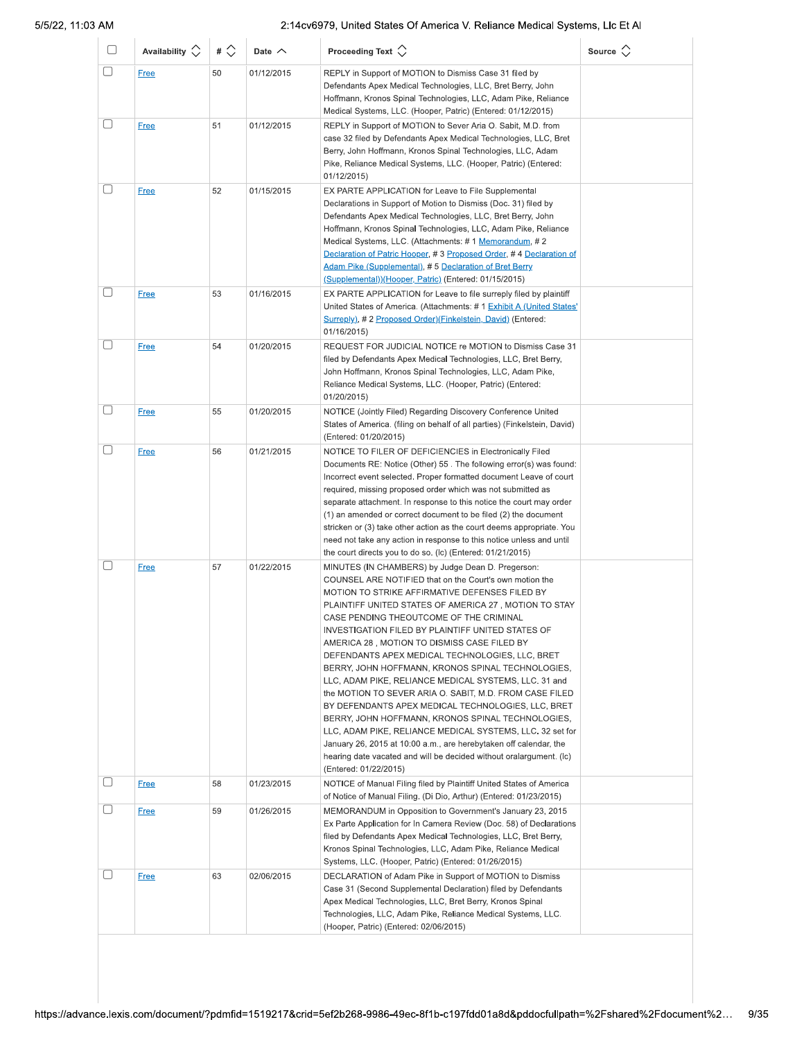| O            | Availability $\Diamond$ | # $\Diamond$ | Date $\wedge$ | Proceeding Text $\Diamond$                                                                                                                                                                                                                                                                                                                                                                                                                                                                                                                                                                                                                                                                                                                                                                                                                                                                                                                      | Source $\langle \rangle$ |
|--------------|-------------------------|--------------|---------------|-------------------------------------------------------------------------------------------------------------------------------------------------------------------------------------------------------------------------------------------------------------------------------------------------------------------------------------------------------------------------------------------------------------------------------------------------------------------------------------------------------------------------------------------------------------------------------------------------------------------------------------------------------------------------------------------------------------------------------------------------------------------------------------------------------------------------------------------------------------------------------------------------------------------------------------------------|--------------------------|
| □            | <b>Free</b>             | 50           | 01/12/2015    | REPLY in Support of MOTION to Dismiss Case 31 filed by<br>Defendants Apex Medical Technologies, LLC, Bret Berry, John<br>Hoffmann, Kronos Spinal Technologies, LLC, Adam Pike, Reliance<br>Medical Systems, LLC. (Hooper, Patric) (Entered: 01/12/2015)                                                                                                                                                                                                                                                                                                                                                                                                                                                                                                                                                                                                                                                                                         |                          |
|              | <b>Free</b>             | 51           | 01/12/2015    | REPLY in Support of MOTION to Sever Aria O. Sabit, M.D. from<br>case 32 filed by Defendants Apex Medical Technologies, LLC, Bret<br>Berry, John Hoffmann, Kronos Spinal Technologies, LLC, Adam<br>Pike, Reliance Medical Systems, LLC. (Hooper, Patric) (Entered:<br>01/12/2015)                                                                                                                                                                                                                                                                                                                                                                                                                                                                                                                                                                                                                                                               |                          |
|              | <b>Free</b>             | 52           | 01/15/2015    | EX PARTE APPLICATION for Leave to File Supplemental<br>Declarations in Support of Motion to Dismiss (Doc. 31) filed by<br>Defendants Apex Medical Technologies, LLC, Bret Berry, John<br>Hoffmann, Kronos Spinal Technologies, LLC, Adam Pike, Reliance<br>Medical Systems, LLC. (Attachments: # 1 Memorandum, # 2<br>Declaration of Patric Hooper, #3 Proposed Order, #4 Declaration of<br>Adam Pike (Supplemental), #5 Declaration of Bret Berry<br>(Supplemental))(Hooper, Patric) (Entered: 01/15/2015)                                                                                                                                                                                                                                                                                                                                                                                                                                     |                          |
|              | <b>Free</b>             | 53           | 01/16/2015    | EX PARTE APPLICATION for Leave to file surreply filed by plaintiff<br>United States of America. (Attachments: #1 Exhibit A (United States'<br>Surreply), # 2 Proposed Order)(Finkelstein, David) (Entered:<br>01/16/2015)                                                                                                                                                                                                                                                                                                                                                                                                                                                                                                                                                                                                                                                                                                                       |                          |
|              | <b>Free</b>             | 54           | 01/20/2015    | REQUEST FOR JUDICIAL NOTICE re MOTION to Dismiss Case 31<br>filed by Defendants Apex Medical Technologies, LLC, Bret Berry,<br>John Hoffmann, Kronos Spinal Technologies, LLC, Adam Pike,<br>Reliance Medical Systems, LLC. (Hooper, Patric) (Entered:<br>01/20/2015)                                                                                                                                                                                                                                                                                                                                                                                                                                                                                                                                                                                                                                                                           |                          |
| U            | <b>Free</b>             | 55           | 01/20/2015    | NOTICE (Jointly Filed) Regarding Discovery Conference United<br>States of America. (filing on behalf of all parties) (Finkelstein, David)<br>(Entered: 01/20/2015)                                                                                                                                                                                                                                                                                                                                                                                                                                                                                                                                                                                                                                                                                                                                                                              |                          |
| $\mathbb{L}$ | <b>Free</b>             | 56           | 01/21/2015    | NOTICE TO FILER OF DEFICIENCIES in Electronically Filed<br>Documents RE: Notice (Other) 55. The following error(s) was found:<br>Incorrect event selected. Proper formatted document Leave of court<br>required, missing proposed order which was not submitted as<br>separate attachment. In response to this notice the court may order<br>(1) an amended or correct document to be filed (2) the document<br>stricken or (3) take other action as the court deems appropriate. You<br>need not take any action in response to this notice unless and until<br>the court directs you to do so. (Ic) (Entered: 01/21/2015)                                                                                                                                                                                                                                                                                                                     |                          |
|              | <b>Free</b>             | 57           | 01/22/2015    | MINUTES (IN CHAMBERS) by Judge Dean D. Pregerson:<br>COUNSEL ARE NOTIFIED that on the Court's own motion the<br>MOTION TO STRIKE AFFIRMATIVE DEFENSES FILED BY<br>PLAINTIFF UNITED STATES OF AMERICA 27, MOTION TO STAY<br>CASE PENDING THEOUTCOME OF THE CRIMINAL<br>INVESTIGATION FILED BY PLAINTIFF UNITED STATES OF<br>AMERICA 28, MOTION TO DISMISS CASE FILED BY<br>DEFENDANTS APEX MEDICAL TECHNOLOGIES, LLC, BRET<br>BERRY, JOHN HOFFMANN, KRONOS SPINAL TECHNOLOGIES,<br>LLC, ADAM PIKE, RELIANCE MEDICAL SYSTEMS, LLC. 31 and<br>the MOTION TO SEVER ARIA O. SABIT, M.D. FROM CASE FILED<br>BY DEFENDANTS APEX MEDICAL TECHNOLOGIES, LLC, BRET<br>BERRY, JOHN HOFFMANN, KRONOS SPINAL TECHNOLOGIES,<br>LLC, ADAM PIKE, RELIANCE MEDICAL SYSTEMS, LLC. 32 set for<br>January 26, 2015 at 10:00 a.m., are herebytaken off calendar, the<br>hearing date vacated and will be decided without oralargument. (Ic)<br>(Entered: 01/22/2015) |                          |
|              | <b>Free</b>             | 58           | 01/23/2015    | NOTICE of Manual Filing filed by Plaintiff United States of America<br>of Notice of Manual Filing. (Di Dio, Arthur) (Entered: 01/23/2015)                                                                                                                                                                                                                                                                                                                                                                                                                                                                                                                                                                                                                                                                                                                                                                                                       |                          |
|              | <b>Free</b>             | 59           | 01/26/2015    | MEMORANDUM in Opposition to Government's January 23, 2015<br>Ex Parte Application for In Camera Review (Doc. 58) of Declarations<br>filed by Defendants Apex Medical Technologies, LLC, Bret Berry,<br>Kronos Spinal Technologies, LLC, Adam Pike, Reliance Medical<br>Systems, LLC. (Hooper, Patric) (Entered: 01/26/2015)                                                                                                                                                                                                                                                                                                                                                                                                                                                                                                                                                                                                                     |                          |
|              | <b>Free</b>             | 63           | 02/06/2015    | DECLARATION of Adam Pike in Support of MOTION to Dismiss<br>Case 31 (Second Supplemental Declaration) filed by Defendants<br>Apex Medical Technologies, LLC, Bret Berry, Kronos Spinal<br>Technologies, LLC, Adam Pike, Reliance Medical Systems, LLC.<br>(Hooper, Patric) (Entered: 02/06/2015)                                                                                                                                                                                                                                                                                                                                                                                                                                                                                                                                                                                                                                                |                          |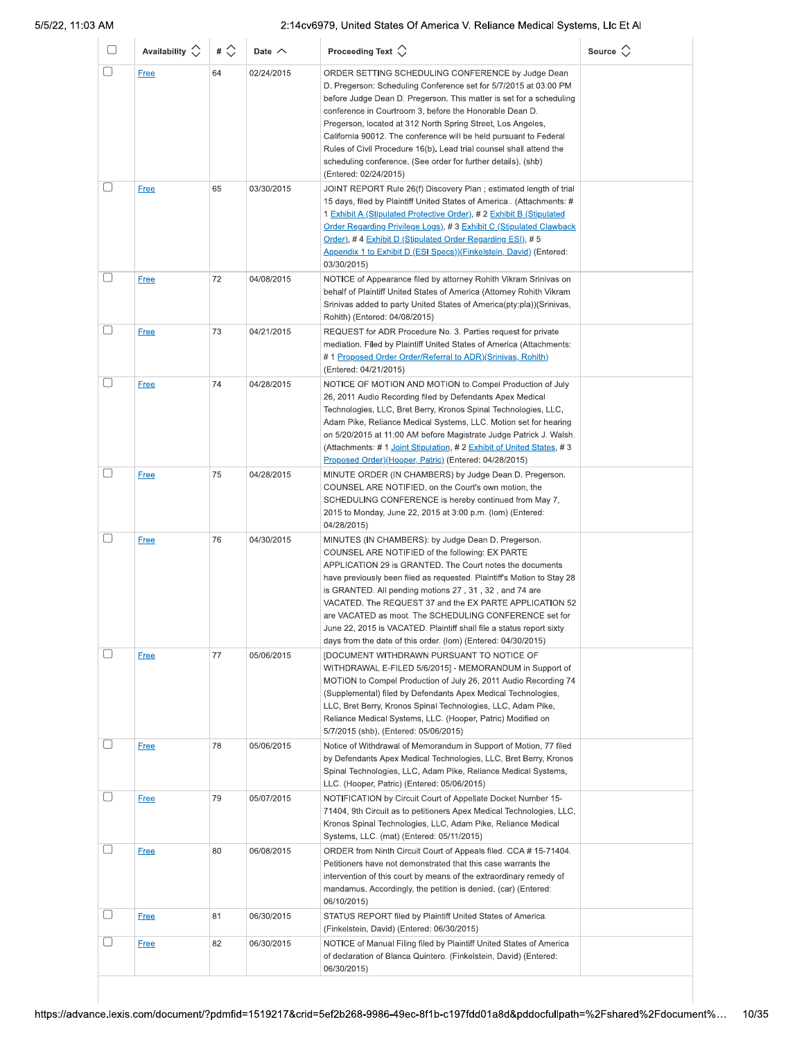| O      | Availability $\Diamond$    | # $\Diamond$ | Date $\wedge$            | Proceeding Text $\left\langle \right\rangle$                                                                                                                                                                                                                                                                                                                                                                                                                                                                                                                                         | Source $\langle \rangle$ |
|--------|----------------------------|--------------|--------------------------|--------------------------------------------------------------------------------------------------------------------------------------------------------------------------------------------------------------------------------------------------------------------------------------------------------------------------------------------------------------------------------------------------------------------------------------------------------------------------------------------------------------------------------------------------------------------------------------|--------------------------|
| $\Box$ | Free                       | 64           | 02/24/2015               | ORDER SETTING SCHEDULING CONFERENCE by Judge Dean<br>D. Pregerson: Scheduling Conference set for 5/7/2015 at 03:00 PM<br>before Judge Dean D. Pregerson. This matter is set for a scheduling<br>conference in Courtroom 3, before the Honorable Dean D.<br>Pregerson, located at 312 North Spring Street, Los Angeles,<br>California 90012. The conference will be held pursuant to Federal<br>Rules of Civil Procedure 16(b). Lead trial counsel shall attend the<br>scheduling conference. (See order for further details). (shb)<br>(Entered: 02/24/2015)                         |                          |
| ∩      | <b>Free</b>                | 65           | 03/30/2015               | JOINT REPORT Rule 26(f) Discovery Plan ; estimated length of trial<br>15 days, filed by Plaintiff United States of America (Attachments: #<br>1 Exhibit A (Stipulated Protective Order), # 2 Exhibit B (Stipulated<br>Order Regarding Privilege Logs), #3 Exhibit C (Stipulated Clawback<br>Order), #4 Exhibit D (Stipulated Order Regarding ESI), #5<br>Appendix 1 to Exhibit D (ESI Specs))(Finkelstein, David) (Entered:<br>03/30/2015)                                                                                                                                           |                          |
| $\Box$ | <b>Free</b>                | 72           | 04/08/2015               | NOTICE of Appearance filed by attorney Rohith Vikram Srinivas on<br>behalf of Plaintiff United States of America (Attorney Rohith Vikram<br>Srinivas added to party United States of America(pty:pla))(Srinivas,<br>Rohith) (Entered: 04/08/2015)                                                                                                                                                                                                                                                                                                                                    |                          |
| П      | <b>Free</b>                | 73           | 04/21/2015               | REQUEST for ADR Procedure No. 3. Parties request for private<br>mediation. Filed by Plaintiff United States of America (Attachments:<br>#1 Proposed Order Order/Referral to ADR)(Srinivas, Rohith)<br>(Entered: 04/21/2015)                                                                                                                                                                                                                                                                                                                                                          |                          |
| L      | <b>Free</b><br><b>Free</b> | 74<br>75     | 04/28/2015<br>04/28/2015 | NOTICE OF MOTION AND MOTION to Compel Production of July<br>26, 2011 Audio Recording filed by Defendants Apex Medical<br>Technologies, LLC, Bret Berry, Kronos Spinal Technologies, LLC,<br>Adam Pike, Reliance Medical Systems, LLC. Motion set for hearing<br>on 5/20/2015 at 11:00 AM before Magistrate Judge Patrick J. Walsh.<br>(Attachments: #1 Joint Stipulation, #2 Exhibit of United States, #3<br>Proposed Order)(Hooper, Patric) (Entered: 04/28/2015)<br>MINUTE ORDER (IN CHAMBERS) by Judge Dean D. Pregerson.<br>COUNSEL ARE NOTIFIED, on the Court's own motion, the |                          |
| □      |                            |              |                          | SCHEDULING CONFERENCE is hereby continued from May 7,<br>2015 to Monday, June 22, 2015 at 3:00 p.m. (lom) (Entered:<br>04/28/2015)                                                                                                                                                                                                                                                                                                                                                                                                                                                   |                          |
|        | <b>Free</b>                | 76           | 04/30/2015               | MINUTES (IN CHAMBERS): by Judge Dean D. Pregerson.<br>COUNSEL ARE NOTIFIED of the following: EX PARTE<br>APPLICATION 29 is GRANTED. The Court notes the documents<br>have previously been filed as requested. Plaintiff's Motion to Stay 28<br>is GRANTED. All pending motions 27, 31, 32, and 74 are<br>VACATED. The REQUEST 37 and the EX PARTE APPLICATION 52<br>are VACATED as moot. The SCHEDULING CONFERENCE set for<br>June 22, 2015 is VACATED. Plaintiff shall file a status report sixty<br>days from the date of this order. (lom) (Entered: 04/30/2015)                  |                          |
|        | <b>Free</b>                | 77           | 05/06/2015               | [DOCUMENT WITHDRAWN PURSUANT TO NOTICE OF<br>WITHDRAWAL E-FILED 5/6/2015] - MEMORANDUM in Support of<br>MOTION to Compel Production of July 26, 2011 Audio Recording 74<br>(Supplemental) filed by Defendants Apex Medical Technologies,<br>LLC, Bret Berry, Kronos Spinal Technologies, LLC, Adam Pike,<br>Reliance Medical Systems, LLC. (Hooper, Patric) Modified on<br>5/7/2015 (shb). (Entered: 05/06/2015)                                                                                                                                                                     |                          |
|        | <b>Free</b>                | 78           | 05/06/2015               | Notice of Withdrawal of Memorandum in Support of Motion, 77 filed<br>by Defendants Apex Medical Technologies, LLC, Bret Berry, Kronos<br>Spinal Technologies, LLC, Adam Pike, Reliance Medical Systems,<br>LLC. (Hooper, Patric) (Entered: 05/06/2015)                                                                                                                                                                                                                                                                                                                               |                          |
|        | <b>Free</b>                | 79           | 05/07/2015               | NOTIFICATION by Circuit Court of Appellate Docket Number 15-<br>71404, 9th Circuit as to petitioners Apex Medical Technologies, LLC,<br>Kronos Spinal Technologies, LLC, Adam Pike, Reliance Medical<br>Systems, LLC. (mat) (Entered: 05/11/2015)                                                                                                                                                                                                                                                                                                                                    |                          |
| H      | <b>Free</b>                | 80           | 06/08/2015               | ORDER from Ninth Circuit Court of Appeals filed. CCA #15-71404.<br>Petitioners have not demonstrated that this case warrants the<br>intervention of this court by means of the extraordinary remedy of<br>mandamus. Accordingly, the petition is denied. (car) (Entered:<br>06/10/2015)                                                                                                                                                                                                                                                                                              |                          |
|        | <b>Free</b>                | 81           | 06/30/2015               | STATUS REPORT filed by Plaintiff United States of America.<br>(Finkelstein, David) (Entered: 06/30/2015)                                                                                                                                                                                                                                                                                                                                                                                                                                                                             |                          |
|        | <b>Free</b>                | 82           | 06/30/2015               | NOTICE of Manual Filing filed by Plaintiff United States of America<br>of declaration of Blanca Quintero. (Finkelstein, David) (Entered:<br>06/30/2015)                                                                                                                                                                                                                                                                                                                                                                                                                              |                          |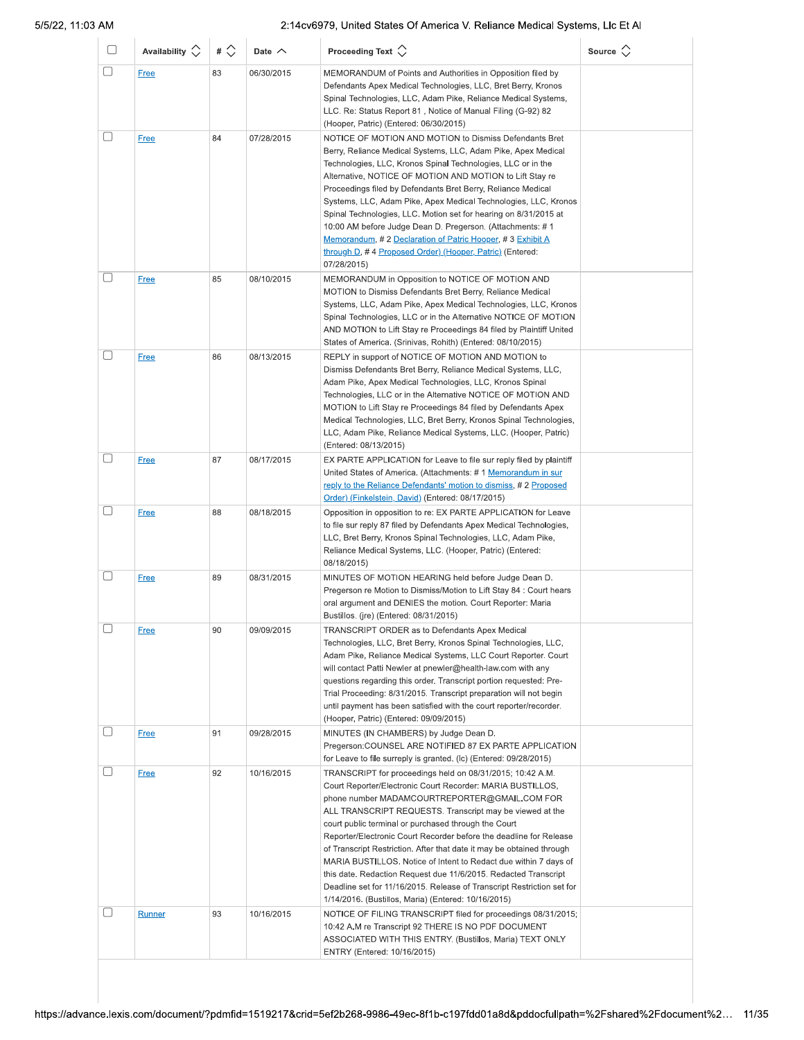| U           | Availability $\Diamond$ | # $\Diamond$ | Date $\wedge$ | Proceeding Text $\left\langle \right\rangle$                                                                                                                                                                                                                                                                                                                                                                                                                                                                                                                                                                                                                                                                        | Source $\Diamond$ |
|-------------|-------------------------|--------------|---------------|---------------------------------------------------------------------------------------------------------------------------------------------------------------------------------------------------------------------------------------------------------------------------------------------------------------------------------------------------------------------------------------------------------------------------------------------------------------------------------------------------------------------------------------------------------------------------------------------------------------------------------------------------------------------------------------------------------------------|-------------------|
| $\Box$      | <b>Free</b>             | 83           | 06/30/2015    | MEMORANDUM of Points and Authorities in Opposition filed by<br>Defendants Apex Medical Technologies, LLC, Bret Berry, Kronos<br>Spinal Technologies, LLC, Adam Pike, Reliance Medical Systems,<br>LLC. Re: Status Report 81, Notice of Manual Filing (G-92) 82<br>(Hooper, Patric) (Entered: 06/30/2015)                                                                                                                                                                                                                                                                                                                                                                                                            |                   |
| $[ \quad ]$ | Free                    | 84           | 07/28/2015    | NOTICE OF MOTION AND MOTION to Dismiss Defendants Bret<br>Berry, Reliance Medical Systems, LLC, Adam Pike, Apex Medical<br>Technologies, LLC, Kronos Spinal Technologies, LLC or in the<br>Alternative, NOTICE OF MOTION AND MOTION to Lift Stay re<br>Proceedings filed by Defendants Bret Berry, Reliance Medical<br>Systems, LLC, Adam Pike, Apex Medical Technologies, LLC, Kronos<br>Spinal Technologies, LLC. Motion set for hearing on 8/31/2015 at<br>10:00 AM before Judge Dean D. Pregerson. (Attachments: #1<br>Memorandum, #2 Declaration of Patric Hooper, #3 Exhibit A<br>through D, #4 Proposed Order) (Hooper, Patric) (Entered:<br>07/28/2015)                                                     |                   |
| U           | <b>Free</b>             | 85           | 08/10/2015    | MEMORANDUM in Opposition to NOTICE OF MOTION AND<br>MOTION to Dismiss Defendants Bret Berry, Reliance Medical<br>Systems, LLC, Adam Pike, Apex Medical Technologies, LLC, Kronos<br>Spinal Technologies, LLC or in the Alternative NOTICE OF MOTION<br>AND MOTION to Lift Stay re Proceedings 84 filed by Plaintiff United<br>States of America. (Srinivas, Rohith) (Entered: 08/10/2015)                                                                                                                                                                                                                                                                                                                           |                   |
| П           | <b>Free</b>             | 86           | 08/13/2015    | REPLY in support of NOTICE OF MOTION AND MOTION to<br>Dismiss Defendants Bret Berry, Reliance Medical Systems, LLC,<br>Adam Pike, Apex Medical Technologies, LLC, Kronos Spinal<br>Technologies, LLC or in the Alternative NOTICE OF MOTION AND<br>MOTION to Lift Stay re Proceedings 84 filed by Defendants Apex<br>Medical Technologies, LLC, Bret Berry, Kronos Spinal Technologies,<br>LLC, Adam Pike, Reliance Medical Systems, LLC. (Hooper, Patric)<br>(Entered: 08/13/2015)                                                                                                                                                                                                                                 |                   |
| □           | <b>Free</b>             | 87           | 08/17/2015    | EX PARTE APPLICATION for Leave to file sur reply filed by plaintiff<br>United States of America. (Attachments: #1 Memorandum in sur<br>reply to the Reliance Defendants' motion to dismiss, #2 Proposed<br>Order) (Finkelstein, David) (Entered: 08/17/2015)                                                                                                                                                                                                                                                                                                                                                                                                                                                        |                   |
| U           | Free                    | 88           | 08/18/2015    | Opposition in opposition to re: EX PARTE APPLICATION for Leave<br>to file sur reply 87 filed by Defendants Apex Medical Technologies,<br>LLC, Bret Berry, Kronos Spinal Technologies, LLC, Adam Pike,<br>Reliance Medical Systems, LLC. (Hooper, Patric) (Entered:<br>08/18/2015)                                                                                                                                                                                                                                                                                                                                                                                                                                   |                   |
| П           | <b>Free</b>             | 89           | 08/31/2015    | MINUTES OF MOTION HEARING held before Judge Dean D.<br>Pregerson re Motion to Dismiss/Motion to Lift Stay 84 : Court hears<br>oral argument and DENIES the motion. Court Reporter: Maria<br>Bustillos. (jre) (Entered: 08/31/2015)                                                                                                                                                                                                                                                                                                                                                                                                                                                                                  |                   |
| $\Box$      | <u>Free</u>             | 90           | 09/09/2015    | TRANSCRIPT ORDER as to Defendants Apex Medical<br>Technologies, LLC, Bret Berry, Kronos Spinal Technologies, LLC,<br>Adam Pike, Reliance Medical Systems, LLC Court Reporter. Court<br>will contact Patti Newler at pnewler@health-law.com with any<br>questions regarding this order. Transcript portion requested: Pre-<br>Trial Proceeding: 8/31/2015. Transcript preparation will not begin<br>until payment has been satisfied with the court reporter/recorder.<br>(Hooper, Patric) (Entered: 09/09/2015)                                                                                                                                                                                                     |                   |
| L           | <b>Free</b>             | 91           | 09/28/2015    | MINUTES (IN CHAMBERS) by Judge Dean D.<br>Pregerson: COUNSEL ARE NOTIFIED 87 EX PARTE APPLICATION<br>for Leave to file surreply is granted. (Ic) (Entered: 09/28/2015)                                                                                                                                                                                                                                                                                                                                                                                                                                                                                                                                              |                   |
|             | <b>Free</b>             | 92           | 10/16/2015    | TRANSCRIPT for proceedings held on 08/31/2015; 10:42 A.M.<br>Court Reporter/Electronic Court Recorder: MARIA BUSTILLOS,<br>phone number MADAMCOURTREPORTER@GMAIL.COM FOR<br>ALL TRANSCRIPT REQUESTS. Transcript may be viewed at the<br>court public terminal or purchased through the Court<br>Reporter/Electronic Court Recorder before the deadline for Release<br>of Transcript Restriction. After that date it may be obtained through<br>MARIA BUSTILLOS. Notice of Intent to Redact due within 7 days of<br>this date. Redaction Request due 11/6/2015. Redacted Transcript<br>Deadline set for 11/16/2015. Release of Transcript Restriction set for<br>1/14/2016. (Bustillos, Maria) (Entered: 10/16/2015) |                   |
|             | <b>Runner</b>           | 93           | 10/16/2015    | NOTICE OF FILING TRANSCRIPT filed for proceedings 08/31/2015;<br>10:42 A.M re Transcript 92 THERE IS NO PDF DOCUMENT<br>ASSOCIATED WITH THIS ENTRY. (Bustillos, Maria) TEXT ONLY<br>ENTRY (Entered: 10/16/2015)                                                                                                                                                                                                                                                                                                                                                                                                                                                                                                     |                   |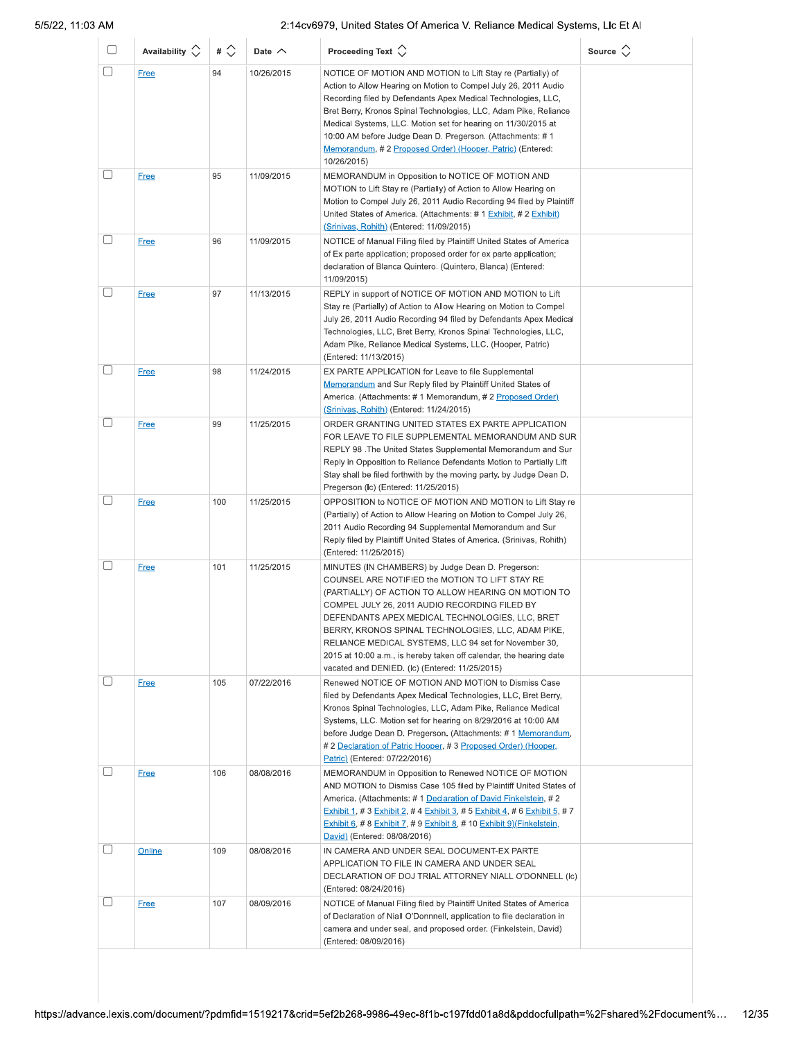| u      | Availability $\circlearrowright$ | # $\Diamond$ | Date $\wedge$ | Proceeding Text $\left\langle \right\rangle$                                                                                                                                                                                                                                                                                                                                                                                                                                                           | Source $\Diamond$ |
|--------|----------------------------------|--------------|---------------|--------------------------------------------------------------------------------------------------------------------------------------------------------------------------------------------------------------------------------------------------------------------------------------------------------------------------------------------------------------------------------------------------------------------------------------------------------------------------------------------------------|-------------------|
| □      | <b>Free</b>                      | 94           | 10/26/2015    | NOTICE OF MOTION AND MOTION to Lift Stay re (Partially) of<br>Action to Allow Hearing on Motion to Compel July 26, 2011 Audio<br>Recording filed by Defendants Apex Medical Technologies, LLC,<br>Bret Berry, Kronos Spinal Technologies, LLC, Adam Pike, Reliance<br>Medical Systems, LLC. Motion set for hearing on 11/30/2015 at<br>10:00 AM before Judge Dean D. Pregerson. (Attachments: # 1<br>Memorandum, #2 Proposed Order) (Hooper, Patric) (Entered:<br>10/26/2015)                          |                   |
|        | <b>Free</b>                      | 95           | 11/09/2015    | MEMORANDUM in Opposition to NOTICE OF MOTION AND<br>MOTION to Lift Stay re (Partially) of Action to Allow Hearing on<br>Motion to Compel July 26, 2011 Audio Recording 94 filed by Plaintiff<br>United States of America. (Attachments: # 1 Exhibit, # 2 Exhibit)<br><u>(Srinivas, Rohith)</u> (Entered: 11/09/2015)                                                                                                                                                                                   |                   |
|        | <b>Free</b>                      | 96           | 11/09/2015    | NOTICE of Manual Filing filed by Plaintiff United States of America<br>of Ex parte application; proposed order for ex parte application;<br>declaration of Blanca Quintero. (Quintero, Blanca) (Entered:<br>11/09/2015)                                                                                                                                                                                                                                                                                |                   |
| $\Box$ | <b>Free</b>                      | 97           | 11/13/2015    | REPLY in support of NOTICE OF MOTION AND MOTION to Lift<br>Stay re (Partially) of Action to Allow Hearing on Motion to Compel<br>July 26, 2011 Audio Recording 94 filed by Defendants Apex Medical<br>Technologies, LLC, Bret Berry, Kronos Spinal Technologies, LLC,<br>Adam Pike, Reliance Medical Systems, LLC. (Hooper, Patric)<br>(Entered: 11/13/2015)                                                                                                                                           |                   |
| П      | <b>Free</b>                      | 98           | 11/24/2015    | EX PARTE APPLICATION for Leave to file Supplemental<br>Memorandum and Sur Reply filed by Plaintiff United States of<br>America. (Attachments: #1 Memorandum, #2 Proposed Order)<br>(Srinivas, Rohith) (Entered: 11/24/2015)                                                                                                                                                                                                                                                                            |                   |
|        | <b>Free</b>                      | 99           | 11/25/2015    | ORDER GRANTING UNITED STATES EX PARTE APPLICATION<br>FOR LEAVE TO FILE SUPPLEMENTAL MEMORANDUM AND SUR<br>REPLY 98 .The United States Supplemental Memorandum and Sur<br>Reply in Opposition to Reliance Defendants Motion to Partially Lift<br>Stay shall be filed forthwith by the moving party. by Judge Dean D.<br>Pregerson (Ic) (Entered: 11/25/2015)                                                                                                                                            |                   |
| □      | <b>Free</b>                      | 100          | 11/25/2015    | OPPOSITION to NOTICE OF MOTION AND MOTION to Lift Stay re<br>(Partially) of Action to Allow Hearing on Motion to Compel July 26,<br>2011 Audio Recording 94 Supplemental Memorandum and Sur<br>Reply filed by Plaintiff United States of America. (Srinivas, Rohith)<br>(Entered: 11/25/2015)                                                                                                                                                                                                          |                   |
|        | <b>Free</b>                      | 101          | 11/25/2015    | MINUTES (IN CHAMBERS) by Judge Dean D. Pregerson:<br>COUNSEL ARE NOTIFIED the MOTION TO LIFT STAY RE<br>(PARTIALLY) OF ACTION TO ALLOW HEARING ON MOTION TO<br>COMPEL JULY 26, 2011 AUDIO RECORDING FILED BY<br>DEFENDANTS APEX MEDICAL TECHNOLOGIES, LLC, BRET<br>BERRY, KRONOS SPINAL TECHNOLOGIES, LLC, ADAM PIKE,<br>RELIANCE MEDICAL SYSTEMS, LLC 94 set for November 30,<br>2015 at 10:00 a.m., is hereby taken off calendar, the hearing date<br>vacated and DENIED. (Ic) (Entered: 11/25/2015) |                   |
| u      | <b>Free</b>                      | 105          | 07/22/2016    | Renewed NOTICE OF MOTION AND MOTION to Dismiss Case<br>filed by Defendants Apex Medical Technologies, LLC, Bret Berry,<br>Kronos Spinal Technologies, LLC, Adam Pike, Reliance Medical<br>Systems, LLC. Motion set for hearing on 8/29/2016 at 10:00 AM<br>before Judge Dean D. Pregerson. (Attachments: #1 Memorandum,<br># 2 Declaration of Patric Hooper, # 3 Proposed Order) (Hooper,<br>Patric) (Entered: 07/22/2016)                                                                             |                   |
|        | <b>Free</b>                      | 106          | 08/08/2016    | MEMORANDUM in Opposition to Renewed NOTICE OF MOTION<br>AND MOTION to Dismiss Case 105 filed by Plaintiff United States of<br>America. (Attachments: #1 Declaration of David Finkelstein, #2<br><b>Exhibit 1, # 3 Exhibit 2, # 4 Exhibit 3, # 5 Exhibit 4, # 6 Exhibit 5, # 7</b><br>Exhibit 6, # 8 Exhibit 7, # 9 Exhibit 8, # 10 Exhibit 9)(Finkelstein,<br>David) (Entered: 08/08/2016)                                                                                                             |                   |
|        | Online                           | 109          | 08/08/2016    | IN CAMERA AND UNDER SEAL DOCUMENT-EX PARTE<br>APPLICATION TO FILE IN CAMERA AND UNDER SEAL<br>DECLARATION OF DOJ TRIAL ATTORNEY NIALL O'DONNELL (Ic)<br>(Entered: 08/24/2016)                                                                                                                                                                                                                                                                                                                          |                   |
| O      | <b>Free</b>                      | 107          | 08/09/2016    | NOTICE of Manual Filing filed by Plaintiff United States of America<br>of Declaration of Niall O'Donnnell, application to file declaration in<br>camera and under seal, and proposed order. (Finkelstein, David)<br>(Entered: 08/09/2016)                                                                                                                                                                                                                                                              |                   |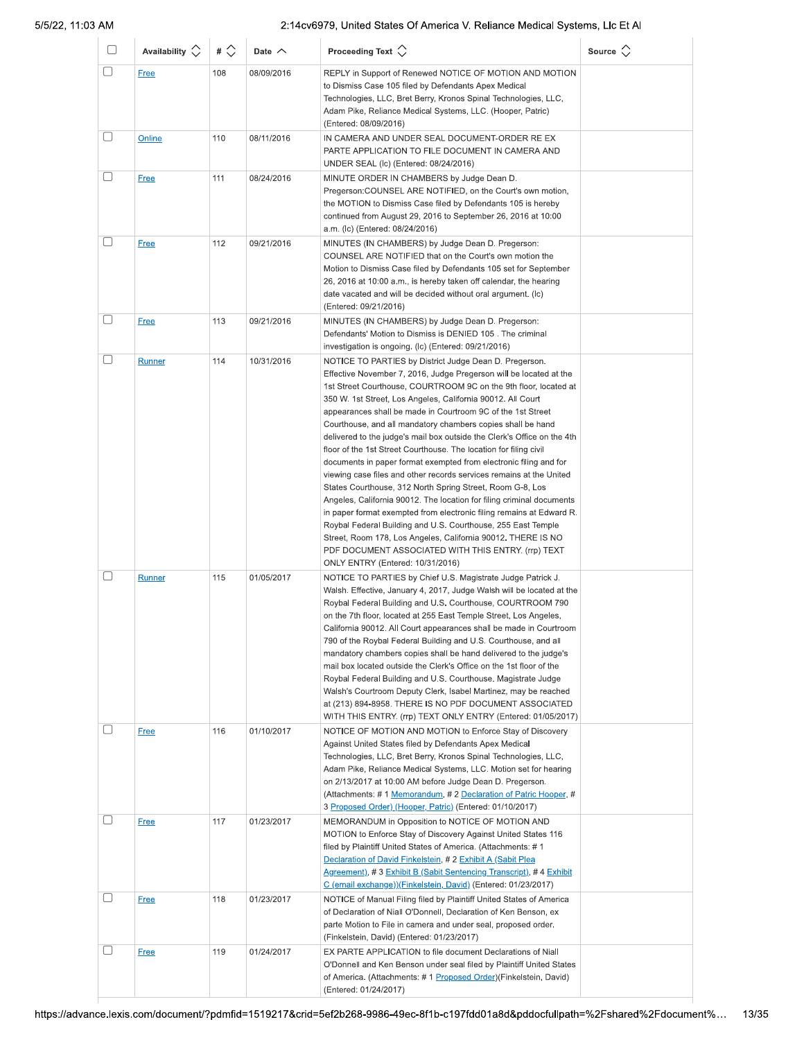| O           | Availability $\circlearrowright$ | # $\Diamond$ | Date $\wedge$ | Proceeding Text $\left\langle \right\rangle$                                                                                                                                                                                                                                                                                                                                                                                                                                                                                                                                                                                                                                                                                                                                                                                                                                                                                                                                                                                                                                                                                       | Source $\Diamond$ |
|-------------|----------------------------------|--------------|---------------|------------------------------------------------------------------------------------------------------------------------------------------------------------------------------------------------------------------------------------------------------------------------------------------------------------------------------------------------------------------------------------------------------------------------------------------------------------------------------------------------------------------------------------------------------------------------------------------------------------------------------------------------------------------------------------------------------------------------------------------------------------------------------------------------------------------------------------------------------------------------------------------------------------------------------------------------------------------------------------------------------------------------------------------------------------------------------------------------------------------------------------|-------------------|
| $\Box$      | <b>Free</b>                      | 108          | 08/09/2016    | REPLY in Support of Renewed NOTICE OF MOTION AND MOTION<br>to Dismiss Case 105 filed by Defendants Apex Medical<br>Technologies, LLC, Bret Berry, Kronos Spinal Technologies, LLC,<br>Adam Pike, Reliance Medical Systems, LLC. (Hooper, Patric)<br>(Entered: 08/09/2016)                                                                                                                                                                                                                                                                                                                                                                                                                                                                                                                                                                                                                                                                                                                                                                                                                                                          |                   |
| O           | Online                           | 110          | 08/11/2016    | IN CAMERA AND UNDER SEAL DOCUMENT-ORDER RE EX<br>PARTE APPLICATION TO FILE DOCUMENT IN CAMERA AND<br>UNDER SEAL (Ic) (Entered: 08/24/2016)                                                                                                                                                                                                                                                                                                                                                                                                                                                                                                                                                                                                                                                                                                                                                                                                                                                                                                                                                                                         |                   |
|             | <b>Free</b>                      | 111          | 08/24/2016    | MINUTE ORDER IN CHAMBERS by Judge Dean D.<br>Pregerson: COUNSEL ARE NOTIFIED, on the Court's own motion,<br>the MOTION to Dismiss Case filed by Defendants 105 is hereby<br>continued from August 29, 2016 to September 26, 2016 at 10:00<br>a.m. (Ic) (Entered: 08/24/2016)                                                                                                                                                                                                                                                                                                                                                                                                                                                                                                                                                                                                                                                                                                                                                                                                                                                       |                   |
| □           | <b>Free</b>                      | 112          | 09/21/2016    | MINUTES (IN CHAMBERS) by Judge Dean D. Pregerson:<br>COUNSEL ARE NOTIFIED that on the Court's own motion the<br>Motion to Dismiss Case filed by Defendants 105 set for September<br>26, 2016 at 10:00 a.m., is hereby taken off calendar, the hearing<br>date vacated and will be decided without oral argument. (Ic)<br>(Entered: 09/21/2016)                                                                                                                                                                                                                                                                                                                                                                                                                                                                                                                                                                                                                                                                                                                                                                                     |                   |
| $[\quad]$   | <b>Free</b>                      | 113          | 09/21/2016    | MINUTES (IN CHAMBERS) by Judge Dean D. Pregerson:<br>Defendants' Motion to Dismiss is DENIED 105. The criminal<br>investigation is ongoing. (Ic) (Entered: 09/21/2016)                                                                                                                                                                                                                                                                                                                                                                                                                                                                                                                                                                                                                                                                                                                                                                                                                                                                                                                                                             |                   |
| O           | Runner                           | 114          | 10/31/2016    | NOTICE TO PARTIES by District Judge Dean D. Pregerson.<br>Effective November 7, 2016, Judge Pregerson will be located at the<br>1st Street Courthouse, COURTROOM 9C on the 9th floor, located at<br>350 W. 1st Street, Los Angeles, California 90012. All Court<br>appearances shall be made in Courtroom 9C of the 1st Street<br>Courthouse, and all mandatory chambers copies shall be hand<br>delivered to the judge's mail box outside the Clerk's Office on the 4th<br>floor of the 1st Street Courthouse. The location for filing civil<br>documents in paper format exempted from electronic filing and for<br>viewing case files and other records services remains at the United<br>States Courthouse, 312 North Spring Street, Room G-8, Los<br>Angeles, California 90012. The location for filing criminal documents<br>in paper format exempted from electronic filing remains at Edward R.<br>Roybal Federal Building and U.S. Courthouse, 255 East Temple<br>Street, Room 178, Los Angeles, California 90012. THERE IS NO<br>PDF DOCUMENT ASSOCIATED WITH THIS ENTRY. (rrp) TEXT<br>ONLY ENTRY (Entered: 10/31/2016) |                   |
| $[ \quad ]$ | <b>Runner</b>                    | 115          | 01/05/2017    | NOTICE TO PARTIES by Chief U.S. Magistrate Judge Patrick J.<br>Walsh. Effective, January 4, 2017, Judge Walsh will be located at the<br>Roybal Federal Building and U.S. Courthouse, COURTROOM 790<br>on the 7th floor, located at 255 East Temple Street, Los Angeles,<br>California 90012. All Court appearances shall be made in Courtroom<br>790 of the Roybal Federal Building and U.S. Courthouse, and all<br>mandatory chambers copies shall be hand delivered to the judge's<br>mail box located outside the Clerk's Office on the 1st floor of the<br>Roybal Federal Building and U.S. Courthouse. Magistrate Judge<br>Walsh's Courtroom Deputy Clerk, Isabel Martinez, may be reached<br>at (213) 894-8958. THERE IS NO PDF DOCUMENT ASSOCIATED<br>WITH THIS ENTRY. (rrp) TEXT ONLY ENTRY (Entered: 01/05/2017)                                                                                                                                                                                                                                                                                                          |                   |
| $\Box$      | <b>Free</b>                      | 116          | 01/10/2017    | NOTICE OF MOTION AND MOTION to Enforce Stay of Discovery<br>Against United States filed by Defendants Apex Medical<br>Technologies, LLC, Bret Berry, Kronos Spinal Technologies, LLC,<br>Adam Pike, Reliance Medical Systems, LLC. Motion set for hearing<br>on 2/13/2017 at 10:00 AM before Judge Dean D. Pregerson.<br>(Attachments: #1 Memorandum, #2 Declaration of Patric Hooper, #<br>3 Proposed Order) (Hooper, Patric) (Entered: 01/10/2017)                                                                                                                                                                                                                                                                                                                                                                                                                                                                                                                                                                                                                                                                               |                   |
|             | <b>Free</b>                      | 117          | 01/23/2017    | MEMORANDUM in Opposition to NOTICE OF MOTION AND<br>MOTION to Enforce Stay of Discovery Against United States 116<br>filed by Plaintiff United States of America. (Attachments: #1<br>Declaration of David Finkelstein, #2 Exhibit A (Sabit Plea<br>Agreement), #3 Exhibit B (Sabit Sentencing Transcript), #4 Exhibit<br>C (email exchange))(Finkelstein, David) (Entered: 01/23/2017)                                                                                                                                                                                                                                                                                                                                                                                                                                                                                                                                                                                                                                                                                                                                            |                   |
|             | <b>Free</b>                      | 118          | 01/23/2017    | NOTICE of Manual Filing filed by Plaintiff United States of America<br>of Declaration of Niall O'Donnell, Declaration of Ken Benson, ex<br>parte Motion to File in camera and under seal, proposed order.<br>(Finkelstein, David) (Entered: 01/23/2017)                                                                                                                                                                                                                                                                                                                                                                                                                                                                                                                                                                                                                                                                                                                                                                                                                                                                            |                   |
| $[\quad]$   | <b>Free</b>                      | 119          | 01/24/2017    | EX PARTE APPLICATION to file document Declarations of Niall<br>O'Donnell and Ken Benson under seal filed by Plaintiff United States<br>of America. (Attachments: #1 Proposed Order)(Finkelstein, David)<br>(Entered: 01/24/2017)                                                                                                                                                                                                                                                                                                                                                                                                                                                                                                                                                                                                                                                                                                                                                                                                                                                                                                   |                   |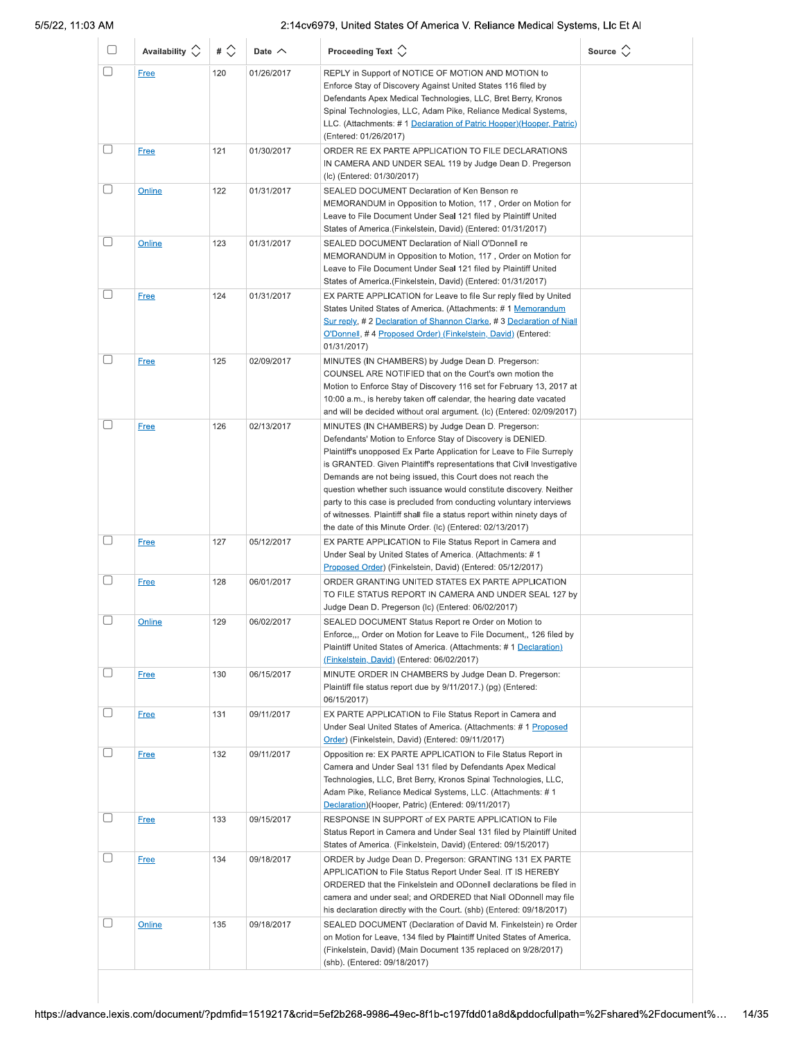| u      | Availability $\circlearrowright$ | # $\Diamond$ | Date $\sim$ | Proceeding Text $\left\langle \right\rangle$                                                                                                                                                                                                                                                                                                                                                                                                                                                                                                                                                                             | Source $\Diamond$ |
|--------|----------------------------------|--------------|-------------|--------------------------------------------------------------------------------------------------------------------------------------------------------------------------------------------------------------------------------------------------------------------------------------------------------------------------------------------------------------------------------------------------------------------------------------------------------------------------------------------------------------------------------------------------------------------------------------------------------------------------|-------------------|
| □      | <b>Free</b>                      | 120          | 01/26/2017  | REPLY in Support of NOTICE OF MOTION AND MOTION to<br>Enforce Stay of Discovery Against United States 116 filed by<br>Defendants Apex Medical Technologies, LLC, Bret Berry, Kronos<br>Spinal Technologies, LLC, Adam Pike, Reliance Medical Systems,<br>LLC. (Attachments: #1 Declaration of Patric Hooper)(Hooper, Patric)<br>(Entered: 01/26/2017)                                                                                                                                                                                                                                                                    |                   |
| $\Box$ | <b>Free</b>                      | 121          | 01/30/2017  | ORDER RE EX PARTE APPLICATION TO FILE DECLARATIONS<br>IN CAMERA AND UNDER SEAL 119 by Judge Dean D. Pregerson<br>(Ic) (Entered: 01/30/2017)                                                                                                                                                                                                                                                                                                                                                                                                                                                                              |                   |
| □      | Online                           | 122          | 01/31/2017  | SEALED DOCUMENT Declaration of Ken Benson re<br>MEMORANDUM in Opposition to Motion, 117, Order on Motion for<br>Leave to File Document Under Seal 121 filed by Plaintiff United<br>States of America. (Finkelstein, David) (Entered: 01/31/2017)                                                                                                                                                                                                                                                                                                                                                                         |                   |
| u      | Online                           | 123          | 01/31/2017  | SEALED DOCUMENT Declaration of Niall O'Donnell re<br>MEMORANDUM in Opposition to Motion, 117, Order on Motion for<br>Leave to File Document Under Seal 121 filed by Plaintiff United<br>States of America. (Finkelstein, David) (Entered: 01/31/2017)                                                                                                                                                                                                                                                                                                                                                                    |                   |
|        | <b>Free</b>                      | 124          | 01/31/2017  | EX PARTE APPLICATION for Leave to file Sur reply filed by United<br>States United States of America. (Attachments: #1 Memorandum<br>Sur reply, # 2 Declaration of Shannon Clarke, # 3 Declaration of Niall<br>O'Donnell, #4 Proposed Order) (Finkelstein, David) (Entered:<br>01/31/2017)                                                                                                                                                                                                                                                                                                                                |                   |
| u      | <b>Free</b>                      | 125          | 02/09/2017  | MINUTES (IN CHAMBERS) by Judge Dean D. Pregerson:<br>COUNSEL ARE NOTIFIED that on the Court's own motion the<br>Motion to Enforce Stay of Discovery 116 set for February 13, 2017 at<br>10:00 a.m., is hereby taken off calendar, the hearing date vacated<br>and will be decided without oral argument. (Ic) (Entered: 02/09/2017)                                                                                                                                                                                                                                                                                      |                   |
|        | <b>Free</b>                      | 126          | 02/13/2017  | MINUTES (IN CHAMBERS) by Judge Dean D. Pregerson:<br>Defendants' Motion to Enforce Stay of Discovery is DENIED.<br>Plaintiff's unopposed Ex Parte Application for Leave to File Surreply<br>is GRANTED. Given Plaintiff's representations that Civil Investigative<br>Demands are not being issued, this Court does not reach the<br>question whether such issuance would constitute discovery. Neither<br>party to this case is precluded from conducting voluntary interviews<br>of witnesses. Plaintiff shall file a status report within ninety days of<br>the date of this Minute Order. (Ic) (Entered: 02/13/2017) |                   |
| 0      | <u>Free</u>                      | 127          | 05/12/2017  | EX PARTE APPLICATION to File Status Report in Camera and<br>Under Seal by United States of America. (Attachments: #1<br>Proposed Order) (Finkelstein, David) (Entered: 05/12/2017)                                                                                                                                                                                                                                                                                                                                                                                                                                       |                   |
| u      | <b>Free</b>                      | 128          | 06/01/2017  | ORDER GRANTING UNITED STATES EX PARTE APPLICATION<br>TO FILE STATUS REPORT IN CAMERA AND UNDER SEAL 127 by<br>Judge Dean D. Pregerson (Ic) (Entered: 06/02/2017)                                                                                                                                                                                                                                                                                                                                                                                                                                                         |                   |
| L      | Online                           | 129          | 06/02/2017  | SEALED DOCUMENT Status Report re Order on Motion to<br>Enforce,,, Order on Motion for Leave to File Document,, 126 filed by<br>Plaintiff United States of America. (Attachments: #1 Declaration)<br>(Finkelstein, David) (Entered: 06/02/2017)                                                                                                                                                                                                                                                                                                                                                                           |                   |
|        | <b>Free</b>                      | 130          | 06/15/2017  | MINUTE ORDER IN CHAMBERS by Judge Dean D. Pregerson:<br>Plaintiff file status report due by 9/11/2017.) (pg) (Entered:<br>06/15/2017)                                                                                                                                                                                                                                                                                                                                                                                                                                                                                    |                   |
| u      | <b>Free</b>                      | 131          | 09/11/2017  | EX PARTE APPLICATION to File Status Report in Camera and<br>Under Seal United States of America. (Attachments: #1 Proposed<br>Order) (Finkelstein, David) (Entered: 09/11/2017)                                                                                                                                                                                                                                                                                                                                                                                                                                          |                   |
| O      | <b>Free</b>                      | 132          | 09/11/2017  | Opposition re: EX PARTE APPLICATION to File Status Report in<br>Camera and Under Seal 131 filed by Defendants Apex Medical<br>Technologies, LLC, Bret Berry, Kronos Spinal Technologies, LLC,<br>Adam Pike, Reliance Medical Systems, LLC. (Attachments: #1<br>Declaration)(Hooper, Patric) (Entered: 09/11/2017)                                                                                                                                                                                                                                                                                                        |                   |
| L      | <b>Free</b>                      | 133          | 09/15/2017  | RESPONSE IN SUPPORT of EX PARTE APPLICATION to File<br>Status Report in Camera and Under Seal 131 filed by Plaintiff United<br>States of America. (Finkelstein, David) (Entered: 09/15/2017)                                                                                                                                                                                                                                                                                                                                                                                                                             |                   |
|        | <b>Free</b>                      | 134          | 09/18/2017  | ORDER by Judge Dean D. Pregerson: GRANTING 131 EX PARTE<br>APPLICATION to File Status Report Under Seal. IT IS HEREBY<br>ORDERED that the Finkelstein and ODonnell declarations be filed in<br>camera and under seal; and ORDERED that Niall ODonnell may file<br>his declaration directly with the Court. (shb) (Entered: 09/18/2017)                                                                                                                                                                                                                                                                                   |                   |
| $\Box$ | Online                           | 135          | 09/18/2017  | SEALED DOCUMENT (Declaration of David M. Finkelstein) re Order<br>on Motion for Leave, 134 filed by Plaintiff United States of America.<br>(Finkelstein, David) (Main Document 135 replaced on 9/28/2017)<br>(shb). (Entered: 09/18/2017)                                                                                                                                                                                                                                                                                                                                                                                |                   |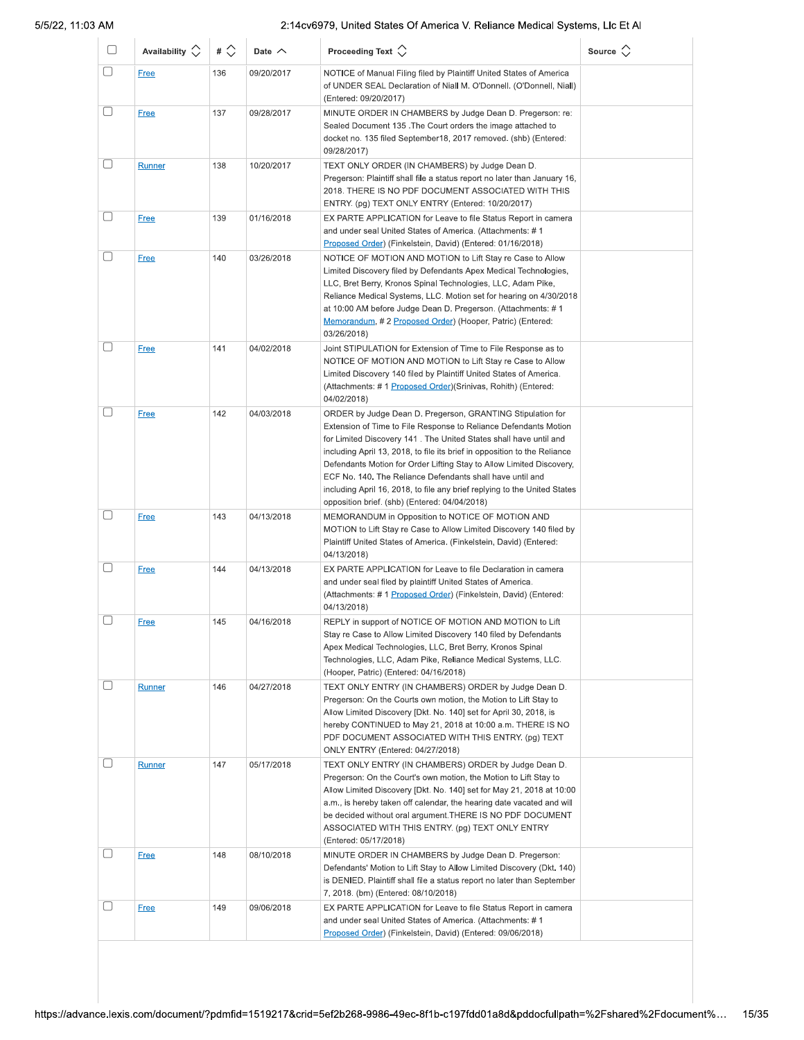| U      | Availability $\Diamond$ | # $\Diamond$ | Date $\wedge$ | Proceeding Text $\left\langle \right\rangle$                                                                                                                                                                                                                                                                                                                                                                                                                                                                                                        | Source $\Diamond$ |
|--------|-------------------------|--------------|---------------|-----------------------------------------------------------------------------------------------------------------------------------------------------------------------------------------------------------------------------------------------------------------------------------------------------------------------------------------------------------------------------------------------------------------------------------------------------------------------------------------------------------------------------------------------------|-------------------|
| $\Box$ | <b>Free</b>             | 136          | 09/20/2017    | NOTICE of Manual Filing filed by Plaintiff United States of America<br>of UNDER SEAL Declaration of Niall M. O'Donnell. (O'Donnell, Niall)<br>(Entered: 09/20/2017)                                                                                                                                                                                                                                                                                                                                                                                 |                   |
| 0      | <b>Free</b>             | 137          | 09/28/2017    | MINUTE ORDER IN CHAMBERS by Judge Dean D. Pregerson: re:<br>Sealed Document 135. The Court orders the image attached to<br>docket no. 135 filed September18, 2017 removed. (shb) (Entered:<br>09/28/2017)                                                                                                                                                                                                                                                                                                                                           |                   |
| └      | Runner                  | 138          | 10/20/2017    | TEXT ONLY ORDER (IN CHAMBERS) by Judge Dean D.<br>Pregerson: Plaintiff shall file a status report no later than January 16,<br>2018. THERE IS NO PDF DOCUMENT ASSOCIATED WITH THIS<br>ENTRY. (pg) TEXT ONLY ENTRY (Entered: 10/20/2017)                                                                                                                                                                                                                                                                                                             |                   |
| $\Box$ | <b>Free</b>             | 139          | 01/16/2018    | EX PARTE APPLICATION for Leave to file Status Report in camera<br>and under seal United States of America. (Attachments: #1<br>Proposed Order) (Finkelstein, David) (Entered: 01/16/2018)                                                                                                                                                                                                                                                                                                                                                           |                   |
| 0      | <b>Free</b>             | 140          | 03/26/2018    | NOTICE OF MOTION AND MOTION to Lift Stay re Case to Allow<br>Limited Discovery filed by Defendants Apex Medical Technologies,<br>LLC, Bret Berry, Kronos Spinal Technologies, LLC, Adam Pike,<br>Reliance Medical Systems, LLC. Motion set for hearing on 4/30/2018<br>at 10:00 AM before Judge Dean D. Pregerson. (Attachments: #1<br>Memorandum, # 2 Proposed Order) (Hooper, Patric) (Entered:<br>03/26/2018)                                                                                                                                    |                   |
| П      | <b>Free</b>             | 141          | 04/02/2018    | Joint STIPULATION for Extension of Time to File Response as to<br>NOTICE OF MOTION AND MOTION to Lift Stay re Case to Allow<br>Limited Discovery 140 filed by Plaintiff United States of America.<br>(Attachments: #1 Proposed Order) (Srinivas, Rohith) (Entered:<br>04/02/2018)                                                                                                                                                                                                                                                                   |                   |
| □      | <b>Free</b>             | 142          | 04/03/2018    | ORDER by Judge Dean D. Pregerson, GRANTING Stipulation for<br>Extension of Time to File Response to Reliance Defendants Motion<br>for Limited Discovery 141. The United States shall have until and<br>including April 13, 2018, to file its brief in opposition to the Reliance<br>Defendants Motion for Order Lifting Stay to Allow Limited Discovery,<br>ECF No. 140. The Reliance Defendants shall have until and<br>including April 16, 2018, to file any brief replying to the United States<br>opposition brief. (shb) (Entered: 04/04/2018) |                   |
| L      | <b>Free</b>             | 143          | 04/13/2018    | MEMORANDUM in Opposition to NOTICE OF MOTION AND<br>MOTION to Lift Stay re Case to Allow Limited Discovery 140 filed by<br>Plaintiff United States of America. (Finkelstein, David) (Entered:<br>04/13/2018)                                                                                                                                                                                                                                                                                                                                        |                   |
| □      | <b>Free</b>             | 144          | 04/13/2018    | EX PARTE APPLICATION for Leave to file Declaration in camera<br>and under seal filed by plaintiff United States of America.<br>(Attachments: #1 Proposed Order) (Finkelstein, David) (Entered:<br>04/13/2018)                                                                                                                                                                                                                                                                                                                                       |                   |
| Г      | <b>Free</b>             | 145          | 04/16/2018    | REPLY in support of NOTICE OF MOTION AND MOTION to Lift<br>Stay re Case to Allow Limited Discovery 140 filed by Defendants<br>Apex Medical Technologies, LLC, Bret Berry, Kronos Spinal<br>Technologies, LLC, Adam Pike, Reliance Medical Systems, LLC.<br>(Hooper, Patric) (Entered: 04/16/2018)                                                                                                                                                                                                                                                   |                   |
| H      | <b>Runner</b>           | 146          | 04/27/2018    | TEXT ONLY ENTRY (IN CHAMBERS) ORDER by Judge Dean D.<br>Pregerson: On the Courts own motion, the Motion to Lift Stay to<br>Allow Limited Discovery [Dkt. No. 140] set for April 30, 2018, is<br>hereby CONTINUED to May 21, 2018 at 10:00 a.m. THERE IS NO<br>PDF DOCUMENT ASSOCIATED WITH THIS ENTRY. (pg) TEXT<br>ONLY ENTRY (Entered: 04/27/2018)                                                                                                                                                                                                |                   |
|        | <b>Runner</b>           | 147          | 05/17/2018    | TEXT ONLY ENTRY (IN CHAMBERS) ORDER by Judge Dean D.<br>Pregerson: On the Court's own motion, the Motion to Lift Stay to<br>Allow Limited Discovery [Dkt. No. 140] set for May 21, 2018 at 10:00<br>a.m., is hereby taken off calendar, the hearing date vacated and will<br>be decided without oral argument. THERE IS NO PDF DOCUMENT<br>ASSOCIATED WITH THIS ENTRY. (pg) TEXT ONLY ENTRY<br>(Entered: 05/17/2018)                                                                                                                                |                   |
|        | <b>Free</b>             | 148          | 08/10/2018    | MINUTE ORDER IN CHAMBERS by Judge Dean D. Pregerson:<br>Defendants' Motion to Lift Stay to Allow Limited Discovery (Dkt. 140)<br>is DENIED. Plaintiff shall file a status report no later than September<br>7, 2018. (bm) (Entered: 08/10/2018)                                                                                                                                                                                                                                                                                                     |                   |
|        | <b>Free</b>             | 149          | 09/06/2018    | EX PARTE APPLICATION for Leave to file Status Report in camera<br>and under seal United States of America. (Attachments: #1<br>Proposed Order) (Finkelstein, David) (Entered: 09/06/2018)                                                                                                                                                                                                                                                                                                                                                           |                   |
|        |                         |              |               |                                                                                                                                                                                                                                                                                                                                                                                                                                                                                                                                                     |                   |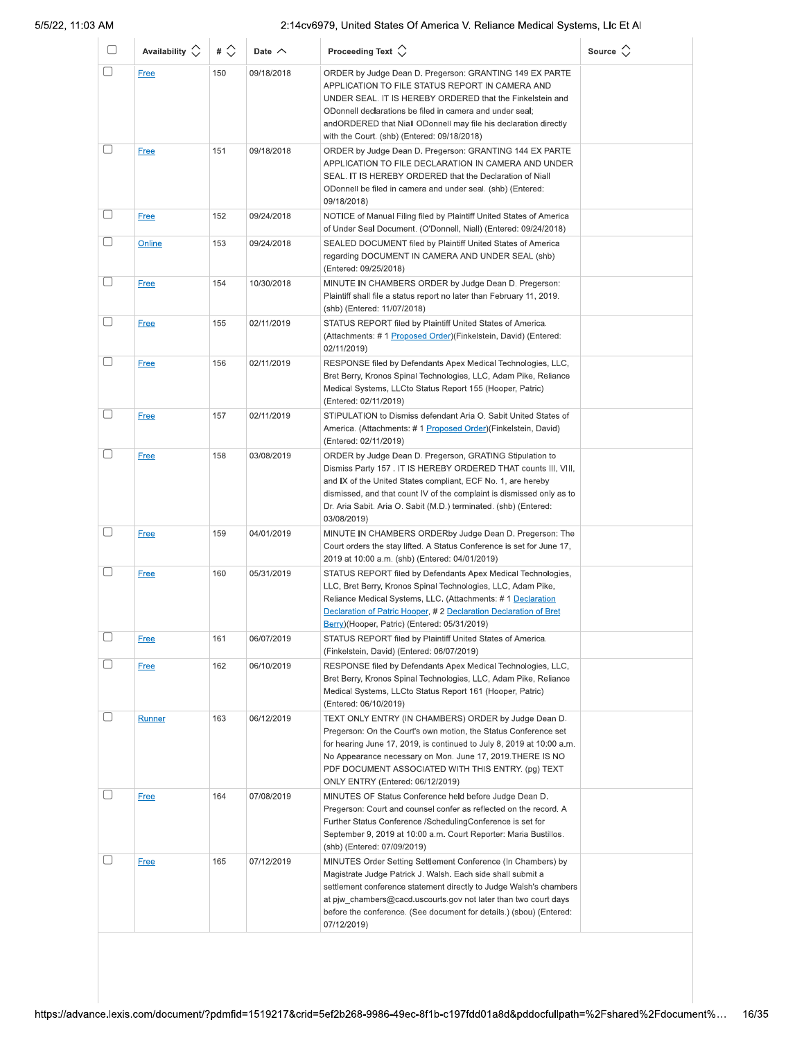|        | Availability $\circlearrowright$ | # $\Diamond$ | Date $\wedge$ | Proceeding Text $\Diamond$                                                                                                                                                                                                                                                                                                                                 | Source $\Diamond$ |
|--------|----------------------------------|--------------|---------------|------------------------------------------------------------------------------------------------------------------------------------------------------------------------------------------------------------------------------------------------------------------------------------------------------------------------------------------------------------|-------------------|
| $\Box$ | <b>Free</b>                      | 150          | 09/18/2018    | ORDER by Judge Dean D. Pregerson: GRANTING 149 EX PARTE<br>APPLICATION TO FILE STATUS REPORT IN CAMERA AND<br>UNDER SEAL. IT IS HEREBY ORDERED that the Finkelstein and<br>ODonnell declarations be filed in camera and under seal;<br>andORDERED that Niall ODonnell may file his declaration directly<br>with the Court. (shb) (Entered: 09/18/2018)     |                   |
| L      | <b>Free</b>                      | 151          | 09/18/2018    | ORDER by Judge Dean D. Pregerson: GRANTING 144 EX PARTE<br>APPLICATION TO FILE DECLARATION IN CAMERA AND UNDER<br>SEAL. IT IS HEREBY ORDERED that the Declaration of Niall<br>ODonnell be filed in camera and under seal. (shb) (Entered:<br>09/18/2018)                                                                                                   |                   |
| O      | Free                             | 152          | 09/24/2018    | NOTICE of Manual Filing filed by Plaintiff United States of America<br>of Under Seal Document. (O'Donnell, Niall) (Entered: 09/24/2018)                                                                                                                                                                                                                    |                   |
| □      | <b>Online</b>                    | 153          | 09/24/2018    | SEALED DOCUMENT filed by Plaintiff United States of America<br>regarding DOCUMENT IN CAMERA AND UNDER SEAL (shb)<br>(Entered: 09/25/2018)                                                                                                                                                                                                                  |                   |
| O      | <b>Free</b>                      | 154          | 10/30/2018    | MINUTE IN CHAMBERS ORDER by Judge Dean D. Pregerson:<br>Plaintiff shall file a status report no later than February 11, 2019.<br>(shb) (Entered: 11/07/2018)                                                                                                                                                                                               |                   |
| □      | <b>Free</b>                      | 155          | 02/11/2019    | STATUS REPORT filed by Plaintiff United States of America.<br>(Attachments: #1 Proposed Order) (Finkelstein, David) (Entered:<br>02/11/2019)                                                                                                                                                                                                               |                   |
|        | <b>Free</b>                      | 156          | 02/11/2019    | RESPONSE filed by Defendants Apex Medical Technologies, LLC,<br>Bret Berry, Kronos Spinal Technologies, LLC, Adam Pike, Reliance<br>Medical Systems, LLCto Status Report 155 (Hooper, Patric)<br>(Entered: 02/11/2019)                                                                                                                                     |                   |
| $\Box$ | <b>Free</b>                      | 157          | 02/11/2019    | STIPULATION to Dismiss defendant Aria O. Sabit United States of<br>America. (Attachments: # 1 Proposed Order)(Finkelstein, David)<br>(Entered: 02/11/2019)                                                                                                                                                                                                 |                   |
| □      | <b>Free</b>                      | 158          | 03/08/2019    | ORDER by Judge Dean D. Pregerson, GRATING Stipulation to<br>Dismiss Party 157. IT IS HEREBY ORDERED THAT counts III, VIII,<br>and IX of the United States compliant, ECF No. 1, are hereby<br>dismissed, and that count IV of the complaint is dismissed only as to<br>Dr. Aria Sabit. Aria O. Sabit (M.D.) terminated. (shb) (Entered:<br>03/08/2019)     |                   |
| $\Box$ | <b>Free</b>                      | 159          | 04/01/2019    | MINUTE IN CHAMBERS ORDERby Judge Dean D. Pregerson: The<br>Court orders the stay lifted. A Status Conference is set for June 17,<br>2019 at 10:00 a.m. (shb) (Entered: 04/01/2019)                                                                                                                                                                         |                   |
| $\Box$ | <b>Free</b>                      | 160          | 05/31/2019    | STATUS REPORT filed by Defendants Apex Medical Technologies,<br>LLC, Bret Berry, Kronos Spinal Technologies, LLC, Adam Pike,<br>Reliance Medical Systems, LLC. (Attachments: #1 Declaration<br>Declaration of Patric Hooper, #2 Declaration Declaration of Bret<br>Berry)(Hooper, Patric) (Entered: 05/31/2019)                                            |                   |
|        | <b>Free</b>                      | 161          | 06/07/2019    | STATUS REPORT filed by Plaintiff United States of America.<br>(Finkelstein, David) (Entered: 06/07/2019)                                                                                                                                                                                                                                                   |                   |
| □      | <b>Free</b>                      | 162          | 06/10/2019    | RESPONSE filed by Defendants Apex Medical Technologies, LLC,<br>Bret Berry, Kronos Spinal Technologies, LLC, Adam Pike, Reliance<br>Medical Systems, LLCto Status Report 161 (Hooper, Patric)<br>(Entered: 06/10/2019)                                                                                                                                     |                   |
|        | <b>Runner</b>                    | 163          | 06/12/2019    | TEXT ONLY ENTRY (IN CHAMBERS) ORDER by Judge Dean D.<br>Pregerson: On the Court's own motion, the Status Conference set<br>for hearing June 17, 2019, is continued to July 8, 2019 at 10:00 a.m.<br>No Appearance necessary on Mon. June 17, 2019. THERE IS NO<br>PDF DOCUMENT ASSOCIATED WITH THIS ENTRY. (pg) TEXT<br>ONLY ENTRY (Entered: 06/12/2019)   |                   |
|        | <b>Free</b>                      | 164          | 07/08/2019    | MINUTES OF Status Conference held before Judge Dean D.<br>Pregerson: Court and counsel confer as reflected on the record. A<br>Further Status Conference /SchedulingConference is set for<br>September 9, 2019 at 10:00 a.m. Court Reporter: Maria Bustillos.<br>(shb) (Entered: 07/09/2019)                                                               |                   |
| O      | <b>Free</b>                      | 165          | 07/12/2019    | MINUTES Order Setting Settlement Conference (In Chambers) by<br>Magistrate Judge Patrick J. Walsh. Each side shall submit a<br>settlement conference statement directly to Judge Walsh's chambers<br>at pjw_chambers@cacd.uscourts.gov not later than two court days<br>before the conference. (See document for details.) (sbou) (Entered:<br>07/12/2019) |                   |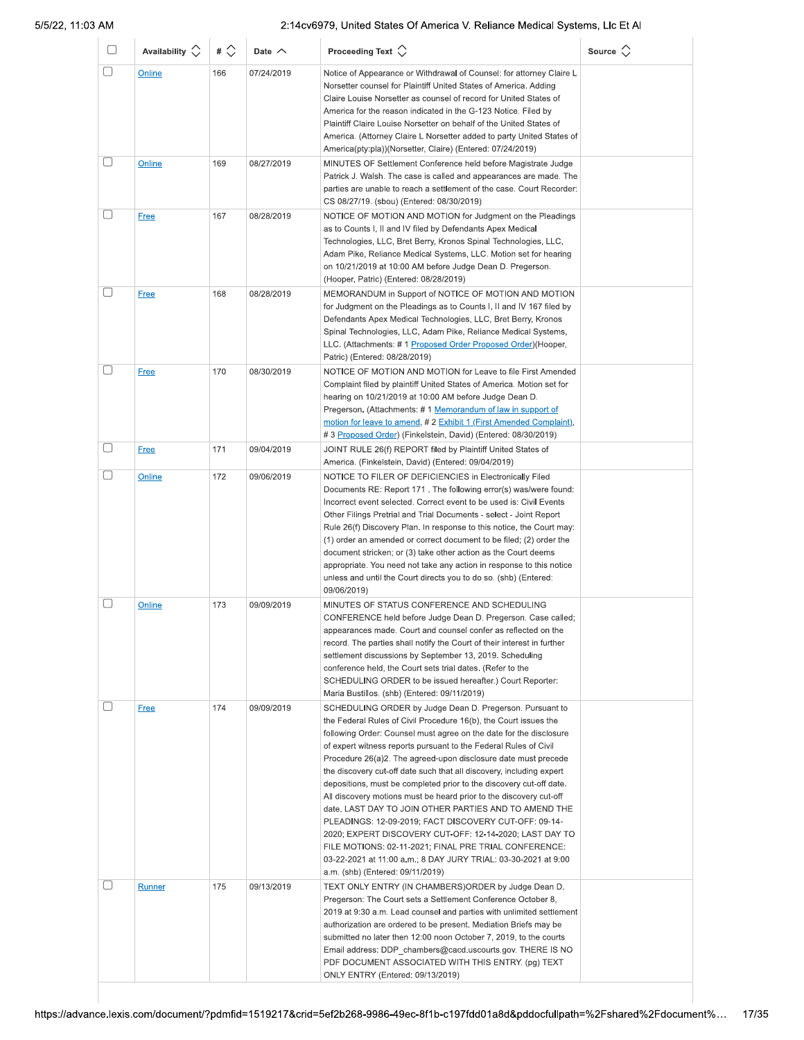| U      | Availability $\Diamond$ | # $\Diamond$ | Date $\wedge$ | Proceeding Text $\left\langle \right\rangle$                                                                                                                                                                                                                                                                                                                                                                                                                                                                                                                                                                                                                                                                                                                                                                                                                                                              | Source $\Diamond$ |
|--------|-------------------------|--------------|---------------|-----------------------------------------------------------------------------------------------------------------------------------------------------------------------------------------------------------------------------------------------------------------------------------------------------------------------------------------------------------------------------------------------------------------------------------------------------------------------------------------------------------------------------------------------------------------------------------------------------------------------------------------------------------------------------------------------------------------------------------------------------------------------------------------------------------------------------------------------------------------------------------------------------------|-------------------|
| $\Box$ | Online                  | 166          | 07/24/2019    | Notice of Appearance or Withdrawal of Counsel: for attorney Claire L<br>Norsetter counsel for Plaintiff United States of America. Adding<br>Claire Louise Norsetter as counsel of record for United States of<br>America for the reason indicated in the G-123 Notice. Filed by<br>Plaintiff Claire Louise Norsetter on behalf of the United States of                                                                                                                                                                                                                                                                                                                                                                                                                                                                                                                                                    |                   |
|        |                         |              |               | America. (Attorney Claire L Norsetter added to party United States of<br>America(pty:pla))(Norsetter, Claire) (Entered: 07/24/2019)                                                                                                                                                                                                                                                                                                                                                                                                                                                                                                                                                                                                                                                                                                                                                                       |                   |
| $\Box$ | Online                  | 169          | 08/27/2019    | MINUTES OF Settlement Conference held before Magistrate Judge<br>Patrick J. Walsh. The case is called and appearances are made. The<br>parties are unable to reach a settlement of the case. Court Recorder:<br>CS 08/27/19. (sbou) (Entered: 08/30/2019)                                                                                                                                                                                                                                                                                                                                                                                                                                                                                                                                                                                                                                                 |                   |
| O      | <b>Free</b>             | 167          | 08/28/2019    | NOTICE OF MOTION AND MOTION for Judgment on the Pleadings<br>as to Counts I, II and IV filed by Defendants Apex Medical<br>Technologies, LLC, Bret Berry, Kronos Spinal Technologies, LLC,<br>Adam Pike, Reliance Medical Systems, LLC. Motion set for hearing<br>on 10/21/2019 at 10:00 AM before Judge Dean D. Pregerson.<br>(Hooper, Patric) (Entered: 08/28/2019)                                                                                                                                                                                                                                                                                                                                                                                                                                                                                                                                     |                   |
| O      | <b>Free</b>             | 168          | 08/28/2019    | MEMORANDUM in Support of NOTICE OF MOTION AND MOTION<br>for Judgment on the Pleadings as to Counts I, II and IV 167 filed by<br>Defendants Apex Medical Technologies, LLC, Bret Berry, Kronos<br>Spinal Technologies, LLC, Adam Pike, Reliance Medical Systems,<br>LLC. (Attachments: # 1 Proposed Order Proposed Order) (Hooper,<br>Patric) (Entered: 08/28/2019)                                                                                                                                                                                                                                                                                                                                                                                                                                                                                                                                        |                   |
| O      | Free                    | 170          | 08/30/2019    | NOTICE OF MOTION AND MOTION for Leave to file First Amended<br>Complaint filed by plaintiff United States of America. Motion set for<br>hearing on 10/21/2019 at 10:00 AM before Judge Dean D.<br>Pregerson. (Attachments: #1 Memorandum of law in support of<br>motion for leave to amend, #2 Exhibit 1 (First Amended Complaint),<br># 3 Proposed Order) (Finkelstein, David) (Entered: 08/30/2019)                                                                                                                                                                                                                                                                                                                                                                                                                                                                                                     |                   |
| U      | <b>Free</b>             | 171          | 09/04/2019    | JOINT RULE 26(f) REPORT filed by Plaintiff United States of<br>America. (Finkelstein, David) (Entered: 09/04/2019)                                                                                                                                                                                                                                                                                                                                                                                                                                                                                                                                                                                                                                                                                                                                                                                        |                   |
| U      | Online                  | 172          | 09/06/2019    | NOTICE TO FILER OF DEFICIENCIES in Electronically Filed<br>Documents RE: Report 171. The following error(s) was/were found:<br>Incorrect event selected. Correct event to be used is: Civil Events<br>Other Filings Pretrial and Trial Documents - select - Joint Report<br>Rule 26(f) Discovery Plan. In response to this notice, the Court may:<br>(1) order an amended or correct document to be filed; (2) order the<br>document stricken; or (3) take other action as the Court deems<br>appropriate. You need not take any action in response to this notice<br>unless and until the Court directs you to do so. (shb) (Entered:<br>09/06/2019)                                                                                                                                                                                                                                                     |                   |
| O      | Online                  | 173          | 09/09/2019    | MINUTES OF STATUS CONFERENCE AND SCHEDULING<br>CONFERENCE held before Judge Dean D. Pregerson. Case called;<br>appearances made. Court and counsel confer as reflected on the<br>record. The parties shall notify the Court of their interest in further<br>settlement discussions by September 13, 2019. Scheduling<br>conference held, the Court sets trial dates. (Refer to the<br>SCHEDULING ORDER to be issued hereafter.) Court Reporter:<br>Maria Bustillos. (shb) (Entered: 09/11/2019)                                                                                                                                                                                                                                                                                                                                                                                                           |                   |
| □      | <b>Free</b>             | 174          | 09/09/2019    | SCHEDULING ORDER by Judge Dean D. Pregerson. Pursuant to<br>the Federal Rules of Civil Procedure 16(b), the Court issues the<br>following Order: Counsel must agree on the date for the disclosure<br>of expert witness reports pursuant to the Federal Rules of Civil<br>Procedure 26(a)2. The agreed-upon disclosure date must precede<br>the discovery cut-off date such that all discovery, including expert<br>depositions, must be completed prior to the discovery cut-off date.<br>All discovery motions must be heard prior to the discovery cut-off<br>date. LAST DAY TO JOIN OTHER PARTIES AND TO AMEND THE<br>PLEADINGS: 12-09-2019; FACT DISCOVERY CUT-OFF: 09-14-<br>2020; EXPERT DISCOVERY CUT-OFF: 12-14-2020; LAST DAY TO<br>FILE MOTIONS: 02-11-2021; FINAL PRE TRIAL CONFERENCE:<br>03-22-2021 at 11:00 a.m.; 8 DAY JURY TRIAL: 03-30-2021 at 9:00<br>a.m. (shb) (Entered: 09/11/2019) |                   |
| O      | Runner                  | 175          | 09/13/2019    | TEXT ONLY ENTRY (IN CHAMBERS) ORDER by Judge Dean D.<br>Pregerson: The Court sets a Settlement Conference October 8,<br>2019 at 9:30 a.m. Lead counsel and parties with unlimited settlement<br>authorization are ordered to be present. Mediation Briefs may be<br>submitted no later then 12:00 noon October 7, 2019, to the courts<br>Email address: DDP_chambers@cacd.uscourts.gov. THERE IS NO<br>PDF DOCUMENT ASSOCIATED WITH THIS ENTRY. (pg) TEXT<br>ONLY ENTRY (Entered: 09/13/2019)                                                                                                                                                                                                                                                                                                                                                                                                             |                   |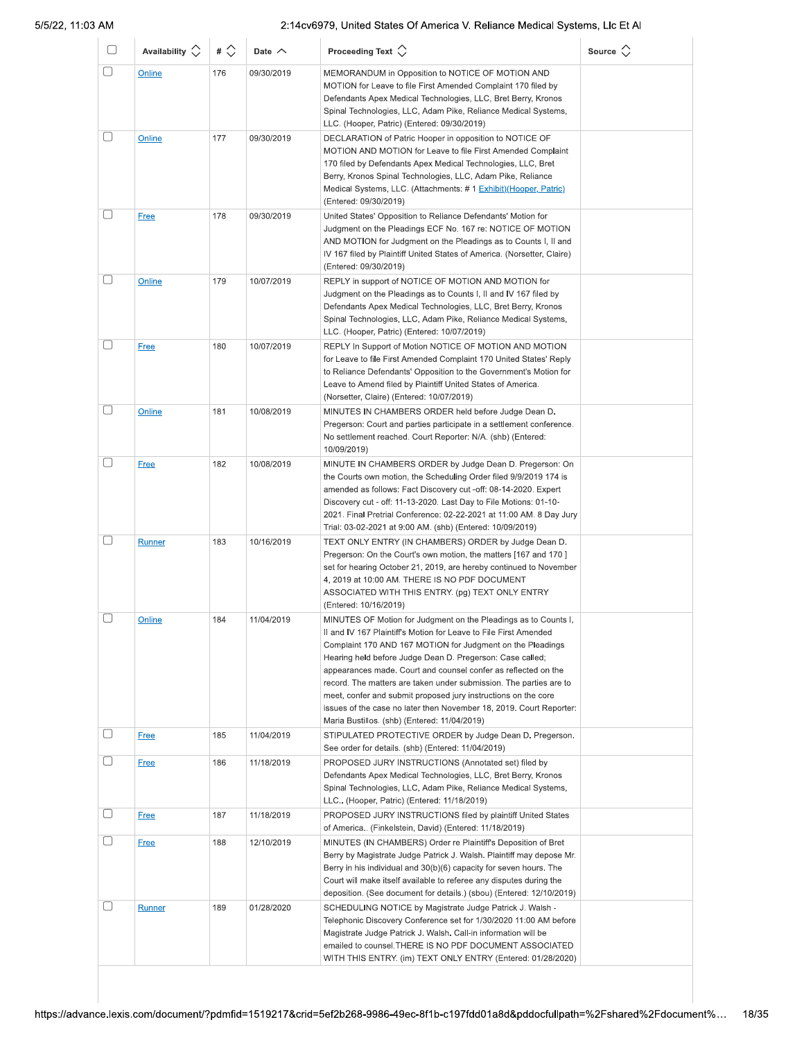| $\Box$    | Availability $\Diamond$ | # $\Diamond$ | Date $\wedge$ | Proceeding Text $\langle \rangle$                                                                                                                                                                                                                                                                                                                                                                                                                                                                                                                                                               | Source $\langle \rangle$ |
|-----------|-------------------------|--------------|---------------|-------------------------------------------------------------------------------------------------------------------------------------------------------------------------------------------------------------------------------------------------------------------------------------------------------------------------------------------------------------------------------------------------------------------------------------------------------------------------------------------------------------------------------------------------------------------------------------------------|--------------------------|
| □         | Online                  | 176          | 09/30/2019    | MEMORANDUM in Opposition to NOTICE OF MOTION AND<br>MOTION for Leave to file First Amended Complaint 170 filed by<br>Defendants Apex Medical Technologies, LLC, Bret Berry, Kronos<br>Spinal Technologies, LLC, Adam Pike, Reliance Medical Systems,<br>LLC. (Hooper, Patric) (Entered: 09/30/2019)                                                                                                                                                                                                                                                                                             |                          |
| □         | Online                  | 177          | 09/30/2019    | DECLARATION of Patric Hooper in opposition to NOTICE OF<br>MOTION AND MOTION for Leave to file First Amended Complaint<br>170 filed by Defendants Apex Medical Technologies, LLC, Bret<br>Berry, Kronos Spinal Technologies, LLC, Adam Pike, Reliance<br>Medical Systems, LLC. (Attachments: # 1 Exhibit) (Hooper, Patric)<br>(Entered: 09/30/2019)                                                                                                                                                                                                                                             |                          |
| $[\quad]$ | <b>Free</b>             | 178          | 09/30/2019    | United States' Opposition to Reliance Defendants' Motion for<br>Judgment on the Pleadings ECF No. 167 re: NOTICE OF MOTION<br>AND MOTION for Judgment on the Pleadings as to Counts I, II and<br>IV 167 filed by Plaintiff United States of America. (Norsetter, Claire)<br>(Entered: 09/30/2019)                                                                                                                                                                                                                                                                                               |                          |
|           | Online                  | 179          | 10/07/2019    | REPLY in support of NOTICE OF MOTION AND MOTION for<br>Judgment on the Pleadings as to Counts I, II and IV 167 filed by<br>Defendants Apex Medical Technologies, LLC, Bret Berry, Kronos<br>Spinal Technologies, LLC, Adam Pike, Reliance Medical Systems,<br>LLC. (Hooper, Patric) (Entered: 10/07/2019)                                                                                                                                                                                                                                                                                       |                          |
| □         | <b>Free</b>             | 180          | 10/07/2019    | REPLY In Support of Motion NOTICE OF MOTION AND MOTION<br>for Leave to file First Amended Complaint 170 United States' Reply<br>to Reliance Defendants' Opposition to the Government's Motion for<br>Leave to Amend filed by Plaintiff United States of America.<br>(Norsetter, Claire) (Entered: 10/07/2019)                                                                                                                                                                                                                                                                                   |                          |
| □         | Online                  | 181          | 10/08/2019    | MINUTES IN CHAMBERS ORDER held before Judge Dean D.<br>Pregerson: Court and parties participate in a settlement conference.<br>No settlement reached. Court Reporter: N/A. (shb) (Entered:<br>10/09/2019)                                                                                                                                                                                                                                                                                                                                                                                       |                          |
|           | <b>Free</b>             | 182          | 10/08/2019    | MINUTE IN CHAMBERS ORDER by Judge Dean D. Pregerson: On<br>the Courts own motion, the Scheduling Order filed 9/9/2019 174 is<br>amended as follows: Fact Discovery cut -off: 08-14-2020. Expert<br>Discovery cut - off: 11-13-2020. Last Day to File Motions: 01-10-<br>2021. Final Pretrial Conference: 02-22-2021 at 11:00 AM. 8 Day Jury<br>Trial: 03-02-2021 at 9:00 AM. (shb) (Entered: 10/09/2019)                                                                                                                                                                                        |                          |
|           | Runner                  | 183          | 10/16/2019    | TEXT ONLY ENTRY (IN CHAMBERS) ORDER by Judge Dean D.<br>Pregerson: On the Court's own motion, the matters [167 and 170]<br>set for hearing October 21, 2019, are hereby continued to November<br>4, 2019 at 10:00 AM. THERE IS NO PDF DOCUMENT<br>ASSOCIATED WITH THIS ENTRY. (pg) TEXT ONLY ENTRY<br>(Entered: 10/16/2019)                                                                                                                                                                                                                                                                     |                          |
|           | Online                  | 184          | 11/04/2019    | MINUTES OF Motion for Judgment on the Pleadings as to Counts I,<br>II and IV 167 Plaintiff's Motion for Leave to File First Amended<br>Complaint 170 AND 167 MOTION for Judgment on the Pleadings<br>Hearing held before Judge Dean D. Pregerson: Case called;<br>appearances made. Court and counsel confer as reflected on the<br>record. The matters are taken under submission. The parties are to<br>meet, confer and submit proposed jury instructions on the core<br>issues of the case no later then November 18, 2019. Court Reporter:<br>Maria Bustillos. (shb) (Entered: 11/04/2019) |                          |
|           | <b>Free</b>             | 185          | 11/04/2019    | STIPULATED PROTECTIVE ORDER by Judge Dean D. Pregerson.                                                                                                                                                                                                                                                                                                                                                                                                                                                                                                                                         |                          |
|           | <b>Free</b>             | 186          | 11/18/2019    | See order for details. (shb) (Entered: 11/04/2019)<br>PROPOSED JURY INSTRUCTIONS (Annotated set) filed by<br>Defendants Apex Medical Technologies, LLC, Bret Berry, Kronos<br>Spinal Technologies, LLC, Adam Pike, Reliance Medical Systems,<br>LLC (Hooper, Patric) (Entered: 11/18/2019)                                                                                                                                                                                                                                                                                                      |                          |
|           | <b>Free</b>             | 187          | 11/18/2019    | PROPOSED JURY INSTRUCTIONS filed by plaintiff United States<br>of America (Finkelstein, David) (Entered: 11/18/2019)                                                                                                                                                                                                                                                                                                                                                                                                                                                                            |                          |
|           | <b>Free</b>             | 188          | 12/10/2019    | MINUTES (IN CHAMBERS) Order re Plaintiff's Deposition of Bret<br>Berry by Magistrate Judge Patrick J. Walsh. Plaintiff may depose Mr.<br>Berry in his individual and 30(b)(6) capacity for seven hours. The<br>Court will make itself available to referee any disputes during the<br>deposition. (See document for details.) (sbou) (Entered: 12/10/2019)                                                                                                                                                                                                                                      |                          |
|           | <b>Runner</b>           | 189          | 01/28/2020    | SCHEDULING NOTICE by Magistrate Judge Patrick J. Walsh -<br>Telephonic Discovery Conference set for 1/30/2020 11:00 AM before<br>Magistrate Judge Patrick J. Walsh. Call-in information will be<br>emailed to counsel.THERE IS NO PDF DOCUMENT ASSOCIATED<br>WITH THIS ENTRY. (im) TEXT ONLY ENTRY (Entered: 01/28/2020)                                                                                                                                                                                                                                                                        |                          |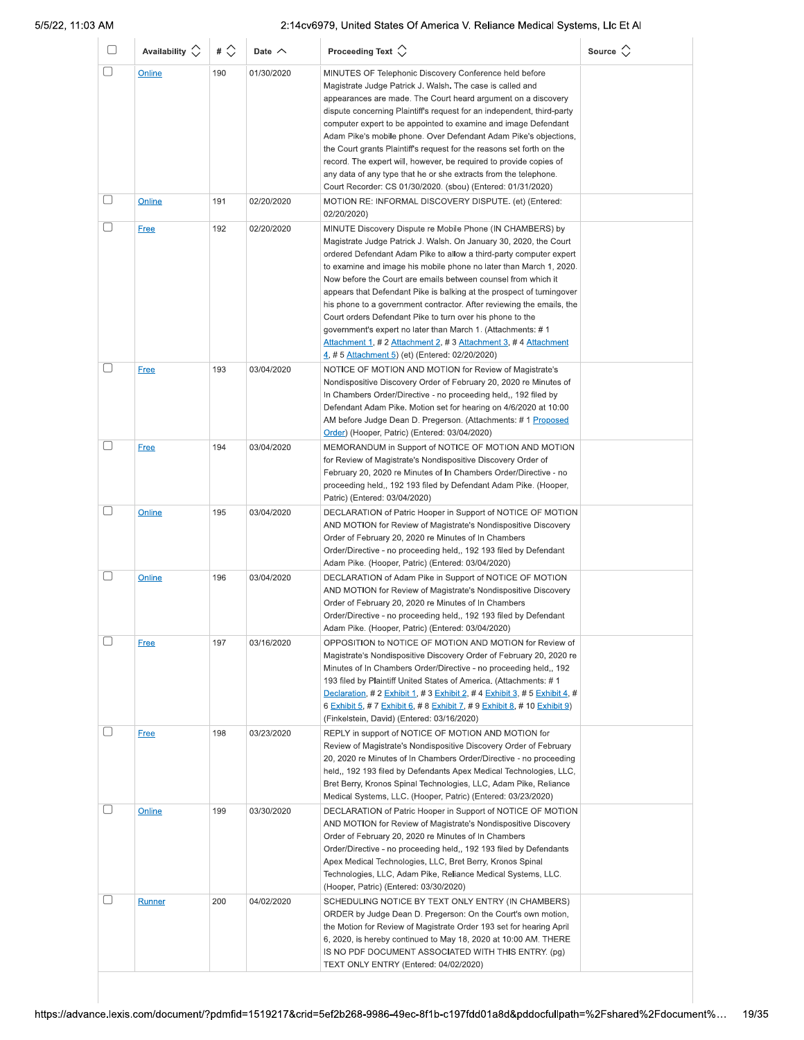| $\Box$ | Availability $\Diamond$ | # $\Diamond$ | Date $\wedge$ | Proceeding Text $\left\langle \right\rangle$                                                                                                                                                                                                                                                                                                                                                                                                                                                                                                                                                                                                                                                                                                     | Source $\Diamond$ |
|--------|-------------------------|--------------|---------------|--------------------------------------------------------------------------------------------------------------------------------------------------------------------------------------------------------------------------------------------------------------------------------------------------------------------------------------------------------------------------------------------------------------------------------------------------------------------------------------------------------------------------------------------------------------------------------------------------------------------------------------------------------------------------------------------------------------------------------------------------|-------------------|
| U      | Online                  | 190          | 01/30/2020    | MINUTES OF Telephonic Discovery Conference held before<br>Magistrate Judge Patrick J. Walsh. The case is called and<br>appearances are made. The Court heard argument on a discovery<br>dispute concerning Plaintiff's request for an independent, third-party<br>computer expert to be appointed to examine and image Defendant<br>Adam Pike's mobile phone. Over Defendant Adam Pike's objections,<br>the Court grants Plaintiff's request for the reasons set forth on the                                                                                                                                                                                                                                                                    |                   |
|        |                         |              |               | record. The expert will, however, be required to provide copies of<br>any data of any type that he or she extracts from the telephone.<br>Court Recorder: CS 01/30/2020. (sbou) (Entered: 01/31/2020)                                                                                                                                                                                                                                                                                                                                                                                                                                                                                                                                            |                   |
| O      | Online                  | 191          | 02/20/2020    | MOTION RE: INFORMAL DISCOVERY DISPUTE. (et) (Entered:<br>02/20/2020)                                                                                                                                                                                                                                                                                                                                                                                                                                                                                                                                                                                                                                                                             |                   |
| 0      | <b>Free</b>             | 192          | 02/20/2020    | MINUTE Discovery Dispute re Mobile Phone (IN CHAMBERS) by<br>Magistrate Judge Patrick J. Walsh. On January 30, 2020, the Court<br>ordered Defendant Adam Pike to allow a third-party computer expert<br>to examine and image his mobile phone no later than March 1, 2020.<br>Now before the Court are emails between counsel from which it<br>appears that Defendant Pike is balking at the prospect of turningover<br>his phone to a government contractor. After reviewing the emails, the<br>Court orders Defendant Pike to turn over his phone to the<br>government's expert no later than March 1. (Attachments: #1<br>Attachment 1, # 2 Attachment 2, # 3 Attachment 3, # 4 Attachment<br>4, # 5 Attachment 5) (et) (Entered: 02/20/2020) |                   |
| $\Box$ | Free                    | 193          | 03/04/2020    | NOTICE OF MOTION AND MOTION for Review of Magistrate's<br>Nondispositive Discovery Order of February 20, 2020 re Minutes of<br>In Chambers Order/Directive - no proceeding held,, 192 filed by<br>Defendant Adam Pike. Motion set for hearing on 4/6/2020 at 10:00<br>AM before Judge Dean D. Pregerson. (Attachments: #1 Proposed<br>Order) (Hooper, Patric) (Entered: 03/04/2020)                                                                                                                                                                                                                                                                                                                                                              |                   |
| U      | <b>Free</b>             | 194          | 03/04/2020    | MEMORANDUM in Support of NOTICE OF MOTION AND MOTION<br>for Review of Magistrate's Nondispositive Discovery Order of<br>February 20, 2020 re Minutes of In Chambers Order/Directive - no<br>proceeding held,, 192 193 filed by Defendant Adam Pike. (Hooper,<br>Patric) (Entered: 03/04/2020)                                                                                                                                                                                                                                                                                                                                                                                                                                                    |                   |
| O      | Online                  | 195          | 03/04/2020    | DECLARATION of Patric Hooper in Support of NOTICE OF MOTION<br>AND MOTION for Review of Magistrate's Nondispositive Discovery<br>Order of February 20, 2020 re Minutes of In Chambers<br>Order/Directive - no proceeding held,, 192 193 filed by Defendant<br>Adam Pike. (Hooper, Patric) (Entered: 03/04/2020)                                                                                                                                                                                                                                                                                                                                                                                                                                  |                   |
| U      | Online                  | 196          | 03/04/2020    | DECLARATION of Adam Pike in Support of NOTICE OF MOTION<br>AND MOTION for Review of Magistrate's Nondispositive Discovery<br>Order of February 20, 2020 re Minutes of In Chambers<br>Order/Directive - no proceeding held,, 192 193 filed by Defendant<br>Adam Pike. (Hooper, Patric) (Entered: 03/04/2020)                                                                                                                                                                                                                                                                                                                                                                                                                                      |                   |
| □      | <b>Free</b>             | 197          | 03/16/2020    | OPPOSITION to NOTICE OF MOTION AND MOTION for Review of<br>Magistrate's Nondispositive Discovery Order of February 20, 2020 re<br>Minutes of In Chambers Order/Directive - no proceeding held,, 192<br>193 filed by Plaintiff United States of America. (Attachments: #1<br>Declaration, # 2 Exhibit 1, # 3 Exhibit 2, # 4 Exhibit 3, # 5 Exhibit 4, #<br>6 Exhibit 5, # 7 Exhibit 6, # 8 Exhibit 7, # 9 Exhibit 8, # 10 Exhibit 9)<br>(Finkelstein, David) (Entered: 03/16/2020)                                                                                                                                                                                                                                                                |                   |
| □      | <b>Free</b>             | 198          | 03/23/2020    | REPLY in support of NOTICE OF MOTION AND MOTION for<br>Review of Magistrate's Nondispositive Discovery Order of February<br>20, 2020 re Minutes of In Chambers Order/Directive - no proceeding<br>held,, 192 193 filed by Defendants Apex Medical Technologies, LLC,<br>Bret Berry, Kronos Spinal Technologies, LLC, Adam Pike, Reliance<br>Medical Systems, LLC. (Hooper, Patric) (Entered: 03/23/2020)                                                                                                                                                                                                                                                                                                                                         |                   |
| $\Box$ | Online                  | 199          | 03/30/2020    | DECLARATION of Patric Hooper in Support of NOTICE OF MOTION<br>AND MOTION for Review of Magistrate's Nondispositive Discovery<br>Order of February 20, 2020 re Minutes of In Chambers<br>Order/Directive - no proceeding held,, 192 193 filed by Defendants<br>Apex Medical Technologies, LLC, Bret Berry, Kronos Spinal<br>Technologies, LLC, Adam Pike, Reliance Medical Systems, LLC.<br>(Hooper, Patric) (Entered: 03/30/2020)                                                                                                                                                                                                                                                                                                               |                   |
| U      | Runner                  | 200          | 04/02/2020    | SCHEDULING NOTICE BY TEXT ONLY ENTRY (IN CHAMBERS)<br>ORDER by Judge Dean D. Pregerson: On the Court's own motion,<br>the Motion for Review of Magistrate Order 193 set for hearing April<br>6, 2020, is hereby continued to May 18, 2020 at 10:00 AM. THERE<br>IS NO PDF DOCUMENT ASSOCIATED WITH THIS ENTRY. (pg)<br>TEXT ONLY ENTRY (Entered: 04/02/2020)                                                                                                                                                                                                                                                                                                                                                                                     |                   |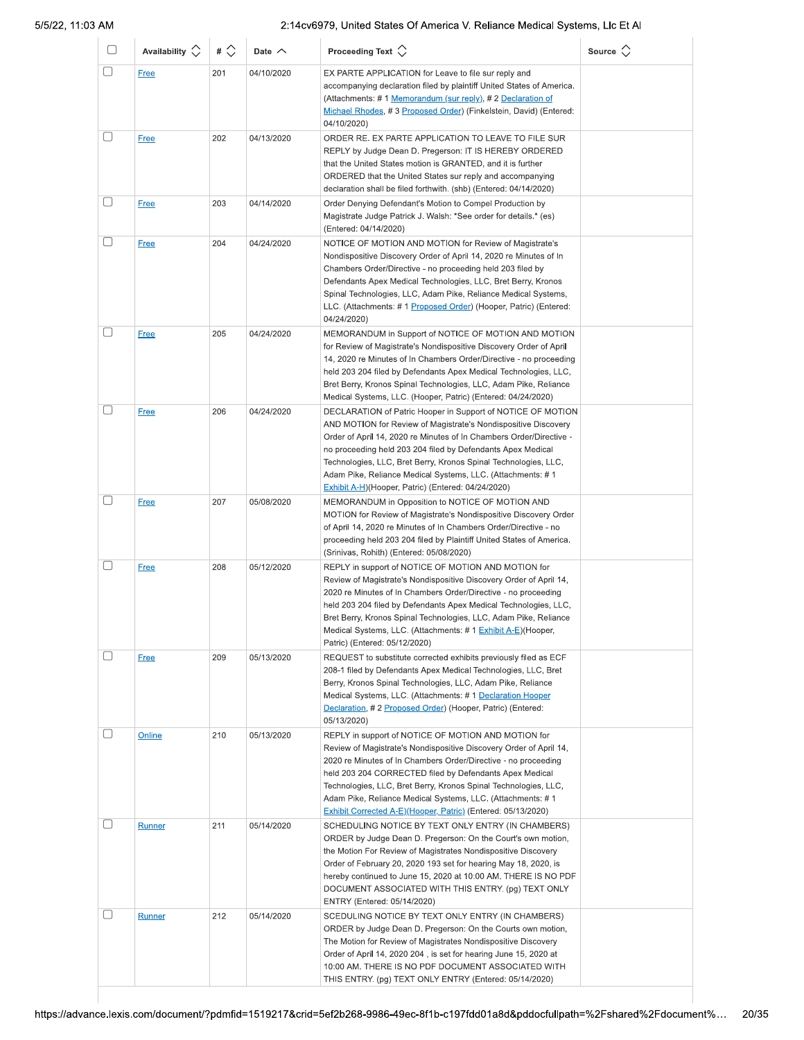| U | Availability $\circlearrowright$ | # $\Diamond$ | Date $\sim$ | Proceeding Text $\left\langle \right\rangle$                                                                                                                                                                                                                                                                                                                                                                                                                | Source $\Diamond$ |
|---|----------------------------------|--------------|-------------|-------------------------------------------------------------------------------------------------------------------------------------------------------------------------------------------------------------------------------------------------------------------------------------------------------------------------------------------------------------------------------------------------------------------------------------------------------------|-------------------|
| □ | <b>Free</b>                      | 201          | 04/10/2020  | EX PARTE APPLICATION for Leave to file sur reply and<br>accompanying declaration filed by plaintiff United States of America.<br>(Attachments: #1 Memorandum (sur reply), #2 Declaration of<br>Michael Rhodes, #3 Proposed Order) (Finkelstein, David) (Entered:<br>04/10/2020)                                                                                                                                                                             |                   |
|   | <b>Free</b>                      | 202          | 04/13/2020  | ORDER RE. EX PARTE APPLICATION TO LEAVE TO FILE SUR<br>REPLY by Judge Dean D. Pregerson: IT IS HEREBY ORDERED<br>that the United States motion is GRANTED, and it is further<br>ORDERED that the United States sur reply and accompanying<br>declaration shall be filed forthwith. (shb) (Entered: 04/14/2020)                                                                                                                                              |                   |
| U | <b>Free</b>                      | 203          | 04/14/2020  | Order Denying Defendant's Motion to Compel Production by<br>Magistrate Judge Patrick J. Walsh: *See order for details.* (es)<br>(Entered: 04/14/2020)                                                                                                                                                                                                                                                                                                       |                   |
|   | <b>Free</b>                      | 204          | 04/24/2020  | NOTICE OF MOTION AND MOTION for Review of Magistrate's<br>Nondispositive Discovery Order of April 14, 2020 re Minutes of In<br>Chambers Order/Directive - no proceeding held 203 filed by<br>Defendants Apex Medical Technologies, LLC, Bret Berry, Kronos<br>Spinal Technologies, LLC, Adam Pike, Reliance Medical Systems,<br>LLC. (Attachments: # 1 Proposed Order) (Hooper, Patric) (Entered:<br>04/24/2020)                                            |                   |
|   | <b>Free</b>                      | 205          | 04/24/2020  | MEMORANDUM in Support of NOTICE OF MOTION AND MOTION<br>for Review of Magistrate's Nondispositive Discovery Order of April<br>14, 2020 re Minutes of In Chambers Order/Directive - no proceeding<br>held 203 204 filed by Defendants Apex Medical Technologies, LLC,<br>Bret Berry, Kronos Spinal Technologies, LLC, Adam Pike, Reliance<br>Medical Systems, LLC. (Hooper, Patric) (Entered: 04/24/2020)                                                    |                   |
| П | <b>Free</b>                      | 206          | 04/24/2020  | DECLARATION of Patric Hooper in Support of NOTICE OF MOTION<br>AND MOTION for Review of Magistrate's Nondispositive Discovery<br>Order of April 14, 2020 re Minutes of In Chambers Order/Directive -<br>no proceeding held 203 204 filed by Defendants Apex Medical<br>Technologies, LLC, Bret Berry, Kronos Spinal Technologies, LLC,<br>Adam Pike, Reliance Medical Systems, LLC. (Attachments: # 1<br>Exhibit A-H)(Hooper, Patric) (Entered: 04/24/2020) |                   |
| П | <b>Free</b>                      | 207          | 05/08/2020  | MEMORANDUM in Opposition to NOTICE OF MOTION AND<br>MOTION for Review of Magistrate's Nondispositive Discovery Order<br>of April 14, 2020 re Minutes of In Chambers Order/Directive - no<br>proceeding held 203 204 filed by Plaintiff United States of America.<br>(Srinivas, Rohith) (Entered: 05/08/2020)                                                                                                                                                |                   |
|   | <b>Free</b>                      | 208          | 05/12/2020  | REPLY in support of NOTICE OF MOTION AND MOTION for<br>Review of Magistrate's Nondispositive Discovery Order of April 14,<br>2020 re Minutes of In Chambers Order/Directive - no proceeding<br>held 203 204 filed by Defendants Apex Medical Technologies, LLC,<br>Bret Berry, Kronos Spinal Technologies, LLC, Adam Pike, Reliance<br>Medical Systems, LLC. (Attachments: # 1 Exhibit A-E)(Hooper,<br>Patric) (Entered: 05/12/2020)                        |                   |
|   | <b>Free</b>                      | 209          | 05/13/2020  | REQUEST to substitute corrected exhibits previously filed as ECF<br>208-1 filed by Defendants Apex Medical Technologies, LLC, Bret<br>Berry, Kronos Spinal Technologies, LLC, Adam Pike, Reliance<br>Medical Systems, LLC. (Attachments: #1 Declaration Hooper<br>Declaration, #2 Proposed Order) (Hooper, Patric) (Entered:<br>05/13/2020)                                                                                                                 |                   |
|   | Online                           | 210          | 05/13/2020  | REPLY in support of NOTICE OF MOTION AND MOTION for<br>Review of Magistrate's Nondispositive Discovery Order of April 14,<br>2020 re Minutes of In Chambers Order/Directive - no proceeding<br>held 203 204 CORRECTED filed by Defendants Apex Medical<br>Technologies, LLC, Bret Berry, Kronos Spinal Technologies, LLC,<br>Adam Pike, Reliance Medical Systems, LLC. (Attachments: # 1<br>Exhibit Corrected A-E)(Hooper, Patric) (Entered: 05/13/2020)    |                   |
|   | Runner                           | 211          | 05/14/2020  | SCHEDULING NOTICE BY TEXT ONLY ENTRY (IN CHAMBERS)<br>ORDER by Judge Dean D. Pregerson: On the Court's own motion,<br>the Motion For Review of Magistrates Nondispositive Discovery<br>Order of February 20, 2020 193 set for hearing May 18, 2020, is<br>hereby continued to June 15, 2020 at 10:00 AM. THERE IS NO PDF<br>DOCUMENT ASSOCIATED WITH THIS ENTRY. (pg) TEXT ONLY<br>ENTRY (Entered: 05/14/2020)                                              |                   |
| L | Runner                           | 212          | 05/14/2020  | SCEDULING NOTICE BY TEXT ONLY ENTRY (IN CHAMBERS)<br>ORDER by Judge Dean D. Pregerson: On the Courts own motion,<br>The Motion for Review of Magistrates Nondispositive Discovery<br>Order of April 14, 2020 204, is set for hearing June 15, 2020 at<br>10:00 AM. THERE IS NO PDF DOCUMENT ASSOCIATED WITH<br>THIS ENTRY. (pg) TEXT ONLY ENTRY (Entered: 05/14/2020)                                                                                       |                   |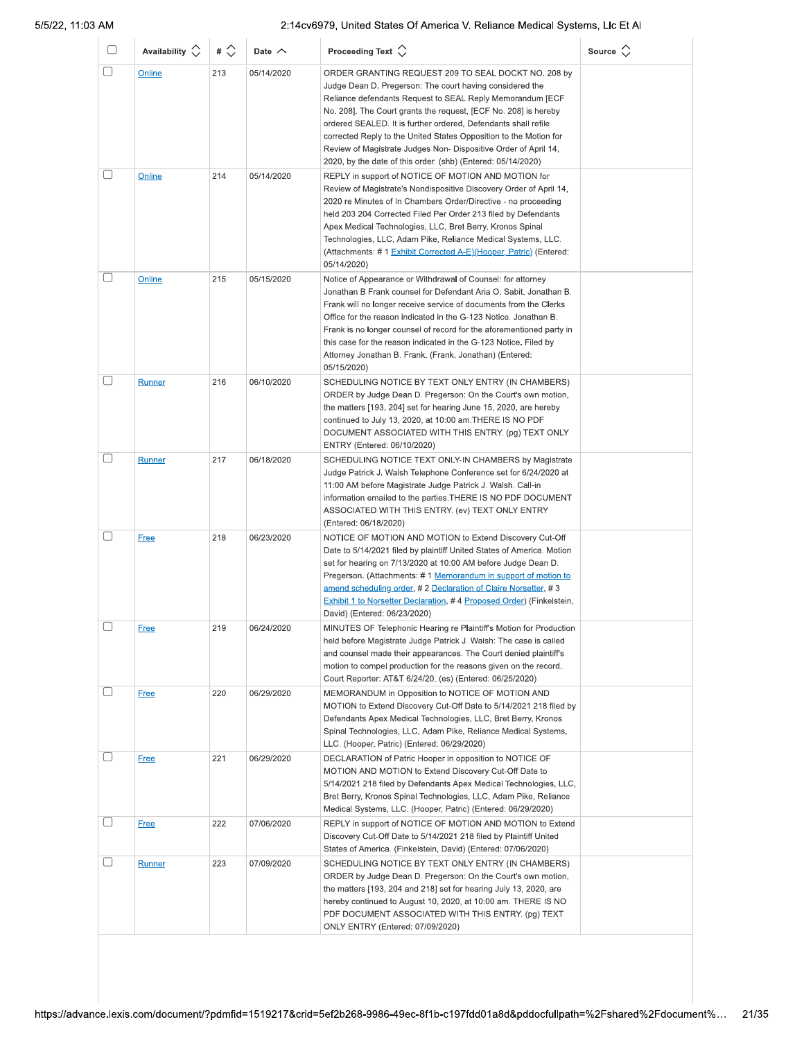| O | Availability $\Diamond$ | # $\Diamond$ | Date $\wedge$ | Proceeding Text $\langle \rangle$                                                                                                                                                                                                                                                                                                                                                                                                                                                                                         | Source $\langle \rangle$ |
|---|-------------------------|--------------|---------------|---------------------------------------------------------------------------------------------------------------------------------------------------------------------------------------------------------------------------------------------------------------------------------------------------------------------------------------------------------------------------------------------------------------------------------------------------------------------------------------------------------------------------|--------------------------|
|   | Online                  | 213          | 05/14/2020    | ORDER GRANTING REQUEST 209 TO SEAL DOCKT NO. 208 by<br>Judge Dean D. Pregerson: The court having considered the<br>Reliance defendants Request to SEAL Reply Memorandum [ECF<br>No. 208]. The Court grants the request, [ECF No. 208] is hereby<br>ordered SEALED. It is further ordered, Defendants shall refile<br>corrected Reply to the United States Opposition to the Motion for<br>Review of Magistrate Judges Non- Dispositive Order of April 14,<br>2020, by the date of this order. (shb) (Entered: 05/14/2020) |                          |
|   | <b>Online</b>           | 214          | 05/14/2020    | REPLY in support of NOTICE OF MOTION AND MOTION for<br>Review of Magistrate's Nondispositive Discovery Order of April 14,<br>2020 re Minutes of In Chambers Order/Directive - no proceeding<br>held 203 204 Corrected Filed Per Order 213 filed by Defendants<br>Apex Medical Technologies, LLC, Bret Berry, Kronos Spinal<br>Technologies, LLC, Adam Pike, Reliance Medical Systems, LLC.<br>(Attachments: # 1 Exhibit Corrected A-E)(Hooper, Patric) (Entered:<br>05/14/2020)                                           |                          |
|   | Online                  | 215          | 05/15/2020    | Notice of Appearance or Withdrawal of Counsel: for attorney<br>Jonathan B Frank counsel for Defendant Aria O. Sabit. Jonathan B.<br>Frank will no longer receive service of documents from the Clerks<br>Office for the reason indicated in the G-123 Notice. Jonathan B.<br>Frank is no longer counsel of record for the aforementioned party in<br>this case for the reason indicated in the G-123 Notice. Filed by<br>Attorney Jonathan B. Frank. (Frank, Jonathan) (Entered:<br>05/15/2020)                           |                          |
|   | Runner                  | 216          | 06/10/2020    | SCHEDULING NOTICE BY TEXT ONLY ENTRY (IN CHAMBERS)<br>ORDER by Judge Dean D. Pregerson: On the Court's own motion,<br>the matters [193, 204] set for hearing June 15, 2020, are hereby<br>continued to July 13, 2020, at 10:00 am. THERE IS NO PDF<br>DOCUMENT ASSOCIATED WITH THIS ENTRY. (pg) TEXT ONLY<br>ENTRY (Entered: 06/10/2020)                                                                                                                                                                                  |                          |
|   | <b>Runner</b>           | 217          | 06/18/2020    | SCHEDULING NOTICE TEXT ONLY-IN CHAMBERS by Magistrate<br>Judge Patrick J. Walsh Telephone Conference set for 6/24/2020 at<br>11:00 AM before Magistrate Judge Patrick J. Walsh. Call-in<br>information emailed to the parties. THERE IS NO PDF DOCUMENT<br>ASSOCIATED WITH THIS ENTRY. (ev) TEXT ONLY ENTRY<br>(Entered: 06/18/2020)                                                                                                                                                                                      |                          |
|   | <b>Free</b>             | 218          | 06/23/2020    | NOTICE OF MOTION AND MOTION to Extend Discovery Cut-Off<br>Date to 5/14/2021 filed by plaintiff United States of America. Motion<br>set for hearing on 7/13/2020 at 10:00 AM before Judge Dean D.<br>Pregerson. (Attachments: #1 Memorandum in support of motion to<br>amend scheduling order, # 2 Declaration of Claire Norsetter, # 3<br><b>Exhibit 1 to Norsetter Declaration, #4 Proposed Order) (Finkelstein,</b><br>David) (Entered: 06/23/2020)                                                                    |                          |
|   | <u>Free</u>             | 219          | 06/24/2020    | MINUTES OF Telephonic Hearing re Plaintiff's Motion for Production<br>held before Magistrate Judge Patrick J. Walsh: The case is called<br>and counsel made their appearances. The Court denied plaintiff's<br>motion to compel production for the reasons given on the record.<br>Court Reporter: AT&T 6/24/20. (es) (Entered: 06/25/2020)                                                                                                                                                                               |                          |
|   | <b>Free</b>             | 220          | 06/29/2020    | MEMORANDUM in Opposition to NOTICE OF MOTION AND<br>MOTION to Extend Discovery Cut-Off Date to 5/14/2021 218 filed by<br>Defendants Apex Medical Technologies, LLC, Bret Berry, Kronos<br>Spinal Technologies, LLC, Adam Pike, Reliance Medical Systems,<br>LLC. (Hooper, Patric) (Entered: 06/29/2020)                                                                                                                                                                                                                   |                          |
|   | Free                    | 221          | 06/29/2020    | DECLARATION of Patric Hooper in opposition to NOTICE OF<br>MOTION AND MOTION to Extend Discovery Cut-Off Date to<br>5/14/2021 218 filed by Defendants Apex Medical Technologies, LLC,<br>Bret Berry, Kronos Spinal Technologies, LLC, Adam Pike, Reliance<br>Medical Systems, LLC. (Hooper, Patric) (Entered: 06/29/2020)                                                                                                                                                                                                 |                          |
|   | <b>Free</b>             | 222          | 07/06/2020    | REPLY in support of NOTICE OF MOTION AND MOTION to Extend<br>Discovery Cut-Off Date to 5/14/2021 218 filed by Plaintiff United<br>States of America. (Finkelstein, David) (Entered: 07/06/2020)                                                                                                                                                                                                                                                                                                                           |                          |
|   | Runner                  | 223          | 07/09/2020    | SCHEDULING NOTICE BY TEXT ONLY ENTRY (IN CHAMBERS)<br>ORDER by Judge Dean D. Pregerson: On the Court's own motion,<br>the matters [193, 204 and 218] set for hearing July 13, 2020, are<br>hereby continued to August 10, 2020, at 10:00 am. THERE IS NO<br>PDF DOCUMENT ASSOCIATED WITH THIS ENTRY. (pg) TEXT<br>ONLY ENTRY (Entered: 07/09/2020)                                                                                                                                                                        |                          |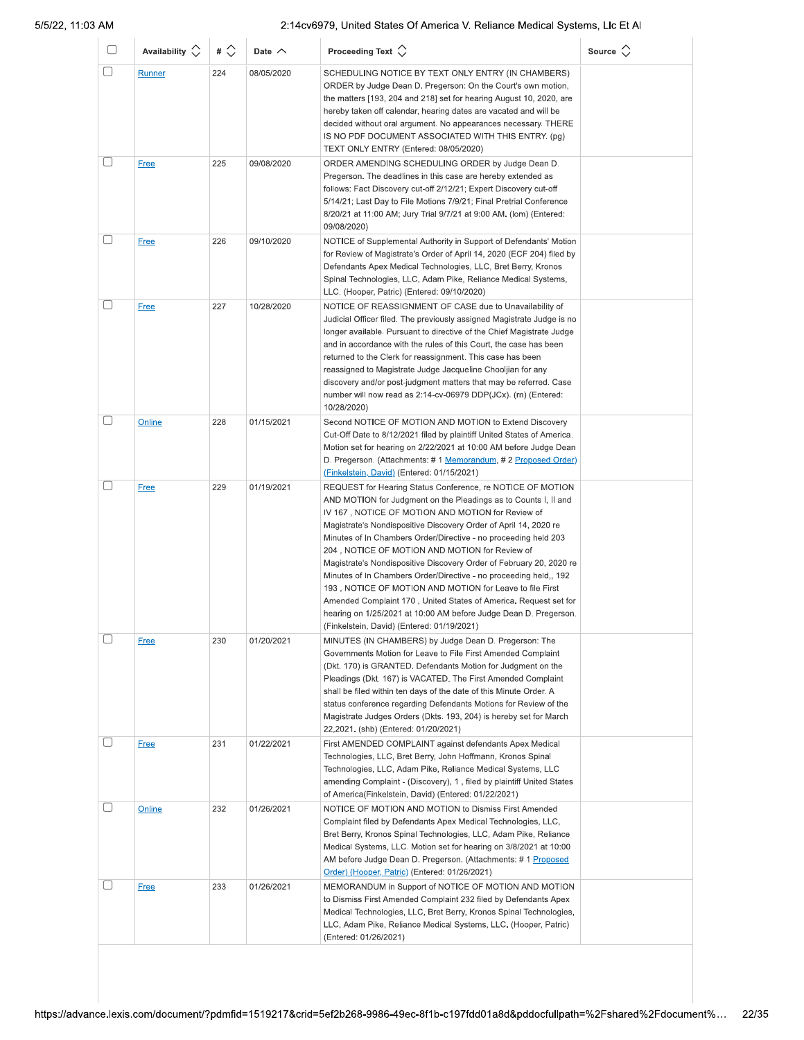| O            | Availability $\circlearrowright$ | # $\Diamond$ | Date $\wedge$ | Proceeding Text $\left\langle \right\rangle$                                                                                                                                                                                                                                                                                                                                                                                                                                                                                                                                                                                                                                                                                                                              | Source $\Diamond$ |
|--------------|----------------------------------|--------------|---------------|---------------------------------------------------------------------------------------------------------------------------------------------------------------------------------------------------------------------------------------------------------------------------------------------------------------------------------------------------------------------------------------------------------------------------------------------------------------------------------------------------------------------------------------------------------------------------------------------------------------------------------------------------------------------------------------------------------------------------------------------------------------------------|-------------------|
| □            | Runner                           | 224          | 08/05/2020    | SCHEDULING NOTICE BY TEXT ONLY ENTRY (IN CHAMBERS)<br>ORDER by Judge Dean D. Pregerson: On the Court's own motion,<br>the matters [193, 204 and 218] set for hearing August 10, 2020, are<br>hereby taken off calendar, hearing dates are vacated and will be<br>decided without oral argument. No appearances necessary. THERE<br>IS NO PDF DOCUMENT ASSOCIATED WITH THIS ENTRY. (pg)<br>TEXT ONLY ENTRY (Entered: 08/05/2020)                                                                                                                                                                                                                                                                                                                                           |                   |
|              | <b>Free</b>                      | 225          | 09/08/2020    | ORDER AMENDING SCHEDULING ORDER by Judge Dean D.<br>Pregerson. The deadlines in this case are hereby extended as<br>follows: Fact Discovery cut-off 2/12/21; Expert Discovery cut-off<br>5/14/21; Last Day to File Motions 7/9/21; Final Pretrial Conference<br>8/20/21 at 11:00 AM; Jury Trial 9/7/21 at 9:00 AM. (lom) (Entered:<br>09/08/2020)                                                                                                                                                                                                                                                                                                                                                                                                                         |                   |
| O            | <b>Free</b>                      | 226          | 09/10/2020    | NOTICE of Supplemental Authority in Support of Defendants' Motion<br>for Review of Magistrate's Order of April 14, 2020 (ECF 204) filed by<br>Defendants Apex Medical Technologies, LLC, Bret Berry, Kronos<br>Spinal Technologies, LLC, Adam Pike, Reliance Medical Systems,<br>LLC. (Hooper, Patric) (Entered: 09/10/2020)                                                                                                                                                                                                                                                                                                                                                                                                                                              |                   |
| u            | <b>Free</b>                      | 227          | 10/28/2020    | NOTICE OF REASSIGNMENT OF CASE due to Unavailability of<br>Judicial Officer filed. The previously assigned Magistrate Judge is no<br>longer available. Pursuant to directive of the Chief Magistrate Judge<br>and in accordance with the rules of this Court, the case has been<br>returned to the Clerk for reassignment. This case has been<br>reassigned to Magistrate Judge Jacqueline Chooljian for any<br>discovery and/or post-judgment matters that may be referred. Case<br>number will now read as 2:14-cv-06979 DDP(JCx). (rn) (Entered:<br>10/28/2020)                                                                                                                                                                                                        |                   |
| С            | Online                           | 228          | 01/15/2021    | Second NOTICE OF MOTION AND MOTION to Extend Discovery<br>Cut-Off Date to 8/12/2021 filed by plaintiff United States of America.<br>Motion set for hearing on 2/22/2021 at 10:00 AM before Judge Dean<br>D. Pregerson. (Attachments: # 1 Memorandum, # 2 Proposed Order)<br>(Finkelstein, David) (Entered: 01/15/2021)                                                                                                                                                                                                                                                                                                                                                                                                                                                    |                   |
| $\mathbf{L}$ | <b>Free</b>                      | 229          | 01/19/2021    | REQUEST for Hearing Status Conference, re NOTICE OF MOTION<br>AND MOTION for Judgment on the Pleadings as to Counts I, II and<br>IV 167, NOTICE OF MOTION AND MOTION for Review of<br>Magistrate's Nondispositive Discovery Order of April 14, 2020 re<br>Minutes of In Chambers Order/Directive - no proceeding held 203<br>204, NOTICE OF MOTION AND MOTION for Review of<br>Magistrate's Nondispositive Discovery Order of February 20, 2020 re<br>Minutes of In Chambers Order/Directive - no proceeding held., 192<br>193, NOTICE OF MOTION AND MOTION for Leave to file First<br>Amended Complaint 170, United States of America. Request set for<br>hearing on 1/25/2021 at 10:00 AM before Judge Dean D. Pregerson.<br>(Finkelstein, David) (Entered: 01/19/2021) |                   |
|              | <b>Free</b>                      | 230          | 01/20/2021    | MINUTES (IN CHAMBERS) by Judge Dean D. Pregerson: The<br>Governments Motion for Leave to File First Amended Complaint<br>(Dkt. 170) is GRANTED. Defendants Motion for Judgment on the<br>Pleadings (Dkt. 167) is VACATED. The First Amended Complaint<br>shall be filed within ten days of the date of this Minute Order. A<br>status conference regarding Defendants Motions for Review of the<br>Magistrate Judges Orders (Dkts. 193, 204) is hereby set for March<br>22,2021. (shb) (Entered: 01/20/2021)                                                                                                                                                                                                                                                              |                   |
|              | <b>Free</b>                      | 231          | 01/22/2021    | First AMENDED COMPLAINT against defendants Apex Medical<br>Technologies, LLC, Bret Berry, John Hoffmann, Kronos Spinal<br>Technologies, LLC, Adam Pike, Reliance Medical Systems, LLC<br>amending Complaint - (Discovery), 1, filed by plaintiff United States<br>of America(Finkelstein, David) (Entered: 01/22/2021)                                                                                                                                                                                                                                                                                                                                                                                                                                                    |                   |
| П            | Online                           | 232          | 01/26/2021    | NOTICE OF MOTION AND MOTION to Dismiss First Amended<br>Complaint filed by Defendants Apex Medical Technologies, LLC,<br>Bret Berry, Kronos Spinal Technologies, LLC, Adam Pike, Reliance<br>Medical Systems, LLC. Motion set for hearing on 3/8/2021 at 10:00<br>AM before Judge Dean D. Pregerson. (Attachments: #1 Proposed<br>Order) (Hooper, Patric) (Entered: 01/26/2021)                                                                                                                                                                                                                                                                                                                                                                                           |                   |
| □            | <b>Free</b>                      | 233          | 01/26/2021    | MEMORANDUM in Support of NOTICE OF MOTION AND MOTION<br>to Dismiss First Amended Complaint 232 filed by Defendants Apex<br>Medical Technologies, LLC, Bret Berry, Kronos Spinal Technologies,<br>LLC, Adam Pike, Reliance Medical Systems, LLC. (Hooper, Patric)<br>(Entered: 01/26/2021)                                                                                                                                                                                                                                                                                                                                                                                                                                                                                 |                   |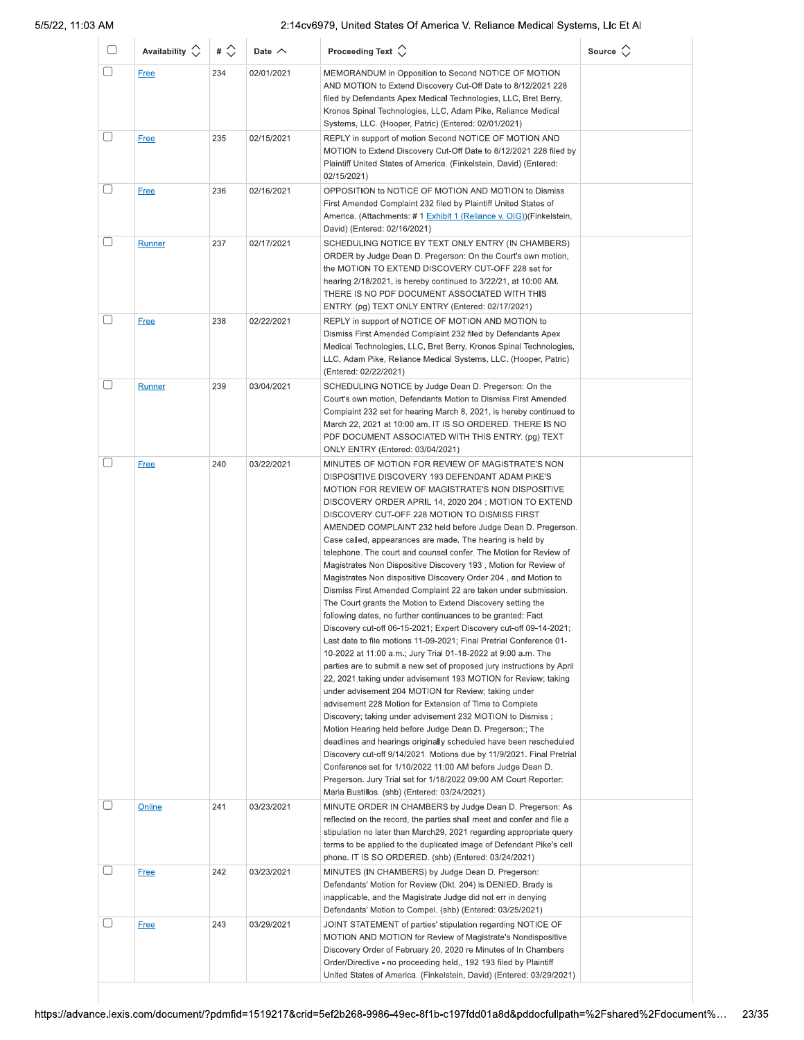| O            | Availability $\Diamond$ | # $\Diamond$ | Date $\wedge$ | Proceeding Text $\langle \rangle$                                                                                                                                                                                                                                                                                                                                                                                                                                                                                                                                                                                                                                                                                                                                                                                                                                                                                                                                                                                                                                                                                                                                                                                                                                                                                                                                                                                                                                                                                                                                                                                                                                                                                                             | Source $\langle \rangle$ |
|--------------|-------------------------|--------------|---------------|-----------------------------------------------------------------------------------------------------------------------------------------------------------------------------------------------------------------------------------------------------------------------------------------------------------------------------------------------------------------------------------------------------------------------------------------------------------------------------------------------------------------------------------------------------------------------------------------------------------------------------------------------------------------------------------------------------------------------------------------------------------------------------------------------------------------------------------------------------------------------------------------------------------------------------------------------------------------------------------------------------------------------------------------------------------------------------------------------------------------------------------------------------------------------------------------------------------------------------------------------------------------------------------------------------------------------------------------------------------------------------------------------------------------------------------------------------------------------------------------------------------------------------------------------------------------------------------------------------------------------------------------------------------------------------------------------------------------------------------------------|--------------------------|
| □            | Free                    | 234          | 02/01/2021    | MEMORANDUM in Opposition to Second NOTICE OF MOTION<br>AND MOTION to Extend Discovery Cut-Off Date to 8/12/2021 228<br>filed by Defendants Apex Medical Technologies, LLC, Bret Berry,<br>Kronos Spinal Technologies, LLC, Adam Pike, Reliance Medical<br>Systems, LLC. (Hooper, Patric) (Entered: 02/01/2021)                                                                                                                                                                                                                                                                                                                                                                                                                                                                                                                                                                                                                                                                                                                                                                                                                                                                                                                                                                                                                                                                                                                                                                                                                                                                                                                                                                                                                                |                          |
| □            | <b>Free</b>             | 235          | 02/15/2021    | REPLY in support of motion Second NOTICE OF MOTION AND<br>MOTION to Extend Discovery Cut-Off Date to 8/12/2021 228 filed by<br>Plaintiff United States of America. (Finkelstein, David) (Entered:<br>02/15/2021)                                                                                                                                                                                                                                                                                                                                                                                                                                                                                                                                                                                                                                                                                                                                                                                                                                                                                                                                                                                                                                                                                                                                                                                                                                                                                                                                                                                                                                                                                                                              |                          |
| □            | <b>Free</b>             | 236          | 02/16/2021    | OPPOSITION to NOTICE OF MOTION AND MOTION to Dismiss<br>First Amended Complaint 232 filed by Plaintiff United States of<br>America. (Attachments: # 1 Exhibit 1 (Reliance v. OIG)) (Finkelstein,<br>David) (Entered: 02/16/2021)                                                                                                                                                                                                                                                                                                                                                                                                                                                                                                                                                                                                                                                                                                                                                                                                                                                                                                                                                                                                                                                                                                                                                                                                                                                                                                                                                                                                                                                                                                              |                          |
| U            | Runner                  | 237          | 02/17/2021    | SCHEDULING NOTICE BY TEXT ONLY ENTRY (IN CHAMBERS)<br>ORDER by Judge Dean D. Pregerson: On the Court's own motion,<br>the MOTION TO EXTEND DISCOVERY CUT-OFF 228 set for<br>hearing $2/18/2021$ , is hereby continued to $3/22/21$ , at 10:00 AM.<br>THERE IS NO PDF DOCUMENT ASSOCIATED WITH THIS<br>ENTRY. (pg) TEXT ONLY ENTRY (Entered: 02/17/2021)                                                                                                                                                                                                                                                                                                                                                                                                                                                                                                                                                                                                                                                                                                                                                                                                                                                                                                                                                                                                                                                                                                                                                                                                                                                                                                                                                                                       |                          |
| U            | <b>Free</b>             | 238          | 02/22/2021    | REPLY in support of NOTICE OF MOTION AND MOTION to<br>Dismiss First Amended Complaint 232 filed by Defendants Apex<br>Medical Technologies, LLC, Bret Berry, Kronos Spinal Technologies,<br>LLC, Adam Pike, Reliance Medical Systems, LLC. (Hooper, Patric)<br>(Entered: 02/22/2021)                                                                                                                                                                                                                                                                                                                                                                                                                                                                                                                                                                                                                                                                                                                                                                                                                                                                                                                                                                                                                                                                                                                                                                                                                                                                                                                                                                                                                                                          |                          |
| □            | Runner                  | 239          | 03/04/2021    | SCHEDULING NOTICE by Judge Dean D. Pregerson: On the<br>Court's own motion, Defendants Motion to Dismiss First Amended<br>Complaint 232 set for hearing March 8, 2021, is hereby continued to<br>March 22, 2021 at 10:00 am. IT IS SO ORDERED. THERE IS NO<br>PDF DOCUMENT ASSOCIATED WITH THIS ENTRY. (pg) TEXT<br>ONLY ENTRY (Entered: 03/04/2021)                                                                                                                                                                                                                                                                                                                                                                                                                                                                                                                                                                                                                                                                                                                                                                                                                                                                                                                                                                                                                                                                                                                                                                                                                                                                                                                                                                                          |                          |
| $\mathbf{L}$ | <b>Free</b>             | 240          | 03/22/2021    | MINUTES OF MOTION FOR REVIEW OF MAGISTRATE'S NON<br>DISPOSITIVE DISCOVERY 193 DEFENDANT ADAM PIKE'S<br>MOTION FOR REVIEW OF MAGISTRATE'S NON DISPOSITIVE<br>DISCOVERY ORDER APRIL 14, 2020 204; MOTION TO EXTEND<br>DISCOVERY CUT-OFF 228 MOTION TO DISMISS FIRST<br>AMENDED COMPLAINT 232 held before Judge Dean D. Pregerson.<br>Case called, appearances are made. The hearing is held by<br>telephone. The court and counsel confer. The Motion for Review of<br>Magistrates Non Dispositive Discovery 193, Motion for Review of<br>Magistrates Non dispositive Discovery Order 204, and Motion to<br>Dismiss First Amended Complaint 22 are taken under submission.<br>The Court grants the Motion to Extend Discovery setting the<br>following dates, no further continuances to be granted: Fact<br>Discovery cut-off 06-15-2021; Expert Discovery cut-off 09-14-2021;<br>Last date to file motions 11-09-2021; Final Pretrial Conference 01-<br>10-2022 at 11:00 a.m.; Jury Trial 01-18-2022 at 9:00 a.m. The<br>parties are to submit a new set of proposed jury instructions by April<br>22, 2021 taking under advisement 193 MOTION for Review; taking<br>under advisement 204 MOTION for Review; taking under<br>advisement 228 Motion for Extension of Time to Complete<br>Discovery; taking under advisement 232 MOTION to Dismiss;<br>Motion Hearing held before Judge Dean D. Pregerson:; The<br>deadlines and hearings originally scheduled have been rescheduled<br>Discovery cut-off 9/14/2021. Motions due by 11/9/2021. Final Pretrial<br>Conference set for 1/10/2022 11:00 AM before Judge Dean D.<br>Pregerson. Jury Trial set for 1/18/2022 09:00 AM Court Reporter:<br>Maria Bustillos. (shb) (Entered: 03/24/2021) |                          |
|              | Online                  | 241          | 03/23/2021    | MINUTE ORDER IN CHAMBERS by Judge Dean D. Pregerson: As<br>reflected on the record, the parties shall meet and confer and file a<br>stipulation no later than March29, 2021 regarding appropriate query<br>terms to be applied to the duplicated image of Defendant Pike's cell<br>phone. IT IS SO ORDERED. (shb) (Entered: 03/24/2021)                                                                                                                                                                                                                                                                                                                                                                                                                                                                                                                                                                                                                                                                                                                                                                                                                                                                                                                                                                                                                                                                                                                                                                                                                                                                                                                                                                                                       |                          |
| Ι.           | <b>Free</b>             | 242          | 03/23/2021    | MINUTES (IN CHAMBERS) by Judge Dean D. Pregerson:<br>Defendants' Motion for Review (Dkt. 204) is DENIED. Brady is<br>inapplicable, and the Magistrate Judge did not err in denying<br>Defendants' Motion to Compel. (shb) (Entered: 03/25/2021)                                                                                                                                                                                                                                                                                                                                                                                                                                                                                                                                                                                                                                                                                                                                                                                                                                                                                                                                                                                                                                                                                                                                                                                                                                                                                                                                                                                                                                                                                               |                          |
|              | <b>Free</b>             | 243          | 03/29/2021    | JOINT STATEMENT of parties' stipulation regarding NOTICE OF<br>MOTION AND MOTION for Review of Magistrate's Nondispositive<br>Discovery Order of February 20, 2020 re Minutes of In Chambers<br>Order/Directive - no proceeding held,, 192 193 filed by Plaintiff<br>United States of America. (Finkelstein, David) (Entered: 03/29/2021)                                                                                                                                                                                                                                                                                                                                                                                                                                                                                                                                                                                                                                                                                                                                                                                                                                                                                                                                                                                                                                                                                                                                                                                                                                                                                                                                                                                                     |                          |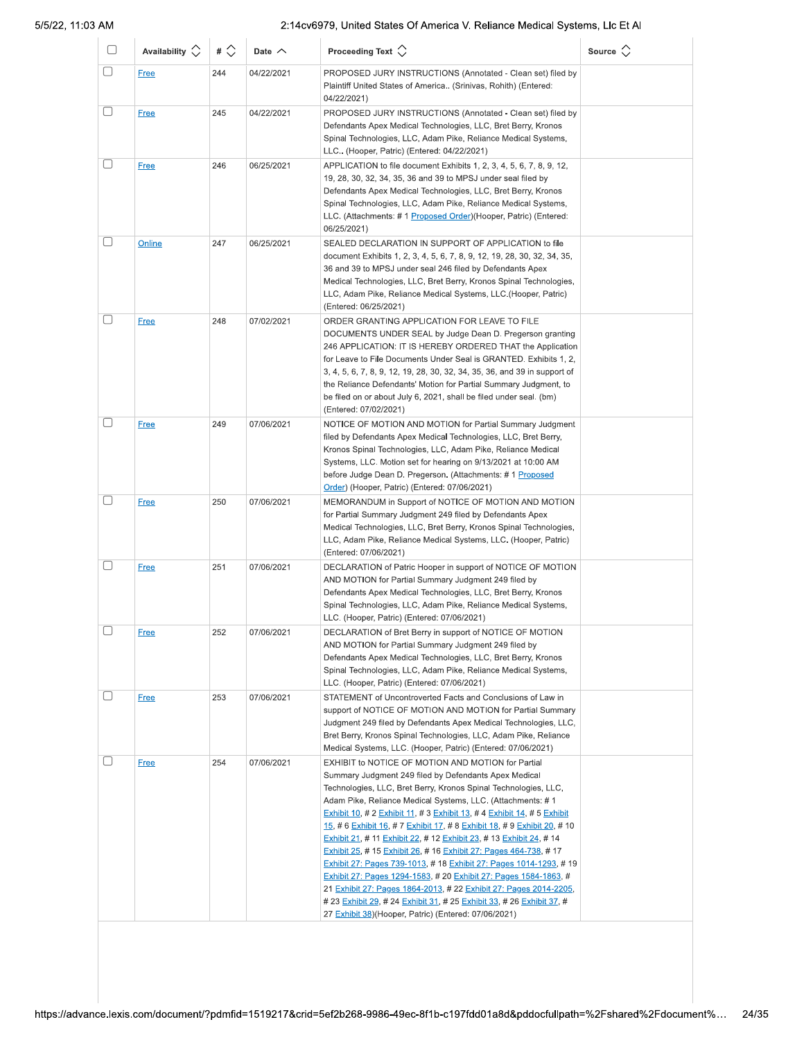| PROPOSED JURY INSTRUCTIONS (Annotated - Clean set) filed by<br>Plaintiff United States of America (Srinivas, Rohith) (Entered:<br>PROPOSED JURY INSTRUCTIONS (Annotated - Clean set) filed by<br>Defendants Apex Medical Technologies, LLC, Bret Berry, Kronos<br>Spinal Technologies, LLC, Adam Pike, Reliance Medical Systems,<br>APPLICATION to file document Exhibits 1, 2, 3, 4, 5, 6, 7, 8, 9, 12,<br>Defendants Apex Medical Technologies, LLC, Bret Berry, Kronos<br>Spinal Technologies, LLC, Adam Pike, Reliance Medical Systems,<br>LLC. (Attachments: #1 Proposed Order)(Hooper, Patric) (Entered:<br>SEALED DECLARATION IN SUPPORT OF APPLICATION to file<br>document Exhibits 1, 2, 3, 4, 5, 6, 7, 8, 9, 12, 19, 28, 30, 32, 34, 35,<br>Medical Technologies, LLC, Bret Berry, Kronos Spinal Technologies,<br>LLC, Adam Pike, Reliance Medical Systems, LLC. (Hooper, Patric)<br>DOCUMENTS UNDER SEAL by Judge Dean D. Pregerson granting<br>246 APPLICATION: IT IS HEREBY ORDERED THAT the Application<br>for Leave to File Documents Under Seal is GRANTED. Exhibits 1, 2, |
|--------------------------------------------------------------------------------------------------------------------------------------------------------------------------------------------------------------------------------------------------------------------------------------------------------------------------------------------------------------------------------------------------------------------------------------------------------------------------------------------------------------------------------------------------------------------------------------------------------------------------------------------------------------------------------------------------------------------------------------------------------------------------------------------------------------------------------------------------------------------------------------------------------------------------------------------------------------------------------------------------------------------------------------------------------------------------------------------|
|                                                                                                                                                                                                                                                                                                                                                                                                                                                                                                                                                                                                                                                                                                                                                                                                                                                                                                                                                                                                                                                                                            |
|                                                                                                                                                                                                                                                                                                                                                                                                                                                                                                                                                                                                                                                                                                                                                                                                                                                                                                                                                                                                                                                                                            |
|                                                                                                                                                                                                                                                                                                                                                                                                                                                                                                                                                                                                                                                                                                                                                                                                                                                                                                                                                                                                                                                                                            |
|                                                                                                                                                                                                                                                                                                                                                                                                                                                                                                                                                                                                                                                                                                                                                                                                                                                                                                                                                                                                                                                                                            |
| 3, 4, 5, 6, 7, 8, 9, 12, 19, 28, 30, 32, 34, 35, 36, and 39 in support of<br>the Reliance Defendants' Motion for Partial Summary Judgment, to<br>be filed on or about July 6, 2021, shall be filed under seal. (bm)                                                                                                                                                                                                                                                                                                                                                                                                                                                                                                                                                                                                                                                                                                                                                                                                                                                                        |
| NOTICE OF MOTION AND MOTION for Partial Summary Judgment<br>filed by Defendants Apex Medical Technologies, LLC, Bret Berry,<br>Kronos Spinal Technologies, LLC, Adam Pike, Reliance Medical<br>Systems, LLC. Motion set for hearing on 9/13/2021 at 10:00 AM<br>before Judge Dean D. Pregerson. (Attachments: # 1 Proposed                                                                                                                                                                                                                                                                                                                                                                                                                                                                                                                                                                                                                                                                                                                                                                 |
| MEMORANDUM in Support of NOTICE OF MOTION AND MOTION<br>Medical Technologies, LLC, Bret Berry, Kronos Spinal Technologies,<br>LLC, Adam Pike, Reliance Medical Systems, LLC. (Hooper, Patric)                                                                                                                                                                                                                                                                                                                                                                                                                                                                                                                                                                                                                                                                                                                                                                                                                                                                                              |
| DECLARATION of Patric Hooper in support of NOTICE OF MOTION<br>Defendants Apex Medical Technologies, LLC, Bret Berry, Kronos<br>Spinal Technologies, LLC, Adam Pike, Reliance Medical Systems,                                                                                                                                                                                                                                                                                                                                                                                                                                                                                                                                                                                                                                                                                                                                                                                                                                                                                             |
| DECLARATION of Bret Berry in support of NOTICE OF MOTION<br>Defendants Apex Medical Technologies, LLC, Bret Berry, Kronos<br>Spinal Technologies, LLC, Adam Pike, Reliance Medical Systems,                                                                                                                                                                                                                                                                                                                                                                                                                                                                                                                                                                                                                                                                                                                                                                                                                                                                                                |
| STATEMENT of Uncontroverted Facts and Conclusions of Law in<br>support of NOTICE OF MOTION AND MOTION for Partial Summary<br>Judgment 249 filed by Defendants Apex Medical Technologies, LLC,<br>Bret Berry, Kronos Spinal Technologies, LLC, Adam Pike, Reliance                                                                                                                                                                                                                                                                                                                                                                                                                                                                                                                                                                                                                                                                                                                                                                                                                          |
| Technologies, LLC, Bret Berry, Kronos Spinal Technologies, LLC,<br>Adam Pike, Reliance Medical Systems, LLC. (Attachments: #1<br>Exhibit 10, # 2 Exhibit 11, # 3 Exhibit 13, # 4 Exhibit 14, # 5 Exhibit<br>15, # 6 Exhibit 16, # 7 Exhibit 17, # 8 Exhibit 18, # 9 Exhibit 20, # 10<br>Exhibit 21, # 11 Exhibit 22, # 12 Exhibit 23, # 13 Exhibit 24, # 14<br>Exhibit 25, #15 Exhibit 26, #16 Exhibit 27: Pages 464-738, #17                                                                                                                                                                                                                                                                                                                                                                                                                                                                                                                                                                                                                                                              |
| Medical Systems, LLC. (Hooper, Patric) (Entered: 07/06/2021)                                                                                                                                                                                                                                                                                                                                                                                                                                                                                                                                                                                                                                                                                                                                                                                                                                                                                                                                                                                                                               |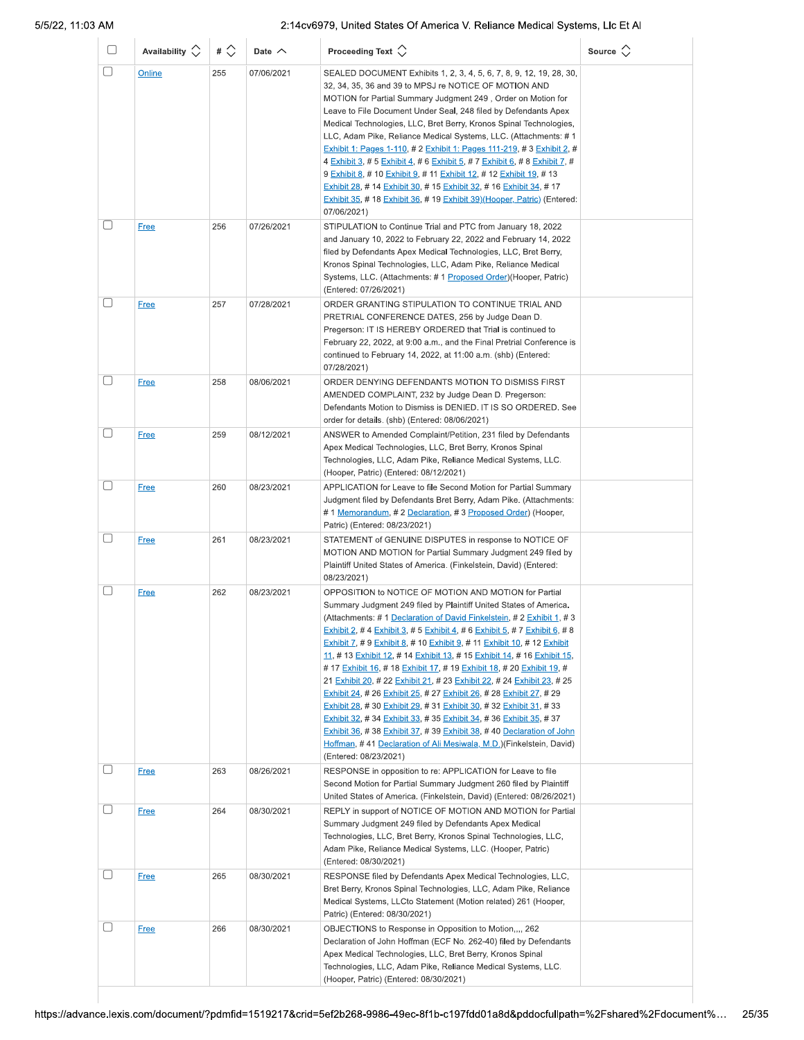| U                      | Availability $\Diamond$ | # $\Diamond$ | Date $\wedge$ | Proceeding Text $\left\langle \right\rangle$                                                                                                                                                                                                                                                                                                                                                                                                                                                                                                                                                                                                                                                                                                                                                                                                                                                                                                                                      | Source $\Diamond$ |
|------------------------|-------------------------|--------------|---------------|-----------------------------------------------------------------------------------------------------------------------------------------------------------------------------------------------------------------------------------------------------------------------------------------------------------------------------------------------------------------------------------------------------------------------------------------------------------------------------------------------------------------------------------------------------------------------------------------------------------------------------------------------------------------------------------------------------------------------------------------------------------------------------------------------------------------------------------------------------------------------------------------------------------------------------------------------------------------------------------|-------------------|
| □                      | Online                  | 255          | 07/06/2021    | SEALED DOCUMENT Exhibits 1, 2, 3, 4, 5, 6, 7, 8, 9, 12, 19, 28, 30,<br>32, 34, 35, 36 and 39 to MPSJ re NOTICE OF MOTION AND<br>MOTION for Partial Summary Judgment 249, Order on Motion for<br>Leave to File Document Under Seal, 248 filed by Defendants Apex<br>Medical Technologies, LLC, Bret Berry, Kronos Spinal Technologies,<br>LLC, Adam Pike, Reliance Medical Systems, LLC. (Attachments: # 1<br>Exhibit 1: Pages 1-110, # 2 Exhibit 1: Pages 111-219, # 3 Exhibit 2, #<br>4 Exhibit 3, # 5 Exhibit 4, # 6 Exhibit 5, # 7 Exhibit 6, # 8 Exhibit 7, #<br>9 Exhibit 8, # 10 Exhibit 9, # 11 Exhibit 12, # 12 Exhibit 19, # 13<br>Exhibit 28, # 14 Exhibit 30, # 15 Exhibit 32, # 16 Exhibit 34, # 17<br>Exhibit 35, # 18 Exhibit 36, # 19 Exhibit 39) (Hooper, Patric) (Entered:<br>07/06/2021)                                                                                                                                                                        |                   |
| $\left[ \quad \right]$ | <b>Free</b>             | 256          | 07/26/2021    | STIPULATION to Continue Trial and PTC from January 18, 2022<br>and January 10, 2022 to February 22, 2022 and February 14, 2022<br>filed by Defendants Apex Medical Technologies, LLC, Bret Berry,<br>Kronos Spinal Technologies, LLC, Adam Pike, Reliance Medical<br>Systems, LLC. (Attachments: # 1 Proposed Order) (Hooper, Patric)<br>(Entered: 07/26/2021)                                                                                                                                                                                                                                                                                                                                                                                                                                                                                                                                                                                                                    |                   |
|                        | <b>Free</b>             | 257          | 07/28/2021    | ORDER GRANTING STIPULATION TO CONTINUE TRIAL AND<br>PRETRIAL CONFERENCE DATES, 256 by Judge Dean D.<br>Pregerson: IT IS HEREBY ORDERED that Trial is continued to<br>February 22, 2022, at 9:00 a.m., and the Final Pretrial Conference is<br>continued to February 14, 2022, at 11:00 a.m. (shb) (Entered:<br>07/28/2021)                                                                                                                                                                                                                                                                                                                                                                                                                                                                                                                                                                                                                                                        |                   |
| $\Box$                 | <b>Free</b>             | 258          | 08/06/2021    | ORDER DENYING DEFENDANTS MOTION TO DISMISS FIRST<br>AMENDED COMPLAINT, 232 by Judge Dean D. Pregerson:<br>Defendants Motion to Dismiss is DENIED. IT IS SO ORDERED. See<br>order for details. (shb) (Entered: 08/06/2021)                                                                                                                                                                                                                                                                                                                                                                                                                                                                                                                                                                                                                                                                                                                                                         |                   |
| □                      | <b>Free</b>             | 259          | 08/12/2021    | ANSWER to Amended Complaint/Petition, 231 filed by Defendants<br>Apex Medical Technologies, LLC, Bret Berry, Kronos Spinal<br>Technologies, LLC, Adam Pike, Reliance Medical Systems, LLC.<br>(Hooper, Patric) (Entered: 08/12/2021)                                                                                                                                                                                                                                                                                                                                                                                                                                                                                                                                                                                                                                                                                                                                              |                   |
| $\Box$                 | <b>Free</b>             | 260          | 08/23/2021    | APPLICATION for Leave to file Second Motion for Partial Summary<br>Judgment filed by Defendants Bret Berry, Adam Pike. (Attachments:<br># 1 Memorandum, # 2 Declaration, # 3 Proposed Order) (Hooper,<br>Patric) (Entered: 08/23/2021)                                                                                                                                                                                                                                                                                                                                                                                                                                                                                                                                                                                                                                                                                                                                            |                   |
| $\Box$                 | <b>Free</b>             | 261          | 08/23/2021    | STATEMENT of GENUINE DISPUTES in response to NOTICE OF<br>MOTION AND MOTION for Partial Summary Judgment 249 filed by<br>Plaintiff United States of America. (Finkelstein, David) (Entered:<br>08/23/2021)                                                                                                                                                                                                                                                                                                                                                                                                                                                                                                                                                                                                                                                                                                                                                                        |                   |
| $\left[ \quad \right]$ | <b>Free</b>             | 262          | 08/23/2021    | OPPOSITION to NOTICE OF MOTION AND MOTION for Partial<br>Summary Judgment 249 filed by Plaintiff United States of America.<br>(Attachments: #1 Declaration of David Finkelstein, #2 Exhibit 1, #3<br>Exhibit 2, # 4 Exhibit 3, # 5 Exhibit 4, # 6 Exhibit 5, # 7 Exhibit 6, # 8<br>Exhibit 7, # 9 Exhibit 8, # 10 Exhibit 9, # 11 Exhibit 10, # 12 Exhibit<br>11, # 13 Exhibit 12, # 14 Exhibit 13, # 15 Exhibit 14, # 16 Exhibit 15,<br># 17 Exhibit 16, # 18 Exhibit 17, # 19 Exhibit 18, # 20 Exhibit 19, #<br>21 Exhibit 20, # 22 Exhibit 21, # 23 Exhibit 22, # 24 Exhibit 23, # 25<br>Exhibit 24, # 26 Exhibit 25, # 27 Exhibit 26, # 28 Exhibit 27, # 29<br>Exhibit 28, #30 Exhibit 29, #31 Exhibit 30, #32 Exhibit 31, #33<br>Exhibit 32, # 34 Exhibit 33, # 35 Exhibit 34, # 36 Exhibit 35, # 37<br>Exhibit 36, #38 Exhibit 37, #39 Exhibit 38, #40 Declaration of John<br>Hoffman, #41 Declaration of Ali Mesiwala, M.D.) (Finkelstein, David)<br>(Entered: 08/23/2021) |                   |
| $\Box$                 | <b>Free</b>             | 263          | 08/26/2021    | RESPONSE in opposition to re: APPLICATION for Leave to file<br>Second Motion for Partial Summary Judgment 260 filed by Plaintiff<br>United States of America. (Finkelstein, David) (Entered: 08/26/2021)                                                                                                                                                                                                                                                                                                                                                                                                                                                                                                                                                                                                                                                                                                                                                                          |                   |
| U                      | <b>Free</b>             | 264          | 08/30/2021    | REPLY in support of NOTICE OF MOTION AND MOTION for Partial<br>Summary Judgment 249 filed by Defendants Apex Medical<br>Technologies, LLC, Bret Berry, Kronos Spinal Technologies, LLC,<br>Adam Pike, Reliance Medical Systems, LLC. (Hooper, Patric)<br>(Entered: 08/30/2021)                                                                                                                                                                                                                                                                                                                                                                                                                                                                                                                                                                                                                                                                                                    |                   |
| □                      | <b>Free</b>             | 265          | 08/30/2021    | RESPONSE filed by Defendants Apex Medical Technologies, LLC,<br>Bret Berry, Kronos Spinal Technologies, LLC, Adam Pike, Reliance<br>Medical Systems, LLCto Statement (Motion related) 261 (Hooper,<br>Patric) (Entered: 08/30/2021)                                                                                                                                                                                                                                                                                                                                                                                                                                                                                                                                                                                                                                                                                                                                               |                   |
| $\Box$                 | <b>Free</b>             | 266          | 08/30/2021    | OBJECTIONS to Response in Opposition to Motion,,,, 262<br>Declaration of John Hoffman (ECF No. 262-40) filed by Defendants<br>Apex Medical Technologies, LLC, Bret Berry, Kronos Spinal<br>Technologies, LLC, Adam Pike, Reliance Medical Systems, LLC.<br>(Hooper, Patric) (Entered: 08/30/2021)                                                                                                                                                                                                                                                                                                                                                                                                                                                                                                                                                                                                                                                                                 |                   |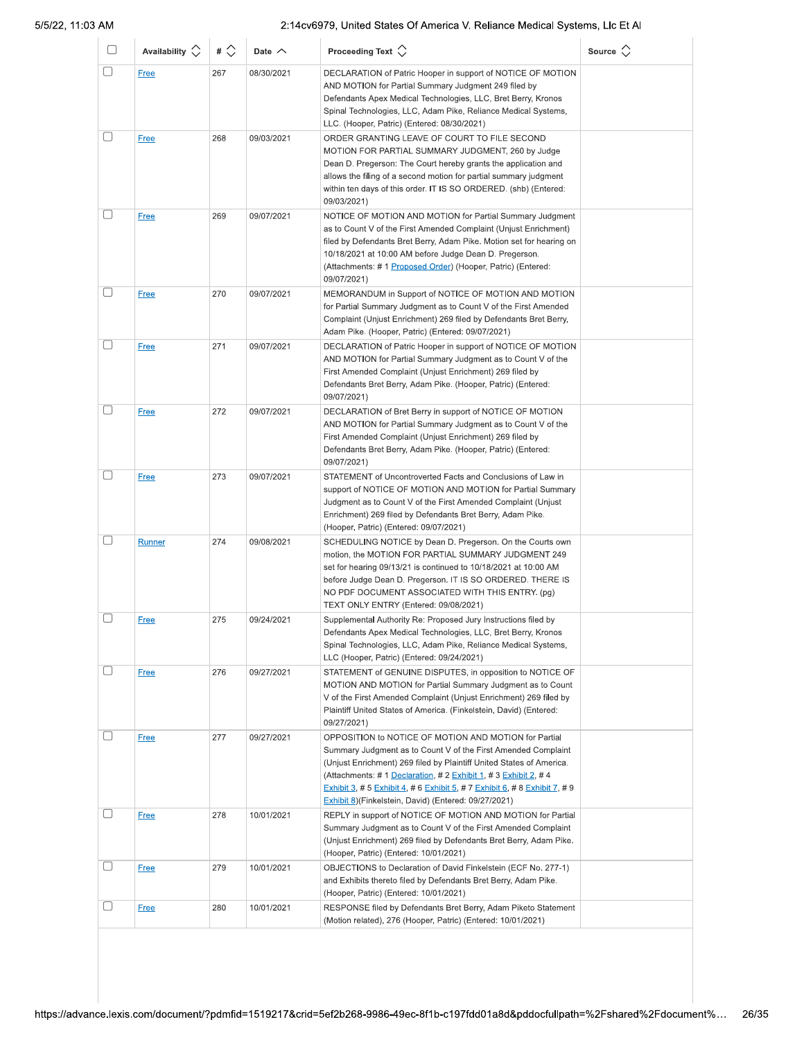| O      | Availability $\circlearrowright$ | # $\Diamond$ | Date $\wedge$ | Proceeding Text $\left\langle \right\rangle$                                                                                                                                                                                                                                                                                                                                                                 | Source $\Diamond$ |
|--------|----------------------------------|--------------|---------------|--------------------------------------------------------------------------------------------------------------------------------------------------------------------------------------------------------------------------------------------------------------------------------------------------------------------------------------------------------------------------------------------------------------|-------------------|
| □      | Free                             | 267          | 08/30/2021    | DECLARATION of Patric Hooper in support of NOTICE OF MOTION<br>AND MOTION for Partial Summary Judgment 249 filed by<br>Defendants Apex Medical Technologies, LLC, Bret Berry, Kronos<br>Spinal Technologies, LLC, Adam Pike, Reliance Medical Systems,<br>LLC. (Hooper, Patric) (Entered: 08/30/2021)                                                                                                        |                   |
| O      | <b>Free</b>                      | 268          | 09/03/2021    | ORDER GRANTING LEAVE OF COURT TO FILE SECOND<br>MOTION FOR PARTIAL SUMMARY JUDGMENT, 260 by Judge<br>Dean D. Pregerson: The Court hereby grants the application and<br>allows the filing of a second motion for partial summary judgment<br>within ten days of this order. IT IS SO ORDERED. (shb) (Entered:<br>09/03/2021)                                                                                  |                   |
|        | <b>Free</b>                      | 269          | 09/07/2021    | NOTICE OF MOTION AND MOTION for Partial Summary Judgment<br>as to Count V of the First Amended Complaint (Unjust Enrichment)<br>filed by Defendants Bret Berry, Adam Pike. Motion set for hearing on<br>10/18/2021 at 10:00 AM before Judge Dean D. Pregerson.<br>(Attachments: # 1 Proposed Order) (Hooper, Patric) (Entered:<br>09/07/2021)                                                                |                   |
| U      | <b>Free</b>                      | 270          | 09/07/2021    | MEMORANDUM in Support of NOTICE OF MOTION AND MOTION<br>for Partial Summary Judgment as to Count V of the First Amended<br>Complaint (Unjust Enrichment) 269 filed by Defendants Bret Berry,<br>Adam Pike. (Hooper, Patric) (Entered: 09/07/2021)                                                                                                                                                            |                   |
| $\Box$ | <b>Free</b>                      | 271          | 09/07/2021    | DECLARATION of Patric Hooper in support of NOTICE OF MOTION<br>AND MOTION for Partial Summary Judgment as to Count V of the<br>First Amended Complaint (Unjust Enrichment) 269 filed by<br>Defendants Bret Berry, Adam Pike. (Hooper, Patric) (Entered:<br>09/07/2021)                                                                                                                                       |                   |
| □      | <b>Free</b>                      | 272          | 09/07/2021    | DECLARATION of Bret Berry in support of NOTICE OF MOTION<br>AND MOTION for Partial Summary Judgment as to Count V of the<br>First Amended Complaint (Unjust Enrichment) 269 filed by<br>Defendants Bret Berry, Adam Pike. (Hooper, Patric) (Entered:<br>09/07/2021)                                                                                                                                          |                   |
| □      | <b>Free</b>                      | 273          | 09/07/2021    | STATEMENT of Uncontroverted Facts and Conclusions of Law in<br>support of NOTICE OF MOTION AND MOTION for Partial Summary<br>Judgment as to Count V of the First Amended Complaint (Unjust<br>Enrichment) 269 filed by Defendants Bret Berry, Adam Pike.<br>(Hooper, Patric) (Entered: 09/07/2021)                                                                                                           |                   |
| L      | Runner                           | 274          | 09/08/2021    | SCHEDULING NOTICE by Dean D. Pregerson. On the Courts own<br>motion, the MOTION FOR PARTIAL SUMMARY JUDGMENT 249<br>set for hearing 09/13/21 is continued to 10/18/2021 at 10:00 AM<br>before Judge Dean D. Pregerson. IT IS SO ORDERED. THERE IS<br>NO PDF DOCUMENT ASSOCIATED WITH THIS ENTRY. (pg)<br>TEXT ONLY ENTRY (Entered: 09/08/2021)                                                               |                   |
|        | <b>Free</b>                      | 275          | 09/24/2021    | Supplemental Authority Re: Proposed Jury Instructions filed by<br>Defendants Apex Medical Technologies, LLC, Bret Berry, Kronos<br>Spinal Technologies, LLC, Adam Pike, Reliance Medical Systems,<br>LLC (Hooper, Patric) (Entered: 09/24/2021)                                                                                                                                                              |                   |
|        | <b>Free</b>                      | 276          | 09/27/2021    | STATEMENT of GENUINE DISPUTES, in opposition to NOTICE OF<br>MOTION AND MOTION for Partial Summary Judgment as to Count<br>V of the First Amended Complaint (Unjust Enrichment) 269 filed by<br>Plaintiff United States of America. (Finkelstein, David) (Entered:<br>09/27/2021)                                                                                                                            |                   |
| □      | <b>Free</b>                      | 277          | 09/27/2021    | OPPOSITION to NOTICE OF MOTION AND MOTION for Partial<br>Summary Judgment as to Count V of the First Amended Complaint<br>(Unjust Enrichment) 269 filed by Plaintiff United States of America.<br>(Attachments: #1 Declaration, #2 Exhibit 1, #3 Exhibit 2, #4<br><b>Exhibit 3, # 5 Exhibit 4, # 6 Exhibit 5, # 7 Exhibit 6, # 8 Exhibit 7, # 9</b><br>Exhibit 8) (Finkelstein, David) (Entered: 09/27/2021) |                   |
| O      | <b>Free</b>                      | 278          | 10/01/2021    | REPLY in support of NOTICE OF MOTION AND MOTION for Partial<br>Summary Judgment as to Count V of the First Amended Complaint<br>(Unjust Enrichment) 269 filed by Defendants Bret Berry, Adam Pike.<br>(Hooper, Patric) (Entered: 10/01/2021)                                                                                                                                                                 |                   |
| $\Box$ | <b>Free</b>                      | 279          | 10/01/2021    | OBJECTIONS to Declaration of David Finkelstein (ECF No. 277-1)<br>and Exhibits thereto filed by Defendants Bret Berry, Adam Pike.<br>(Hooper, Patric) (Entered: 10/01/2021)                                                                                                                                                                                                                                  |                   |
|        | <b>Free</b>                      | 280          | 10/01/2021    | RESPONSE filed by Defendants Bret Berry, Adam Piketo Statement<br>(Motion related), 276 (Hooper, Patric) (Entered: 10/01/2021)                                                                                                                                                                                                                                                                               |                   |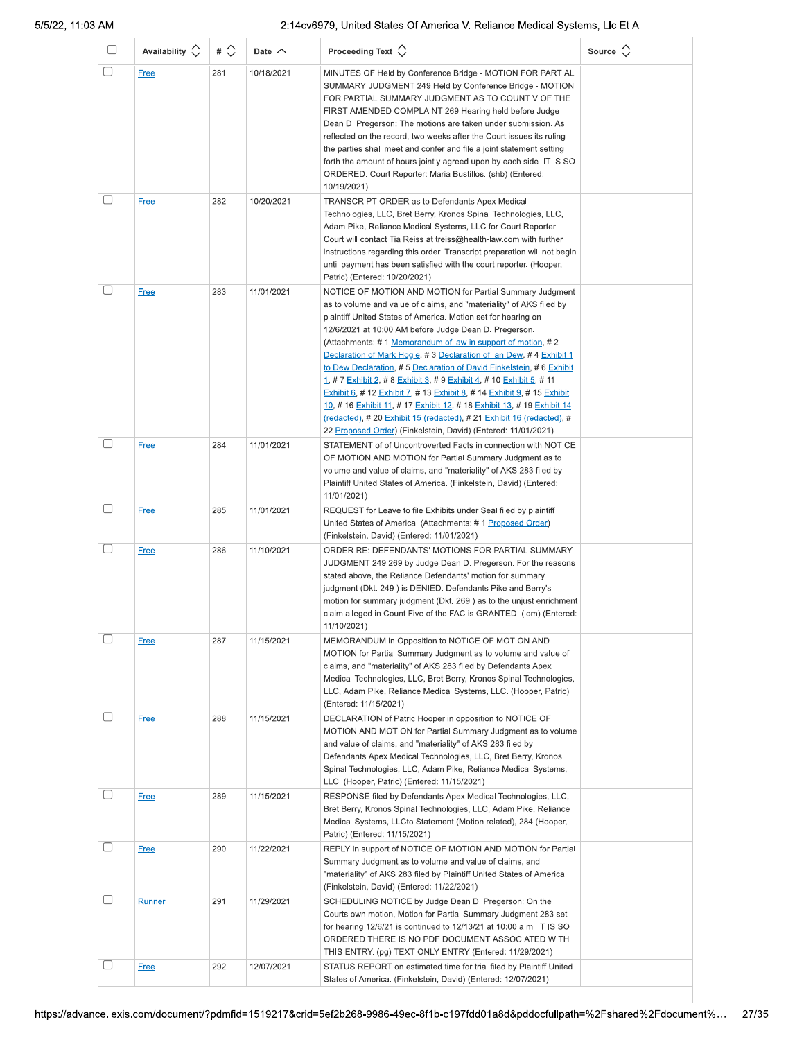| 0 | Availability $\circlearrowright$ | # $\Diamond$ | Date $\wedge$            | Proceeding Text $\bigcirc$                                                                                                                                                                                                                                                                                                                                                                                                                                                                                                                                                                                                                                                                                                                                                                                                                             | Source $\langle \rangle$ |
|---|----------------------------------|--------------|--------------------------|--------------------------------------------------------------------------------------------------------------------------------------------------------------------------------------------------------------------------------------------------------------------------------------------------------------------------------------------------------------------------------------------------------------------------------------------------------------------------------------------------------------------------------------------------------------------------------------------------------------------------------------------------------------------------------------------------------------------------------------------------------------------------------------------------------------------------------------------------------|--------------------------|
| □ | <b>Free</b>                      | 281          | 10/18/2021               | MINUTES OF Held by Conference Bridge - MOTION FOR PARTIAL<br>SUMMARY JUDGMENT 249 Held by Conference Bridge - MOTION<br>FOR PARTIAL SUMMARY JUDGMENT AS TO COUNT V OF THE<br>FIRST AMENDED COMPLAINT 269 Hearing held before Judge<br>Dean D. Pregerson: The motions are taken under submission. As<br>reflected on the record, two weeks after the Court issues its ruling<br>the parties shall meet and confer and file a joint statement setting<br>forth the amount of hours jointly agreed upon by each side. IT IS SO<br>ORDERED. Court Reporter: Maria Bustillos. (shb) (Entered:<br>10/19/2021)                                                                                                                                                                                                                                                |                          |
| □ | <b>Free</b>                      | 282          | 10/20/2021               | TRANSCRIPT ORDER as to Defendants Apex Medical<br>Technologies, LLC, Bret Berry, Kronos Spinal Technologies, LLC,<br>Adam Pike, Reliance Medical Systems, LLC for Court Reporter.<br>Court will contact Tia Reiss at treiss@health-law.com with further<br>instructions regarding this order. Transcript preparation will not begin<br>until payment has been satisfied with the court reporter. (Hooper,<br>Patric) (Entered: 10/20/2021)                                                                                                                                                                                                                                                                                                                                                                                                             |                          |
| □ | <b>Free</b>                      | 283          | 11/01/2021               | NOTICE OF MOTION AND MOTION for Partial Summary Judgment<br>as to volume and value of claims, and "materiality" of AKS filed by<br>plaintiff United States of America. Motion set for hearing on<br>12/6/2021 at 10:00 AM before Judge Dean D. Pregerson.<br>(Attachments: #1 Memorandum of law in support of motion, #2<br>Declaration of Mark Hogle, #3 Declaration of Ian Dew, #4 Exhibit 1<br>to Dew Declaration, #5 Declaration of David Finkelstein, #6 Exhibit<br><u>1, # 7 Exhibit 2, # 8 Exhibit 3, # 9 Exhibit 4, # 10 Exhibit 5, # 11</u><br>Exhibit 6, # 12 Exhibit 7, # 13 Exhibit 8, # 14 Exhibit 9, # 15 Exhibit<br>10, #16 Exhibit 11, #17 Exhibit 12, #18 Exhibit 13, #19 Exhibit 14<br><u>(redacted),</u> # 20 Exhibit 15 (redacted), # 21 Exhibit 16 (redacted), #<br>22 Proposed Order) (Finkelstein, David) (Entered: 11/01/2021) |                          |
| □ | <b>Free</b>                      | 284          | 11/01/2021               | STATEMENT of of Uncontroverted Facts in connection with NOTICE<br>OF MOTION AND MOTION for Partial Summary Judgment as to<br>volume and value of claims, and "materiality" of AKS 283 filed by<br>Plaintiff United States of America. (Finkelstein, David) (Entered:<br>11/01/2021)                                                                                                                                                                                                                                                                                                                                                                                                                                                                                                                                                                    |                          |
|   | <b>Free</b><br><b>Free</b>       | 285<br>286   | 11/01/2021<br>11/10/2021 | REQUEST for Leave to file Exhibits under Seal filed by plaintiff<br>United States of America. (Attachments: # 1 Proposed Order)<br>(Finkelstein, David) (Entered: 11/01/2021)<br>ORDER RE: DEFENDANTS' MOTIONS FOR PARTIAL SUMMARY<br>JUDGMENT 249 269 by Judge Dean D. Pregerson. For the reasons<br>stated above, the Reliance Defendants' motion for summary<br>judgment (Dkt. 249) is DENIED. Defendants Pike and Berry's<br>motion for summary judgment (Dkt. 269) as to the unjust enrichment<br>claim alleged in Count Five of the FAC is GRANTED. (lom) (Entered:<br>11/10/2021)                                                                                                                                                                                                                                                               |                          |
|   | <b>Free</b>                      | 287          | 11/15/2021               | MEMORANDUM in Opposition to NOTICE OF MOTION AND<br>MOTION for Partial Summary Judgment as to volume and value of<br>claims, and "materiality" of AKS 283 filed by Defendants Apex<br>Medical Technologies, LLC, Bret Berry, Kronos Spinal Technologies,<br>LLC, Adam Pike, Reliance Medical Systems, LLC. (Hooper, Patric)<br>(Entered: 11/15/2021)                                                                                                                                                                                                                                                                                                                                                                                                                                                                                                   |                          |
|   | <b>Free</b>                      | 288          | 11/15/2021               | DECLARATION of Patric Hooper in opposition to NOTICE OF<br>MOTION AND MOTION for Partial Summary Judgment as to volume<br>and value of claims, and "materiality" of AKS 283 filed by<br>Defendants Apex Medical Technologies, LLC, Bret Berry, Kronos<br>Spinal Technologies, LLC, Adam Pike, Reliance Medical Systems,<br>LLC. (Hooper, Patric) (Entered: 11/15/2021)                                                                                                                                                                                                                                                                                                                                                                                                                                                                                 |                          |
| □ | <b>Free</b>                      | 289          | 11/15/2021               | RESPONSE filed by Defendants Apex Medical Technologies, LLC,<br>Bret Berry, Kronos Spinal Technologies, LLC, Adam Pike, Reliance<br>Medical Systems, LLCto Statement (Motion related), 284 (Hooper,<br>Patric) (Entered: 11/15/2021)                                                                                                                                                                                                                                                                                                                                                                                                                                                                                                                                                                                                                   |                          |
| U | <b>Free</b>                      | 290          | 11/22/2021               | REPLY in support of NOTICE OF MOTION AND MOTION for Partial<br>Summary Judgment as to volume and value of claims, and<br>"materiality" of AKS 283 filed by Plaintiff United States of America.<br>(Finkelstein, David) (Entered: 11/22/2021)                                                                                                                                                                                                                                                                                                                                                                                                                                                                                                                                                                                                           |                          |
|   | Runner                           | 291          | 11/29/2021               | SCHEDULING NOTICE by Judge Dean D. Pregerson: On the<br>Courts own motion, Motion for Partial Summary Judgment 283 set<br>for hearing 12/6/21 is continued to 12/13/21 at 10:00 a.m. IT IS SO<br>ORDERED. THERE IS NO PDF DOCUMENT ASSOCIATED WITH<br>THIS ENTRY. (pg) TEXT ONLY ENTRY (Entered: 11/29/2021)                                                                                                                                                                                                                                                                                                                                                                                                                                                                                                                                           |                          |
|   | <b>Free</b>                      | 292          | 12/07/2021               | STATUS REPORT on estimated time for trial filed by Plaintiff United<br>States of America. (Finkelstein, David) (Entered: 12/07/2021)                                                                                                                                                                                                                                                                                                                                                                                                                                                                                                                                                                                                                                                                                                                   |                          |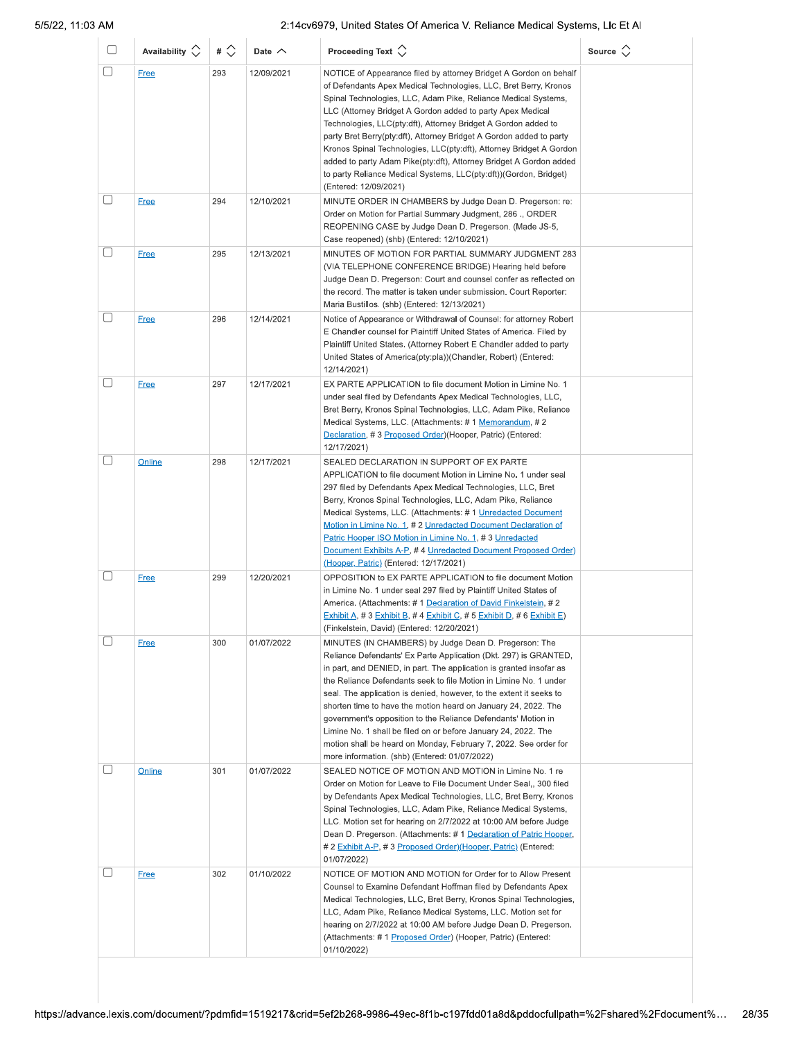| U      | Availability $\Diamond$ | # $\Diamond$ | Date $\wedge$ | Proceeding Text $\hat{\searrow}$                                                                                                                                                                                                                                                                                                                                                                                                                                                                                                                                                                                                                                       | Source $\Diamond$ |
|--------|-------------------------|--------------|---------------|------------------------------------------------------------------------------------------------------------------------------------------------------------------------------------------------------------------------------------------------------------------------------------------------------------------------------------------------------------------------------------------------------------------------------------------------------------------------------------------------------------------------------------------------------------------------------------------------------------------------------------------------------------------------|-------------------|
| □      | Free                    | 293          | 12/09/2021    | NOTICE of Appearance filed by attorney Bridget A Gordon on behalf<br>of Defendants Apex Medical Technologies, LLC, Bret Berry, Kronos<br>Spinal Technologies, LLC, Adam Pike, Reliance Medical Systems,<br>LLC (Attorney Bridget A Gordon added to party Apex Medical<br>Technologies, LLC(pty:dft), Attorney Bridget A Gordon added to<br>party Bret Berry(pty:dft), Attorney Bridget A Gordon added to party<br>Kronos Spinal Technologies, LLC(pty:dft), Attorney Bridget A Gordon<br>added to party Adam Pike(pty:dft), Attorney Bridget A Gordon added<br>to party Reliance Medical Systems, LLC(pty:dft))(Gordon, Bridget)<br>(Entered: 12/09/2021)              |                   |
| $[\ ]$ | <b>Free</b>             | 294          | 12/10/2021    | MINUTE ORDER IN CHAMBERS by Judge Dean D. Pregerson: re:<br>Order on Motion for Partial Summary Judgment, 286., ORDER<br>REOPENING CASE by Judge Dean D. Pregerson. (Made JS-5,<br>Case reopened) (shb) (Entered: 12/10/2021)                                                                                                                                                                                                                                                                                                                                                                                                                                          |                   |
|        | <b>Free</b>             | 295          | 12/13/2021    | MINUTES OF MOTION FOR PARTIAL SUMMARY JUDGMENT 283<br>(VIA TELEPHONE CONFERENCE BRIDGE) Hearing held before<br>Judge Dean D. Pregerson: Court and counsel confer as reflected on<br>the record. The matter is taken under submission. Court Reporter:<br>Maria Bustillos. (shb) (Entered: 12/13/2021)                                                                                                                                                                                                                                                                                                                                                                  |                   |
| □      | <b>Free</b>             | 296          | 12/14/2021    | Notice of Appearance or Withdrawal of Counsel: for attorney Robert<br>E Chandler counsel for Plaintiff United States of America. Filed by<br>Plaintiff United States. (Attorney Robert E Chandler added to party<br>United States of America(pty:pla))(Chandler, Robert) (Entered:<br>12/14/2021)                                                                                                                                                                                                                                                                                                                                                                      |                   |
|        | <b>Free</b>             | 297          | 12/17/2021    | EX PARTE APPLICATION to file document Motion in Limine No. 1<br>under seal filed by Defendants Apex Medical Technologies, LLC,<br>Bret Berry, Kronos Spinal Technologies, LLC, Adam Pike, Reliance<br>Medical Systems, LLC. (Attachments: # 1 Memorandum, # 2<br>Declaration, #3 Proposed Order)(Hooper, Patric) (Entered:<br>12/17/2021)                                                                                                                                                                                                                                                                                                                              |                   |
|        | Online                  | 298          | 12/17/2021    | SEALED DECLARATION IN SUPPORT OF EX PARTE<br>APPLICATION to file document Motion in Limine No. 1 under seal<br>297 filed by Defendants Apex Medical Technologies, LLC, Bret<br>Berry, Kronos Spinal Technologies, LLC, Adam Pike, Reliance<br>Medical Systems, LLC. (Attachments: #1 Unredacted Document<br>Motion in Limine No. 1, # 2 Unredacted Document Declaration of<br>Patric Hooper ISO Motion in Limine No. 1, #3 Unredacted<br>Document Exhibits A-P, #4 Unredacted Document Proposed Order)<br>(Hooper, Patric) (Entered: 12/17/2021)                                                                                                                       |                   |
|        | <b>Free</b>             | 299          | 12/20/2021    | OPPOSITION to EX PARTE APPLICATION to file document Motion<br>in Limine No. 1 under seal 297 filed by Plaintiff United States of<br>America. (Attachments: #1 Declaration of David Finkelstein, #2<br>Exhibit A, # 3 Exhibit B, # 4 Exhibit C, # 5 Exhibit D, # 6 Exhibit E)<br>(Finkelstein, David) (Entered: 12/20/2021)                                                                                                                                                                                                                                                                                                                                             |                   |
|        | <b>Free</b>             | 300          | 01/07/2022    | MINUTES (IN CHAMBERS) by Judge Dean D. Pregerson: The<br>Reliance Defendants' Ex Parte Application (Dkt. 297) is GRANTED,<br>in part, and DENIED, in part. The application is granted insofar as<br>the Reliance Defendants seek to file Motion in Limine No. 1 under<br>seal. The application is denied, however, to the extent it seeks to<br>shorten time to have the motion heard on January 24, 2022. The<br>government's opposition to the Reliance Defendants' Motion in<br>Limine No. 1 shall be filed on or before January 24, 2022. The<br>motion shall be heard on Monday, February 7, 2022. See order for<br>more information. (shb) (Entered: 01/07/2022) |                   |
|        | Online                  | 301          | 01/07/2022    | SEALED NOTICE OF MOTION AND MOTION in Limine No. 1 re<br>Order on Motion for Leave to File Document Under Seal,, 300 filed<br>by Defendants Apex Medical Technologies, LLC, Bret Berry, Kronos<br>Spinal Technologies, LLC, Adam Pike, Reliance Medical Systems,<br>LLC. Motion set for hearing on 2/7/2022 at 10:00 AM before Judge<br>Dean D. Pregerson. (Attachments: #1 Declaration of Patric Hooper,<br># 2 Exhibit A-P, # 3 Proposed Order)(Hooper, Patric) (Entered:<br>01/07/2022)                                                                                                                                                                             |                   |
|        | <b>Free</b>             | 302          | 01/10/2022    | NOTICE OF MOTION AND MOTION for Order for to Allow Present<br>Counsel to Examine Defendant Hoffman filed by Defendants Apex<br>Medical Technologies, LLC, Bret Berry, Kronos Spinal Technologies,<br>LLC, Adam Pike, Reliance Medical Systems, LLC. Motion set for<br>hearing on 2/7/2022 at 10:00 AM before Judge Dean D. Pregerson.<br>(Attachments: #1 Proposed Order) (Hooper, Patric) (Entered:<br>01/10/2022)                                                                                                                                                                                                                                                    |                   |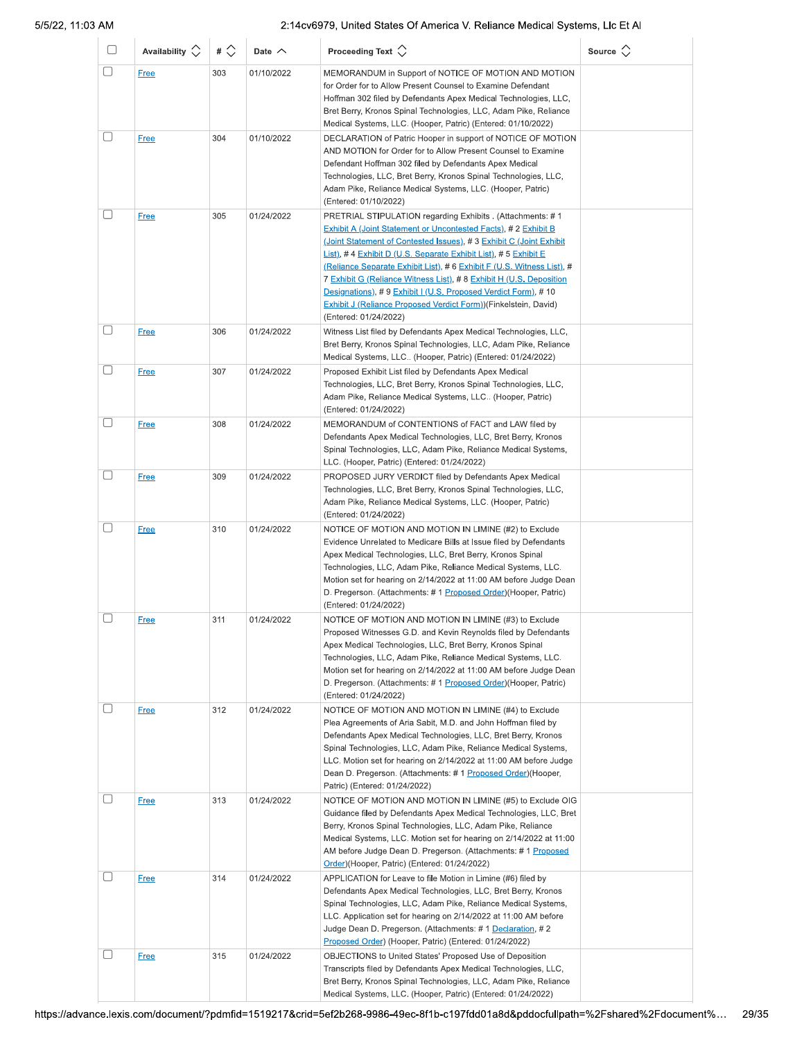| U        | Availability $\Diamond$ | # $\Diamond$ | Date $\wedge$ | Proceeding Text $\left\langle \right\rangle$                                                                                                                                                                                                                                                                                                                                                                                                                                                                                                                                        | Source $\Diamond$ |
|----------|-------------------------|--------------|---------------|-------------------------------------------------------------------------------------------------------------------------------------------------------------------------------------------------------------------------------------------------------------------------------------------------------------------------------------------------------------------------------------------------------------------------------------------------------------------------------------------------------------------------------------------------------------------------------------|-------------------|
| □        | <b>Free</b>             | 303          | 01/10/2022    | MEMORANDUM in Support of NOTICE OF MOTION AND MOTION<br>for Order for to Allow Present Counsel to Examine Defendant<br>Hoffman 302 filed by Defendants Apex Medical Technologies, LLC,<br>Bret Berry, Kronos Spinal Technologies, LLC, Adam Pike, Reliance<br>Medical Systems, LLC. (Hooper, Patric) (Entered: 01/10/2022)                                                                                                                                                                                                                                                          |                   |
|          | <b>Free</b>             | 304          | 01/10/2022    | DECLARATION of Patric Hooper in support of NOTICE OF MOTION<br>AND MOTION for Order for to Allow Present Counsel to Examine<br>Defendant Hoffman 302 filed by Defendants Apex Medical<br>Technologies, LLC, Bret Berry, Kronos Spinal Technologies, LLC,<br>Adam Pike, Reliance Medical Systems, LLC. (Hooper, Patric)<br>(Entered: 01/10/2022)                                                                                                                                                                                                                                     |                   |
|          | <b>Free</b>             | 305          | 01/24/2022    | PRETRIAL STIPULATION regarding Exhibits . (Attachments: #1<br>Exhibit A (Joint Statement or Uncontested Facts), # 2 Exhibit B<br>(Joint Statement of Contested Issues), #3 Exhibit C (Joint Exhibit<br>List), #4 Exhibit D (U.S. Separate Exhibit List), #5 Exhibit E<br>(Reliance Separate Exhibit List), # 6 Exhibit F (U.S. Witness List), #<br>7 Exhibit G (Reliance Witness List), #8 Exhibit H (U.S. Deposition<br>Designations), #9 Exhibit I (U.S. Proposed Verdict Form), #10<br>Exhibit J (Reliance Proposed Verdict Form)) (Finkelstein, David)<br>(Entered: 01/24/2022) |                   |
| □        | <b>Free</b>             | 306          | 01/24/2022    | Witness List filed by Defendants Apex Medical Technologies, LLC,<br>Bret Berry, Kronos Spinal Technologies, LLC, Adam Pike, Reliance<br>Medical Systems, LLC (Hooper, Patric) (Entered: 01/24/2022)                                                                                                                                                                                                                                                                                                                                                                                 |                   |
| □        | <b>Free</b>             | 307          | 01/24/2022    | Proposed Exhibit List filed by Defendants Apex Medical<br>Technologies, LLC, Bret Berry, Kronos Spinal Technologies, LLC,<br>Adam Pike, Reliance Medical Systems, LLC (Hooper, Patric)<br>(Entered: 01/24/2022)                                                                                                                                                                                                                                                                                                                                                                     |                   |
|          | <b>Free</b>             | 308          | 01/24/2022    | MEMORANDUM of CONTENTIONS of FACT and LAW filed by<br>Defendants Apex Medical Technologies, LLC, Bret Berry, Kronos<br>Spinal Technologies, LLC, Adam Pike, Reliance Medical Systems,<br>LLC. (Hooper, Patric) (Entered: 01/24/2022)                                                                                                                                                                                                                                                                                                                                                |                   |
|          | <b>Free</b>             | 309          | 01/24/2022    | PROPOSED JURY VERDICT filed by Defendants Apex Medical<br>Technologies, LLC, Bret Berry, Kronos Spinal Technologies, LLC,<br>Adam Pike, Reliance Medical Systems, LLC. (Hooper, Patric)<br>(Entered: 01/24/2022)                                                                                                                                                                                                                                                                                                                                                                    |                   |
| □        | <b>Free</b>             | 310          | 01/24/2022    | NOTICE OF MOTION AND MOTION IN LIMINE (#2) to Exclude<br>Evidence Unrelated to Medicare Bills at Issue filed by Defendants<br>Apex Medical Technologies, LLC, Bret Berry, Kronos Spinal<br>Technologies, LLC, Adam Pike, Reliance Medical Systems, LLC.<br>Motion set for hearing on 2/14/2022 at 11:00 AM before Judge Dean<br>D. Pregerson. (Attachments: # 1 Proposed Order) (Hooper, Patric)<br>(Entered: 01/24/2022)                                                                                                                                                           |                   |
| □        | <b>Free</b>             | 311          | 01/24/2022    | NOTICE OF MOTION AND MOTION IN LIMINE (#3) to Exclude<br>Proposed Witnesses G.D. and Kevin Reynolds filed by Defendants<br>Apex Medical Technologies, LLC, Bret Berry, Kronos Spinal<br>Technologies, LLC, Adam Pike, Reliance Medical Systems, LLC.<br>Motion set for hearing on 2/14/2022 at 11:00 AM before Judge Dean<br>D. Pregerson. (Attachments: # 1 Proposed Order)(Hooper, Patric)<br>(Entered: 01/24/2022)                                                                                                                                                               |                   |
| $[\ \ ]$ | <b>Free</b>             | 312          | 01/24/2022    | NOTICE OF MOTION AND MOTION IN LIMINE (#4) to Exclude<br>Plea Agreements of Aria Sabit, M.D. and John Hoffman filed by<br>Defendants Apex Medical Technologies, LLC, Bret Berry, Kronos<br>Spinal Technologies, LLC, Adam Pike, Reliance Medical Systems,<br>LLC. Motion set for hearing on 2/14/2022 at 11:00 AM before Judge<br>Dean D. Pregerson. (Attachments: # 1 Proposed Order) (Hooper,<br>Patric) (Entered: 01/24/2022)                                                                                                                                                    |                   |
| □        | <b>Free</b>             | 313          | 01/24/2022    | NOTICE OF MOTION AND MOTION IN LIMINE (#5) to Exclude OIG<br>Guidance filed by Defendants Apex Medical Technologies, LLC, Bret<br>Berry, Kronos Spinal Technologies, LLC, Adam Pike, Reliance<br>Medical Systems, LLC. Motion set for hearing on 2/14/2022 at 11:00<br>AM before Judge Dean D. Pregerson. (Attachments: # 1 Proposed<br>Order)(Hooper, Patric) (Entered: 01/24/2022)                                                                                                                                                                                                |                   |
|          | <u>Free</u>             | 314          | 01/24/2022    | APPLICATION for Leave to file Motion in Limine (#6) filed by<br>Defendants Apex Medical Technologies, LLC, Bret Berry, Kronos<br>Spinal Technologies, LLC, Adam Pike, Reliance Medical Systems,<br>LLC. Application set for hearing on 2/14/2022 at 11:00 AM before<br>Judge Dean D. Pregerson. (Attachments: # 1 Declaration, # 2<br>Proposed Order) (Hooper, Patric) (Entered: 01/24/2022)                                                                                                                                                                                        |                   |
|          | <b>Free</b>             | 315          | 01/24/2022    | OBJECTIONS to United States' Proposed Use of Deposition<br>Transcripts filed by Defendants Apex Medical Technologies, LLC,<br>Bret Berry, Kronos Spinal Technologies, LLC, Adam Pike, Reliance<br>Medical Systems, LLC. (Hooper, Patric) (Entered: 01/24/2022)                                                                                                                                                                                                                                                                                                                      |                   |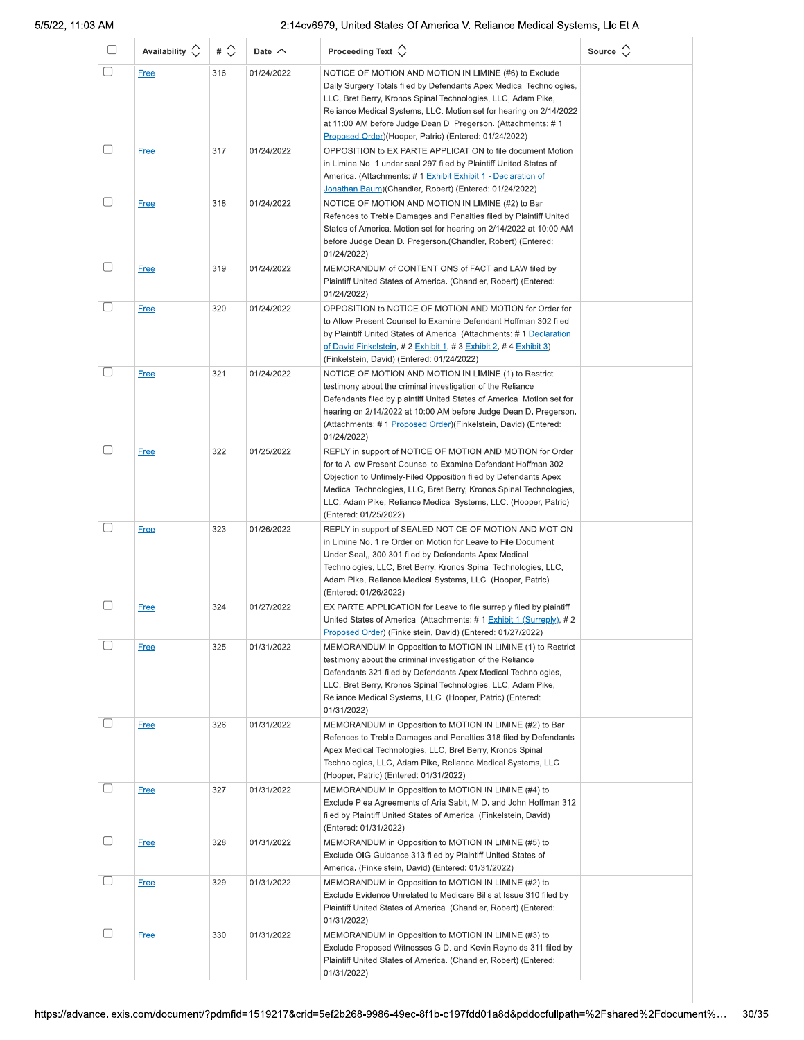| u        | Availability $\circlearrowright$ | # $\Diamond$ | Date $\wedge$ | Proceeding Text $\left\langle \right\rangle$                                                                                                                                                                                                                                                                                                                                                 | Source $\Diamond$ |
|----------|----------------------------------|--------------|---------------|----------------------------------------------------------------------------------------------------------------------------------------------------------------------------------------------------------------------------------------------------------------------------------------------------------------------------------------------------------------------------------------------|-------------------|
| □        | Free                             | 316          | 01/24/2022    | NOTICE OF MOTION AND MOTION IN LIMINE (#6) to Exclude<br>Daily Surgery Totals filed by Defendants Apex Medical Technologies,<br>LLC, Bret Berry, Kronos Spinal Technologies, LLC, Adam Pike,<br>Reliance Medical Systems, LLC. Motion set for hearing on 2/14/2022<br>at 11:00 AM before Judge Dean D. Pregerson. (Attachments: #1<br>Proposed Order) (Hooper, Patric) (Entered: 01/24/2022) |                   |
|          | <b>Free</b>                      | 317          | 01/24/2022    | OPPOSITION to EX PARTE APPLICATION to file document Motion<br>in Limine No. 1 under seal 297 filed by Plaintiff United States of<br>America. (Attachments: #1 Exhibit Exhibit 1 - Declaration of<br>Jonathan Baum)(Chandler, Robert) (Entered: 01/24/2022)                                                                                                                                   |                   |
| u        | <b>Free</b>                      | 318          | 01/24/2022    | NOTICE OF MOTION AND MOTION IN LIMINE (#2) to Bar<br>Refences to Treble Damages and Penalties filed by Plaintiff United<br>States of America. Motion set for hearing on 2/14/2022 at 10:00 AM<br>before Judge Dean D. Pregerson. (Chandler, Robert) (Entered:<br>01/24/2022)                                                                                                                 |                   |
|          | <b>Free</b>                      | 319          | 01/24/2022    | MEMORANDUM of CONTENTIONS of FACT and LAW filed by<br>Plaintiff United States of America. (Chandler, Robert) (Entered:<br>01/24/2022)                                                                                                                                                                                                                                                        |                   |
|          | <b>Free</b>                      | 320          | 01/24/2022    | OPPOSITION to NOTICE OF MOTION AND MOTION for Order for<br>to Allow Present Counsel to Examine Defendant Hoffman 302 filed<br>by Plaintiff United States of America. (Attachments: #1 Declaration<br>of David Finkelstein, # 2 Exhibit 1, # 3 Exhibit 2, # 4 Exhibit 3)<br>(Finkelstein, David) (Entered: 01/24/2022)                                                                        |                   |
|          | <b>Free</b>                      | 321          | 01/24/2022    | NOTICE OF MOTION AND MOTION IN LIMINE (1) to Restrict<br>testimony about the criminal investigation of the Reliance<br>Defendants filed by plaintiff United States of America. Motion set for<br>hearing on 2/14/2022 at 10:00 AM before Judge Dean D. Pregerson.<br>(Attachments: #1 Proposed Order) (Finkelstein, David) (Entered:<br>01/24/2022)                                          |                   |
| П        | <b>Free</b>                      | 322          | 01/25/2022    | REPLY in support of NOTICE OF MOTION AND MOTION for Order<br>for to Allow Present Counsel to Examine Defendant Hoffman 302<br>Objection to Untimely-Filed Opposition filed by Defendants Apex<br>Medical Technologies, LLC, Bret Berry, Kronos Spinal Technologies,<br>LLC, Adam Pike, Reliance Medical Systems, LLC. (Hooper, Patric)<br>(Entered: 01/25/2022)                              |                   |
|          | <b>Free</b>                      | 323          | 01/26/2022    | REPLY in support of SEALED NOTICE OF MOTION AND MOTION<br>in Limine No. 1 re Order on Motion for Leave to File Document<br>Under Seal,, 300 301 filed by Defendants Apex Medical<br>Technologies, LLC, Bret Berry, Kronos Spinal Technologies, LLC,<br>Adam Pike, Reliance Medical Systems, LLC. (Hooper, Patric)<br>(Entered: 01/26/2022)                                                   |                   |
|          | <b>Free</b>                      | 324          | 01/27/2022    | EX PARTE APPLICATION for Leave to file surreply filed by plaintiff<br>United States of America. (Attachments: # 1 Exhibit 1 (Surreply), # 2<br>Proposed Order) (Finkelstein, David) (Entered: 01/27/2022)                                                                                                                                                                                    |                   |
|          | <b>Free</b>                      | 325          | 01/31/2022    | MEMORANDUM in Opposition to MOTION IN LIMINE (1) to Restrict<br>testimony about the criminal investigation of the Reliance<br>Defendants 321 filed by Defendants Apex Medical Technologies,<br>LLC, Bret Berry, Kronos Spinal Technologies, LLC, Adam Pike,<br>Reliance Medical Systems, LLC. (Hooper, Patric) (Entered:<br>01/31/2022)                                                      |                   |
|          | <b>Free</b>                      | 326          | 01/31/2022    | MEMORANDUM in Opposition to MOTION IN LIMINE (#2) to Bar<br>Refences to Treble Damages and Penalties 318 filed by Defendants<br>Apex Medical Technologies, LLC, Bret Berry, Kronos Spinal<br>Technologies, LLC, Adam Pike, Reliance Medical Systems, LLC.<br>(Hooper, Patric) (Entered: 01/31/2022)                                                                                          |                   |
| $[\ \ ]$ | <b>Free</b>                      | 327          | 01/31/2022    | MEMORANDUM in Opposition to MOTION IN LIMINE (#4) to<br>Exclude Plea Agreements of Aria Sabit, M.D. and John Hoffman 312<br>filed by Plaintiff United States of America. (Finkelstein, David)<br>(Entered: 01/31/2022)                                                                                                                                                                       |                   |
|          | <b>Free</b>                      | 328          | 01/31/2022    | MEMORANDUM in Opposition to MOTION IN LIMINE (#5) to<br>Exclude OIG Guidance 313 filed by Plaintiff United States of<br>America. (Finkelstein, David) (Entered: 01/31/2022)                                                                                                                                                                                                                  |                   |
|          | <b>Free</b>                      | 329          | 01/31/2022    | MEMORANDUM in Opposition to MOTION IN LIMINE (#2) to<br>Exclude Evidence Unrelated to Medicare Bills at Issue 310 filed by<br>Plaintiff United States of America. (Chandler, Robert) (Entered:<br>01/31/2022)                                                                                                                                                                                |                   |
|          | <b>Free</b>                      | 330          | 01/31/2022    | MEMORANDUM in Opposition to MOTION IN LIMINE (#3) to<br>Exclude Proposed Witnesses G.D. and Kevin Reynolds 311 filed by<br>Plaintiff United States of America. (Chandler, Robert) (Entered:<br>01/31/2022)                                                                                                                                                                                   |                   |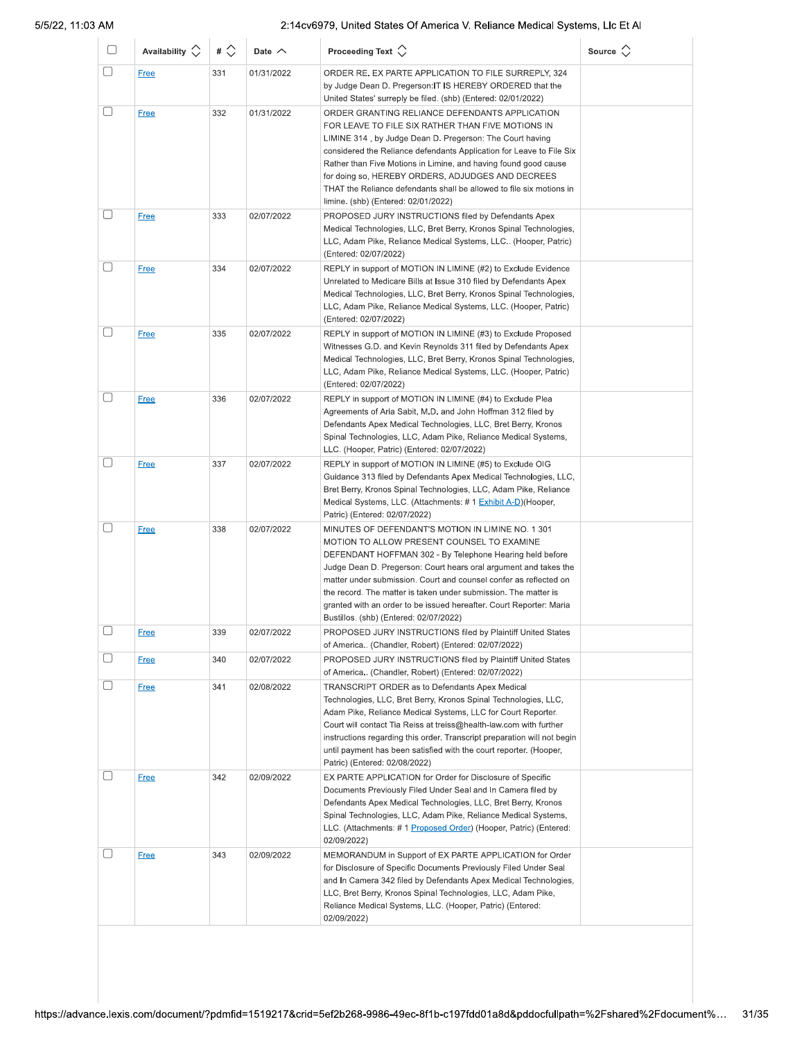| $\Box$   | Availability $\Diamond$    | $\#$ $\Diamond$ | Date $\wedge$            | Proceeding Text $\left\langle \right\rangle$                                                                                                                                                                                                                                                                                                                                                                                                                                                                    | Source $\Diamond$ |
|----------|----------------------------|-----------------|--------------------------|-----------------------------------------------------------------------------------------------------------------------------------------------------------------------------------------------------------------------------------------------------------------------------------------------------------------------------------------------------------------------------------------------------------------------------------------------------------------------------------------------------------------|-------------------|
| □        | <b>Free</b>                | 331             | 01/31/2022               | ORDER RE. EX PARTE APPLICATION TO FILE SURREPLY, 324<br>by Judge Dean D. Pregerson: IT IS HEREBY ORDERED that the<br>United States' surreply be filed. (shb) (Entered: 02/01/2022)                                                                                                                                                                                                                                                                                                                              |                   |
|          | <b>Free</b>                | 332             | 01/31/2022               | ORDER GRANTING RELIANCE DEFENDANTS APPLICATION<br>FOR LEAVE TO FILE SIX RATHER THAN FIVE MOTIONS IN<br>LIMINE 314, by Judge Dean D. Pregerson: The Court having<br>considered the Reliance defendants Application for Leave to File Six<br>Rather than Five Motions in Limine, and having found good cause<br>for doing so, HEREBY ORDERS, ADJUDGES AND DECREES<br>THAT the Reliance defendants shall be allowed to file six motions in<br>limine. (shb) (Entered: 02/01/2022)                                  |                   |
| U        | <b>Free</b>                | 333             | 02/07/2022               | PROPOSED JURY INSTRUCTIONS filed by Defendants Apex<br>Medical Technologies, LLC, Bret Berry, Kronos Spinal Technologies,<br>LLC, Adam Pike, Reliance Medical Systems, LLC (Hooper, Patric)<br>(Entered: 02/07/2022)                                                                                                                                                                                                                                                                                            |                   |
| □        | <b>Free</b>                | 334             | 02/07/2022               | REPLY in support of MOTION IN LIMINE (#2) to Exclude Evidence<br>Unrelated to Medicare Bills at Issue 310 filed by Defendants Apex<br>Medical Technologies, LLC, Bret Berry, Kronos Spinal Technologies,<br>LLC, Adam Pike, Reliance Medical Systems, LLC. (Hooper, Patric)<br>(Entered: 02/07/2022)                                                                                                                                                                                                            |                   |
| $\Box$   | <b>Free</b>                | 335             | 02/07/2022               | REPLY in support of MOTION IN LIMINE (#3) to Exclude Proposed<br>Witnesses G.D. and Kevin Reynolds 311 filed by Defendants Apex<br>Medical Technologies, LLC, Bret Berry, Kronos Spinal Technologies,<br>LLC, Adam Pike, Reliance Medical Systems, LLC. (Hooper, Patric)<br>(Entered: 02/07/2022)                                                                                                                                                                                                               |                   |
| □        | <b>Free</b><br><b>Free</b> | 336<br>337      | 02/07/2022<br>02/07/2022 | REPLY in support of MOTION IN LIMINE (#4) to Exclude Plea<br>Agreements of Aria Sabit, M.D. and John Hoffman 312 filed by<br>Defendants Apex Medical Technologies, LLC, Bret Berry, Kronos<br>Spinal Technologies, LLC, Adam Pike, Reliance Medical Systems,<br>LLC. (Hooper, Patric) (Entered: 02/07/2022)<br>REPLY in support of MOTION IN LIMINE (#5) to Exclude OIG<br>Guidance 313 filed by Defendants Apex Medical Technologies, LLC,<br>Bret Berry, Kronos Spinal Technologies, LLC, Adam Pike, Reliance |                   |
| ⊓        | <b>Free</b>                | 338             | 02/07/2022               | Medical Systems, LLC. (Attachments: # 1 Exhibit A-D) (Hooper,<br>Patric) (Entered: 02/07/2022)<br>MINUTES OF DEFENDANT'S MOTION IN LIMINE NO. 1 301                                                                                                                                                                                                                                                                                                                                                             |                   |
|          |                            |                 |                          | MOTION TO ALLOW PRESENT COUNSEL TO EXAMINE<br>DEFENDANT HOFFMAN 302 - By Telephone Hearing held before<br>Judge Dean D. Pregerson: Court hears oral argument and takes the<br>matter under submission. Court and counsel confer as reflected on<br>the record. The matter is taken under submission. The matter is<br>granted with an order to be issued hereafter. Court Reporter: Maria<br>Bustillos. (shb) (Entered: 02/07/2022)                                                                             |                   |
|          | <u>Free</u>                | 339             | 02/07/2022               | PROPOSED JURY INSTRUCTIONS filed by Plaintiff United States<br>of America (Chandler, Robert) (Entered: 02/07/2022)                                                                                                                                                                                                                                                                                                                                                                                              |                   |
|          | <b>Free</b>                | 340             | 02/07/2022               | PROPOSED JURY INSTRUCTIONS filed by Plaintiff United States<br>of America (Chandler, Robert) (Entered: 02/07/2022)                                                                                                                                                                                                                                                                                                                                                                                              |                   |
| $[\ \ ]$ | <b>Free</b>                | 341             | 02/08/2022               | TRANSCRIPT ORDER as to Defendants Apex Medical<br>Technologies, LLC, Bret Berry, Kronos Spinal Technologies, LLC,<br>Adam Pike, Reliance Medical Systems, LLC for Court Reporter.<br>Court will contact Tia Reiss at treiss@health-law.com with further<br>instructions regarding this order. Transcript preparation will not begin<br>until payment has been satisfied with the court reporter. (Hooper,<br>Patric) (Entered: 02/08/2022)                                                                      |                   |
| □        | <b>Free</b>                | 342             | 02/09/2022               | EX PARTE APPLICATION for Order for Disclosure of Specific<br>Documents Previously Filed Under Seal and In Camera filed by<br>Defendants Apex Medical Technologies, LLC, Bret Berry, Kronos<br>Spinal Technologies, LLC, Adam Pike, Reliance Medical Systems,<br>LLC. (Attachments: # 1 Proposed Order) (Hooper, Patric) (Entered:<br>02/09/2022)                                                                                                                                                                |                   |
| □        | <b>Free</b>                | 343             | 02/09/2022               | MEMORANDUM in Support of EX PARTE APPLICATION for Order<br>for Disclosure of Specific Documents Previously Filed Under Seal<br>and In Camera 342 filed by Defendants Apex Medical Technologies,<br>LLC, Bret Berry, Kronos Spinal Technologies, LLC, Adam Pike,<br>Reliance Medical Systems, LLC. (Hooper, Patric) (Entered:<br>02/09/2022)                                                                                                                                                                     |                   |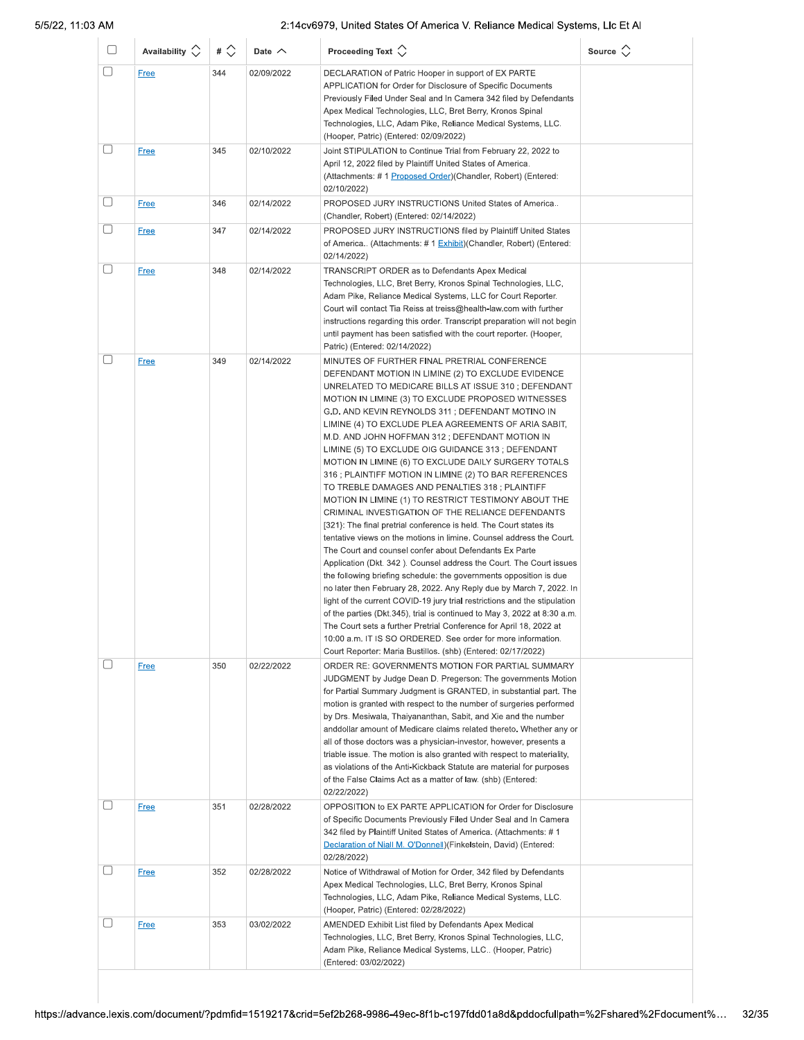| U | Availability $\Diamond$ | # $\Diamond$ | Date $\wedge$ | Proceeding Text $\left\langle \right\rangle$                                                                                                                                                                                                                                                                                                                                                                                                                                                                                                                                                                                                                                                                                                                                                                                                                                                                                                                                                                                                                                                                                                                                                                                                                                                                                                                                                                                                                                                                    | Source $\Diamond$ |
|---|-------------------------|--------------|---------------|-----------------------------------------------------------------------------------------------------------------------------------------------------------------------------------------------------------------------------------------------------------------------------------------------------------------------------------------------------------------------------------------------------------------------------------------------------------------------------------------------------------------------------------------------------------------------------------------------------------------------------------------------------------------------------------------------------------------------------------------------------------------------------------------------------------------------------------------------------------------------------------------------------------------------------------------------------------------------------------------------------------------------------------------------------------------------------------------------------------------------------------------------------------------------------------------------------------------------------------------------------------------------------------------------------------------------------------------------------------------------------------------------------------------------------------------------------------------------------------------------------------------|-------------------|
| O | <b>Free</b>             | 344          | 02/09/2022    | DECLARATION of Patric Hooper in support of EX PARTE<br>APPLICATION for Order for Disclosure of Specific Documents<br>Previously Filed Under Seal and In Camera 342 filed by Defendants<br>Apex Medical Technologies, LLC, Bret Berry, Kronos Spinal<br>Technologies, LLC, Adam Pike, Reliance Medical Systems, LLC.<br>(Hooper, Patric) (Entered: 02/09/2022)                                                                                                                                                                                                                                                                                                                                                                                                                                                                                                                                                                                                                                                                                                                                                                                                                                                                                                                                                                                                                                                                                                                                                   |                   |
| u | <b>Free</b>             | 345          | 02/10/2022    | Joint STIPULATION to Continue Trial from February 22, 2022 to<br>April 12, 2022 filed by Plaintiff United States of America.<br>(Attachments: #1 Proposed Order)(Chandler, Robert) (Entered:<br>02/10/2022)                                                                                                                                                                                                                                                                                                                                                                                                                                                                                                                                                                                                                                                                                                                                                                                                                                                                                                                                                                                                                                                                                                                                                                                                                                                                                                     |                   |
| U | <b>Free</b>             | 346          | 02/14/2022    | PROPOSED JURY INSTRUCTIONS United States of America<br>(Chandler, Robert) (Entered: 02/14/2022)                                                                                                                                                                                                                                                                                                                                                                                                                                                                                                                                                                                                                                                                                                                                                                                                                                                                                                                                                                                                                                                                                                                                                                                                                                                                                                                                                                                                                 |                   |
| O | <b>Free</b>             | 347          | 02/14/2022    | PROPOSED JURY INSTRUCTIONS filed by Plaintiff United States<br>of America (Attachments: # 1 Exhibit)(Chandler, Robert) (Entered:<br>02/14/2022)                                                                                                                                                                                                                                                                                                                                                                                                                                                                                                                                                                                                                                                                                                                                                                                                                                                                                                                                                                                                                                                                                                                                                                                                                                                                                                                                                                 |                   |
| U | <b>Free</b>             | 348          | 02/14/2022    | TRANSCRIPT ORDER as to Defendants Apex Medical<br>Technologies, LLC, Bret Berry, Kronos Spinal Technologies, LLC,<br>Adam Pike, Reliance Medical Systems, LLC for Court Reporter.<br>Court will contact Tia Reiss at treiss@health-law.com with further<br>instructions regarding this order. Transcript preparation will not begin<br>until payment has been satisfied with the court reporter. (Hooper,<br>Patric) (Entered: 02/14/2022)                                                                                                                                                                                                                                                                                                                                                                                                                                                                                                                                                                                                                                                                                                                                                                                                                                                                                                                                                                                                                                                                      |                   |
| u | <b>Free</b>             | 349          | 02/14/2022    | MINUTES OF FURTHER FINAL PRETRIAL CONFERENCE<br>DEFENDANT MOTION IN LIMINE (2) TO EXCLUDE EVIDENCE<br>UNRELATED TO MEDICARE BILLS AT ISSUE 310 ; DEFENDANT<br>MOTION IN LIMINE (3) TO EXCLUDE PROPOSED WITNESSES<br>G.D. AND KEVIN REYNOLDS 311; DEFENDANT MOTINO IN<br>LIMINE (4) TO EXCLUDE PLEA AGREEMENTS OF ARIA SABIT,<br>M.D. AND JOHN HOFFMAN 312; DEFENDANT MOTION IN<br>LIMINE (5) TO EXCLUDE OIG GUIDANCE 313; DEFENDANT<br>MOTION IN LIMINE (6) TO EXCLUDE DAILY SURGERY TOTALS<br>316 ; PLAINTIFF MOTION IN LIMINE (2) TO BAR REFERENCES<br>TO TREBLE DAMAGES AND PENALTIES 318; PLAINTIFF<br>MOTION IN LIMINE (1) TO RESTRICT TESTIMONY ABOUT THE<br>CRIMINAL INVESTIGATION OF THE RELIANCE DEFENDANTS<br>[321]: The final pretrial conference is held. The Court states its<br>tentative views on the motions in limine. Counsel address the Court.<br>The Court and counsel confer about Defendants Ex Parte<br>Application (Dkt. 342). Counsel address the Court. The Court issues<br>the following briefing schedule: the governments opposition is due<br>no later then February 28, 2022. Any Reply due by March 7, 2022. In<br>light of the current COVID-19 jury trial restrictions and the stipulation<br>of the parties (Dkt.345), trial is continued to May 3, 2022 at 8:30 a.m.<br>The Court sets a further Pretrial Conference for April 18, 2022 at<br>10:00 a.m. IT IS SO ORDERED. See order for more information.<br>Court Reporter: Maria Bustillos. (shb) (Entered: 02/17/2022) |                   |
|   | <b>Free</b>             | 350          | 02/22/2022    | ORDER RE: GOVERNMENTS MOTION FOR PARTIAL SUMMARY<br>JUDGMENT by Judge Dean D. Pregerson: The governments Motion<br>for Partial Summary Judgment is GRANTED, in substantial part. The<br>motion is granted with respect to the number of surgeries performed<br>by Drs. Mesiwala, Thaiyananthan, Sabit, and Xie and the number<br>anddollar amount of Medicare claims related thereto. Whether any or<br>all of those doctors was a physician-investor, however, presents a<br>triable issue. The motion is also granted with respect to materiality,<br>as violations of the Anti-Kickback Statute are material for purposes<br>of the False Claims Act as a matter of law. (shb) (Entered:<br>02/22/2022)                                                                                                                                                                                                                                                                                                                                                                                                                                                                                                                                                                                                                                                                                                                                                                                                      |                   |
|   | <b>Free</b>             | 351          | 02/28/2022    | OPPOSITION to EX PARTE APPLICATION for Order for Disclosure<br>of Specific Documents Previously Filed Under Seal and In Camera<br>342 filed by Plaintiff United States of America. (Attachments: #1<br>Declaration of Niall M. O'Donnell) (Finkelstein, David) (Entered:<br>02/28/2022)                                                                                                                                                                                                                                                                                                                                                                                                                                                                                                                                                                                                                                                                                                                                                                                                                                                                                                                                                                                                                                                                                                                                                                                                                         |                   |
| O | <b>Free</b>             | 352          | 02/28/2022    | Notice of Withdrawal of Motion for Order, 342 filed by Defendants<br>Apex Medical Technologies, LLC, Bret Berry, Kronos Spinal<br>Technologies, LLC, Adam Pike, Reliance Medical Systems, LLC.<br>(Hooper, Patric) (Entered: 02/28/2022)                                                                                                                                                                                                                                                                                                                                                                                                                                                                                                                                                                                                                                                                                                                                                                                                                                                                                                                                                                                                                                                                                                                                                                                                                                                                        |                   |
|   | <b>Free</b>             | 353          | 03/02/2022    | AMENDED Exhibit List filed by Defendants Apex Medical<br>Technologies, LLC, Bret Berry, Kronos Spinal Technologies, LLC,<br>Adam Pike, Reliance Medical Systems, LLC (Hooper, Patric)<br>(Entered: 03/02/2022)                                                                                                                                                                                                                                                                                                                                                                                                                                                                                                                                                                                                                                                                                                                                                                                                                                                                                                                                                                                                                                                                                                                                                                                                                                                                                                  |                   |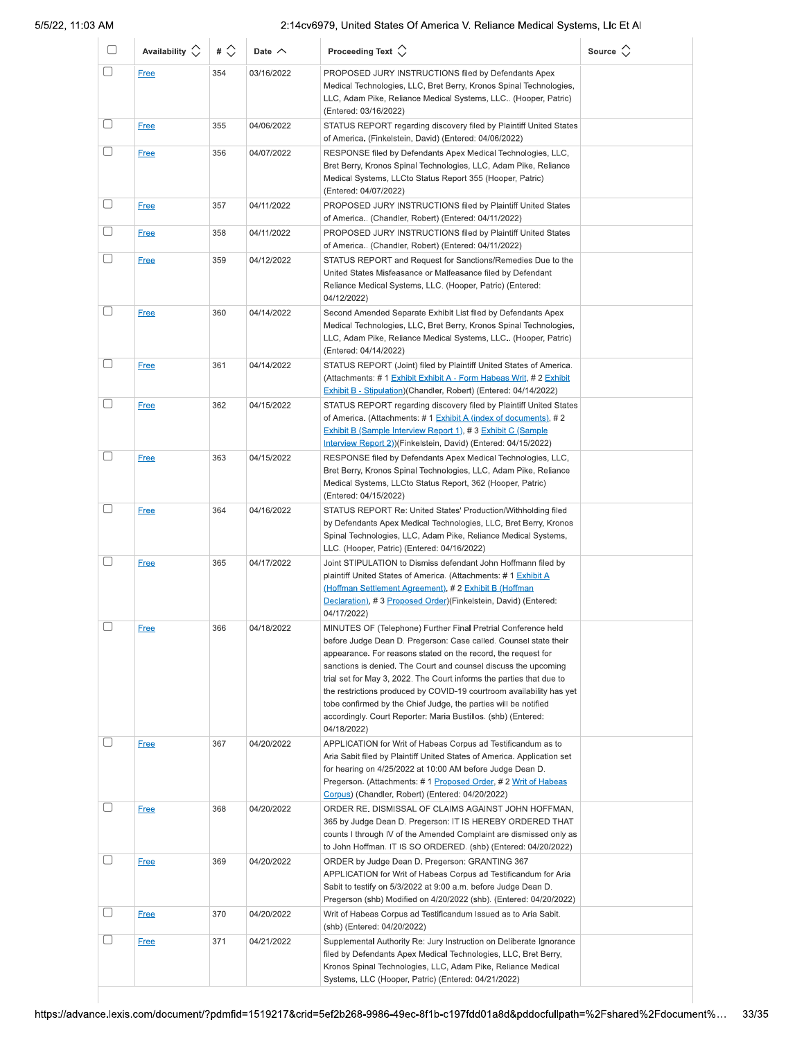| U         | Availability $\circlearrowright$ | # $\Diamond$ | Date $\wedge$ | Proceeding Text $\left\langle \right\rangle$                                                                                                                                                                                                                                                                                                                                                                                                                                                                                                                             | Source $\Diamond$ |
|-----------|----------------------------------|--------------|---------------|--------------------------------------------------------------------------------------------------------------------------------------------------------------------------------------------------------------------------------------------------------------------------------------------------------------------------------------------------------------------------------------------------------------------------------------------------------------------------------------------------------------------------------------------------------------------------|-------------------|
| O         | <b>Free</b>                      | 354          | 03/16/2022    | PROPOSED JURY INSTRUCTIONS filed by Defendants Apex<br>Medical Technologies, LLC, Bret Berry, Kronos Spinal Technologies,<br>LLC, Adam Pike, Reliance Medical Systems, LLC (Hooper, Patric)<br>(Entered: 03/16/2022)                                                                                                                                                                                                                                                                                                                                                     |                   |
| $[\quad]$ | <b>Free</b>                      | 355          | 04/06/2022    | STATUS REPORT regarding discovery filed by Plaintiff United States<br>of America. (Finkelstein, David) (Entered: 04/06/2022)                                                                                                                                                                                                                                                                                                                                                                                                                                             |                   |
| $[ \ \ ]$ | <b>Free</b>                      | 356          | 04/07/2022    | RESPONSE filed by Defendants Apex Medical Technologies, LLC,<br>Bret Berry, Kronos Spinal Technologies, LLC, Adam Pike, Reliance<br>Medical Systems, LLCto Status Report 355 (Hooper, Patric)<br>(Entered: 04/07/2022)                                                                                                                                                                                                                                                                                                                                                   |                   |
|           | <b>Free</b>                      | 357          | 04/11/2022    | PROPOSED JURY INSTRUCTIONS filed by Plaintiff United States<br>of America (Chandler, Robert) (Entered: 04/11/2022)                                                                                                                                                                                                                                                                                                                                                                                                                                                       |                   |
|           | <b>Free</b>                      | 358          | 04/11/2022    | PROPOSED JURY INSTRUCTIONS filed by Plaintiff United States<br>of America (Chandler, Robert) (Entered: 04/11/2022)                                                                                                                                                                                                                                                                                                                                                                                                                                                       |                   |
|           | <b>Free</b>                      | 359          | 04/12/2022    | STATUS REPORT and Request for Sanctions/Remedies Due to the<br>United States Misfeasance or Malfeasance filed by Defendant<br>Reliance Medical Systems, LLC. (Hooper, Patric) (Entered:<br>04/12/2022)                                                                                                                                                                                                                                                                                                                                                                   |                   |
| $[\ ]$    | <b>Free</b>                      | 360          | 04/14/2022    | Second Amended Separate Exhibit List filed by Defendants Apex<br>Medical Technologies, LLC, Bret Berry, Kronos Spinal Technologies,<br>LLC, Adam Pike, Reliance Medical Systems, LLC (Hooper, Patric)<br>(Entered: 04/14/2022)                                                                                                                                                                                                                                                                                                                                           |                   |
| ⊓         | <b>Free</b>                      | 361          | 04/14/2022    | STATUS REPORT (Joint) filed by Plaintiff United States of America.<br>(Attachments: # 1 Exhibit Exhibit A - Form Habeas Writ, # 2 Exhibit<br>Exhibit B - Stipulation)(Chandler, Robert) (Entered: 04/14/2022)                                                                                                                                                                                                                                                                                                                                                            |                   |
| □         | <b>Free</b>                      | 362          | 04/15/2022    | STATUS REPORT regarding discovery filed by Plaintiff United States<br>of America. (Attachments: # 1 Exhibit A (index of documents), # 2<br>Exhibit B (Sample Interview Report 1), #3 Exhibit C (Sample<br>Interview Report 2))(Finkelstein, David) (Entered: 04/15/2022)                                                                                                                                                                                                                                                                                                 |                   |
|           | Free                             | 363          | 04/15/2022    | RESPONSE filed by Defendants Apex Medical Technologies, LLC,<br>Bret Berry, Kronos Spinal Technologies, LLC, Adam Pike, Reliance<br>Medical Systems, LLCto Status Report, 362 (Hooper, Patric)<br>(Entered: 04/15/2022)                                                                                                                                                                                                                                                                                                                                                  |                   |
| □         | <b>Free</b>                      | 364          | 04/16/2022    | STATUS REPORT Re: United States' Production/Withholding filed<br>by Defendants Apex Medical Technologies, LLC, Bret Berry, Kronos<br>Spinal Technologies, LLC, Adam Pike, Reliance Medical Systems,<br>LLC. (Hooper, Patric) (Entered: 04/16/2022)                                                                                                                                                                                                                                                                                                                       |                   |
| $\Box$    | <b>Free</b>                      | 365          | 04/17/2022    | Joint STIPULATION to Dismiss defendant John Hoffmann filed by<br>plaintiff United States of America. (Attachments: #1 Exhibit A<br><u>(Hoffman Settlement Agreement),</u> # 2 Exhibit B (Hoffman<br>Declaration), #3 Proposed Order)(Finkelstein, David) (Entered:<br>04/17/2022)                                                                                                                                                                                                                                                                                        |                   |
| $\Box$    | <b>Free</b>                      | 366          | 04/18/2022    | MINUTES OF (Telephone) Further Final Pretrial Conference held<br>before Judge Dean D. Pregerson: Case called. Counsel state their<br>appearance. For reasons stated on the record, the request for<br>sanctions is denied. The Court and counsel discuss the upcoming<br>trial set for May 3, 2022. The Court informs the parties that due to<br>the restrictions produced by COVID-19 courtroom availability has yet<br>tobe confirmed by the Chief Judge, the parties will be notified<br>accordingly. Court Reporter: Maria Bustillos. (shb) (Entered:<br>04/18/2022) |                   |
| □         | <b>Free</b>                      | 367          | 04/20/2022    | APPLICATION for Writ of Habeas Corpus ad Testificandum as to<br>Aria Sabit filed by Plaintiff United States of America. Application set<br>for hearing on 4/25/2022 at 10:00 AM before Judge Dean D.<br>Pregerson. (Attachments: #1 Proposed Order, #2 Writ of Habeas<br>Corpus) (Chandler, Robert) (Entered: 04/20/2022)                                                                                                                                                                                                                                                |                   |
| $\Box$    | <b>Free</b>                      | 368          | 04/20/2022    | ORDER RE. DISMISSAL OF CLAIMS AGAINST JOHN HOFFMAN,<br>365 by Judge Dean D. Pregerson: IT IS HEREBY ORDERED THAT<br>counts I through IV of the Amended Complaint are dismissed only as<br>to John Hoffman. IT IS SO ORDERED. (shb) (Entered: 04/20/2022)                                                                                                                                                                                                                                                                                                                 |                   |
| □         | <u>Free</u>                      | 369          | 04/20/2022    | ORDER by Judge Dean D. Pregerson: GRANTING 367<br>APPLICATION for Writ of Habeas Corpus ad Testificandum for Aria<br>Sabit to testify on 5/3/2022 at 9:00 a.m. before Judge Dean D.<br>Pregerson (shb) Modified on 4/20/2022 (shb). (Entered: 04/20/2022)                                                                                                                                                                                                                                                                                                                |                   |
| u         | <b>Free</b>                      | 370          | 04/20/2022    | Writ of Habeas Corpus ad Testificandum Issued as to Aria Sabit.<br>(shb) (Entered: 04/20/2022)                                                                                                                                                                                                                                                                                                                                                                                                                                                                           |                   |
|           | <b>Free</b>                      | 371          | 04/21/2022    | Supplemental Authority Re: Jury Instruction on Deliberate Ignorance<br>filed by Defendants Apex Medical Technologies, LLC, Bret Berry,<br>Kronos Spinal Technologies, LLC, Adam Pike, Reliance Medical<br>Systems, LLC (Hooper, Patric) (Entered: 04/21/2022)                                                                                                                                                                                                                                                                                                            |                   |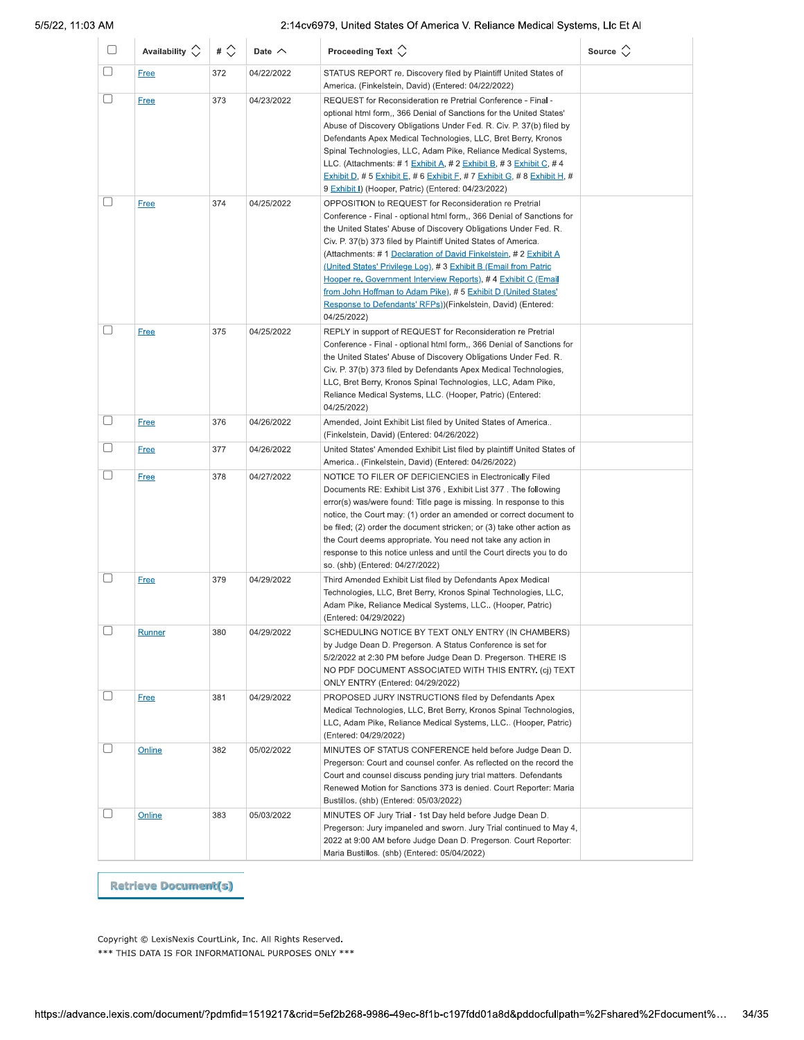| 0 | Availability $\Diamond$ | # $\Diamond$ | Date $\wedge$ | Proceeding Text $\langle \rangle$                                                                                                                                                                                                                                                                                                                                                                                                                                                                                                                                                                                          | Source $\Diamond$ |
|---|-------------------------|--------------|---------------|----------------------------------------------------------------------------------------------------------------------------------------------------------------------------------------------------------------------------------------------------------------------------------------------------------------------------------------------------------------------------------------------------------------------------------------------------------------------------------------------------------------------------------------------------------------------------------------------------------------------------|-------------------|
| U | <b>Free</b>             | 372          | 04/22/2022    | STATUS REPORT re. Discovery filed by Plaintiff United States of<br>America. (Finkelstein, David) (Entered: 04/22/2022)                                                                                                                                                                                                                                                                                                                                                                                                                                                                                                     |                   |
| u | <b>Free</b>             | 373          | 04/23/2022    | REQUEST for Reconsideration re Pretrial Conference - Final -<br>optional html form,, 366 Denial of Sanctions for the United States'<br>Abuse of Discovery Obligations Under Fed. R. Civ. P. 37(b) filed by<br>Defendants Apex Medical Technologies, LLC, Bret Berry, Kronos<br>Spinal Technologies, LLC, Adam Pike, Reliance Medical Systems,<br>LLC. (Attachments: # 1 Exhibit A, # 2 Exhibit B, # 3 Exhibit C, # 4<br>Exhibit D, # 5 Exhibit E, # 6 Exhibit F, # 7 Exhibit G, # 8 Exhibit H, #<br>9 Exhibit I) (Hooper, Patric) (Entered: 04/23/2022)                                                                    |                   |
| U | <b>Free</b>             | 374          | 04/25/2022    | OPPOSITION to REQUEST for Reconsideration re Pretrial<br>Conference - Final - optional html form,, 366 Denial of Sanctions for<br>the United States' Abuse of Discovery Obligations Under Fed. R.<br>Civ. P. 37(b) 373 filed by Plaintiff United States of America.<br>(Attachments: #1 Declaration of David Finkelstein, #2 Exhibit A<br>(United States' Privilege Log), #3 Exhibit B (Email from Patric<br>Hooper re. Government Interview Reports), #4 Exhibit C (Email<br>from John Hoffman to Adam Pike), #5 Exhibit D (United States'<br>Response to Defendants' RFPs))(Finkelstein, David) (Entered:<br>04/25/2022) |                   |
| U | <b>Free</b>             | 375          | 04/25/2022    | REPLY in support of REQUEST for Reconsideration re Pretrial<br>Conference - Final - optional html form,, 366 Denial of Sanctions for<br>the United States' Abuse of Discovery Obligations Under Fed. R.<br>Civ. P. 37(b) 373 filed by Defendants Apex Medical Technologies,<br>LLC, Bret Berry, Kronos Spinal Technologies, LLC, Adam Pike,<br>Reliance Medical Systems, LLC. (Hooper, Patric) (Entered:<br>04/25/2022)                                                                                                                                                                                                    |                   |
| U | <b>Free</b>             | 376          | 04/26/2022    | Amended, Joint Exhibit List filed by United States of America<br>(Finkelstein, David) (Entered: 04/26/2022)                                                                                                                                                                                                                                                                                                                                                                                                                                                                                                                |                   |
| O | Free                    | 377          | 04/26/2022    | United States' Amended Exhibit List filed by plaintiff United States of<br>America (Finkelstein, David) (Entered: 04/26/2022)                                                                                                                                                                                                                                                                                                                                                                                                                                                                                              |                   |
| □ | <b>Free</b>             | 378          | 04/27/2022    | NOTICE TO FILER OF DEFICIENCIES in Electronically Filed<br>Documents RE: Exhibit List 376, Exhibit List 377. The following<br>error(s) was/were found: Title page is missing. In response to this<br>notice, the Court may: (1) order an amended or correct document to<br>be filed; (2) order the document stricken; or (3) take other action as<br>the Court deems appropriate. You need not take any action in<br>response to this notice unless and until the Court directs you to do<br>so. (shb) (Entered: 04/27/2022)                                                                                               |                   |
| u | <b>Free</b>             | 379          | 04/29/2022    | Third Amended Exhibit List filed by Defendants Apex Medical<br>Technologies, LLC, Bret Berry, Kronos Spinal Technologies, LLC,<br>Adam Pike, Reliance Medical Systems, LLC (Hooper, Patric)<br>(Entered: 04/29/2022)                                                                                                                                                                                                                                                                                                                                                                                                       |                   |
| U | <b>Runner</b>           | 380          | 04/29/2022    | SCHEDULING NOTICE BY TEXT ONLY ENTRY (IN CHAMBERS)<br>by Judge Dean D. Pregerson. A Status Conference is set for<br>5/2/2022 at 2:30 PM before Judge Dean D. Pregerson. THERE IS<br>NO PDF DOCUMENT ASSOCIATED WITH THIS ENTRY. (cj) TEXT<br>ONLY ENTRY (Entered: 04/29/2022)                                                                                                                                                                                                                                                                                                                                              |                   |
| U | <b>Free</b>             | 381          | 04/29/2022    | PROPOSED JURY INSTRUCTIONS filed by Defendants Apex<br>Medical Technologies, LLC, Bret Berry, Kronos Spinal Technologies,<br>LLC, Adam Pike, Reliance Medical Systems, LLC (Hooper, Patric)<br>(Entered: 04/29/2022)                                                                                                                                                                                                                                                                                                                                                                                                       |                   |
| U | Online                  | 382          | 05/02/2022    | MINUTES OF STATUS CONFERENCE held before Judge Dean D.<br>Pregerson: Court and counsel confer. As reflected on the record the<br>Court and counsel discuss pending jury trial matters. Defendants<br>Renewed Motion for Sanctions 373 is denied. Court Reporter: Maria<br>Bustillos. (shb) (Entered: 05/03/2022)                                                                                                                                                                                                                                                                                                           |                   |
| U | Online                  | 383          | 05/03/2022    | MINUTES OF Jury Trial - 1st Day held before Judge Dean D.<br>Pregerson: Jury impaneled and sworn. Jury Trial continued to May 4,<br>2022 at 9:00 AM before Judge Dean D. Pregerson. Court Reporter:<br>Maria Bustillos. (shb) (Entered: 05/04/2022)                                                                                                                                                                                                                                                                                                                                                                        |                   |

**Retrieve Document(s)** 

Copyright © LexisNexis CourtLink, Inc. All Rights Reserved. \*\*\* THIS DATA IS FOR INFORMATIONAL PURPOSES ONLY \*\*\*